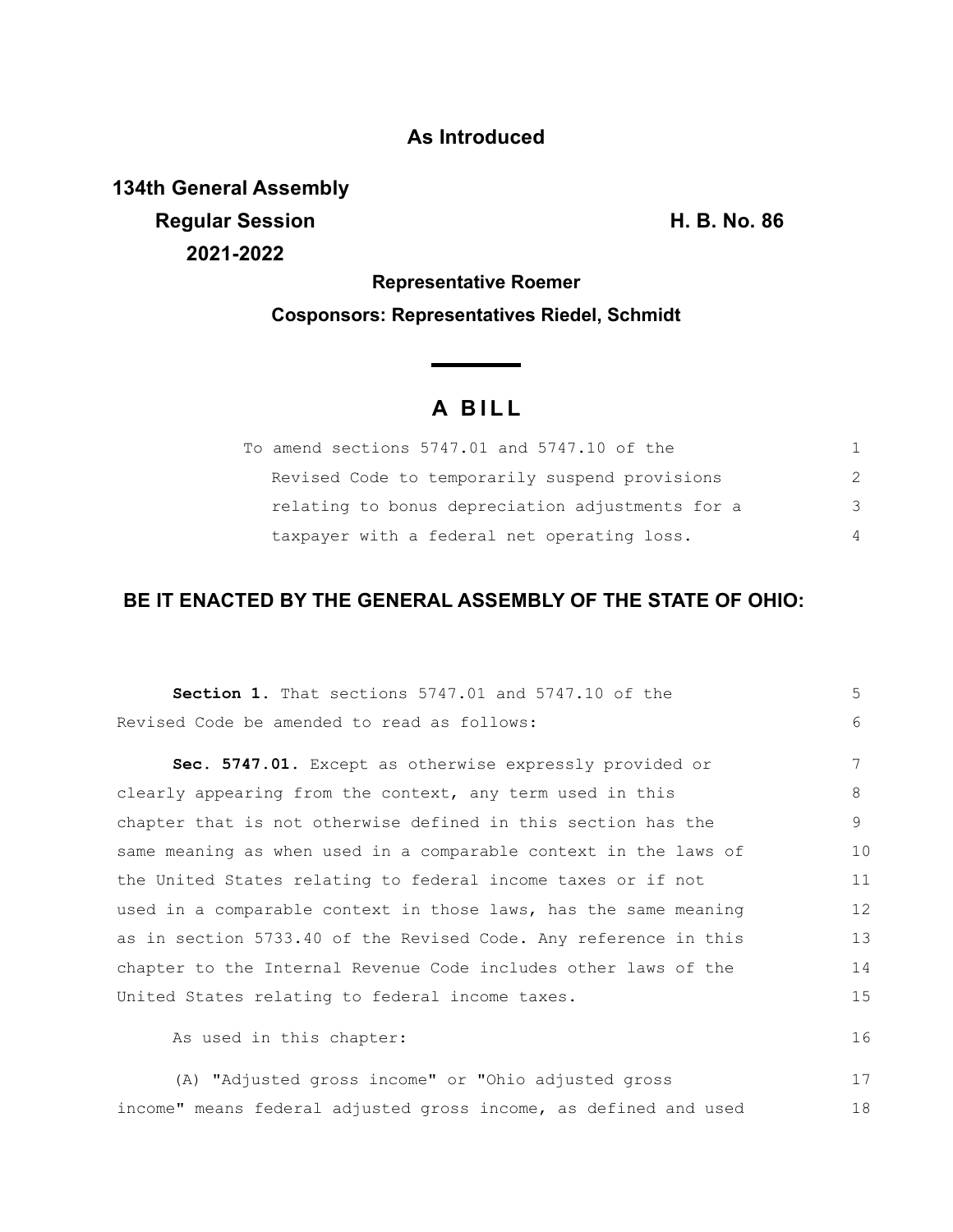### **As Introduced**

**134th General Assembly Regular Session H. B. No. 86 2021-2022**

## **Representative Roemer Cosponsors: Representatives Riedel, Schmidt**

**Service Contractor** 

# **A B I L L**

| To amend sections 5747.01 and 5747.10 of the     |               |
|--------------------------------------------------|---------------|
| Revised Code to temporarily suspend provisions   | $\mathcal{P}$ |
| relating to bonus depreciation adjustments for a | $\mathcal{B}$ |
| taxpayer with a federal net operating loss.      | 4             |

### **BE IT ENACTED BY THE GENERAL ASSEMBLY OF THE STATE OF OHIO:**

| <b>Section 1.</b> That sections 5747.01 and 5747.10 of the       | 5           |
|------------------------------------------------------------------|-------------|
| Revised Code be amended to read as follows:                      | $6^{\circ}$ |
| Sec. 5747.01. Except as otherwise expressly provided or          | 7           |
| clearly appearing from the context, any term used in this        | 8           |
| chapter that is not otherwise defined in this section has the    | 9           |
| same meaning as when used in a comparable context in the laws of | 10          |
| the United States relating to federal income taxes or if not     | 11          |
| used in a comparable context in those laws, has the same meaning | 12          |
| as in section 5733.40 of the Revised Code. Any reference in this | 13          |
| chapter to the Internal Revenue Code includes other laws of the  | 14          |
| United States relating to federal income taxes.                  | 15          |
| As used in this chapter:                                         | 16          |
| (A) "Adjusted gross income" or "Ohio adjusted gross              | 17          |

income" means federal adjusted gross income, as defined and used 18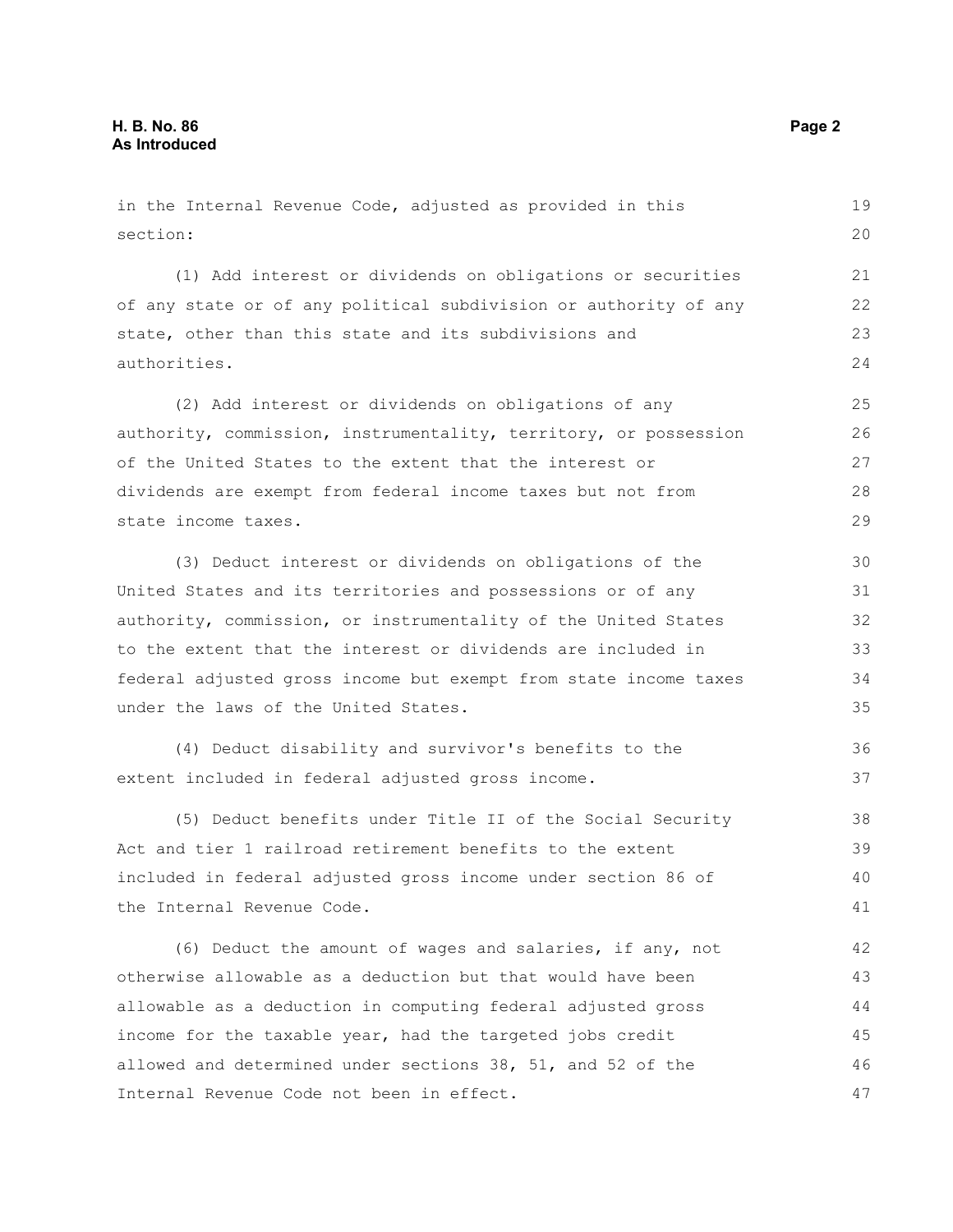section: (1) Add interest or dividends on obligations or securities of any state or of any political subdivision or authority of any state, other than this state and its subdivisions and authorities. (2) Add interest or dividends on obligations of any authority, commission, instrumentality, territory, or possession of the United States to the extent that the interest or dividends are exempt from federal income taxes but not from state income taxes. (3) Deduct interest or dividends on obligations of the United States and its territories and possessions or of any authority, commission, or instrumentality of the United States to the extent that the interest or dividends are included in federal adjusted gross income but exempt from state income taxes under the laws of the United States. (4) Deduct disability and survivor's benefits to the extent included in federal adjusted gross income. (5) Deduct benefits under Title II of the Social Security Act and tier 1 railroad retirement benefits to the extent included in federal adjusted gross income under section 86 of the Internal Revenue Code. (6) Deduct the amount of wages and salaries, if any, not otherwise allowable as a deduction but that would have been allowable as a deduction in computing federal adjusted gross 20 21 22 23 24 25 26 27 28 29 30 31 32 33 34 35 36 37 38 39 40 41 42 43 44 45

in the Internal Revenue Code, adjusted as provided in this

income for the taxable year, had the targeted jobs credit allowed and determined under sections 38, 51, and 52 of the Internal Revenue Code not been in effect. 46 47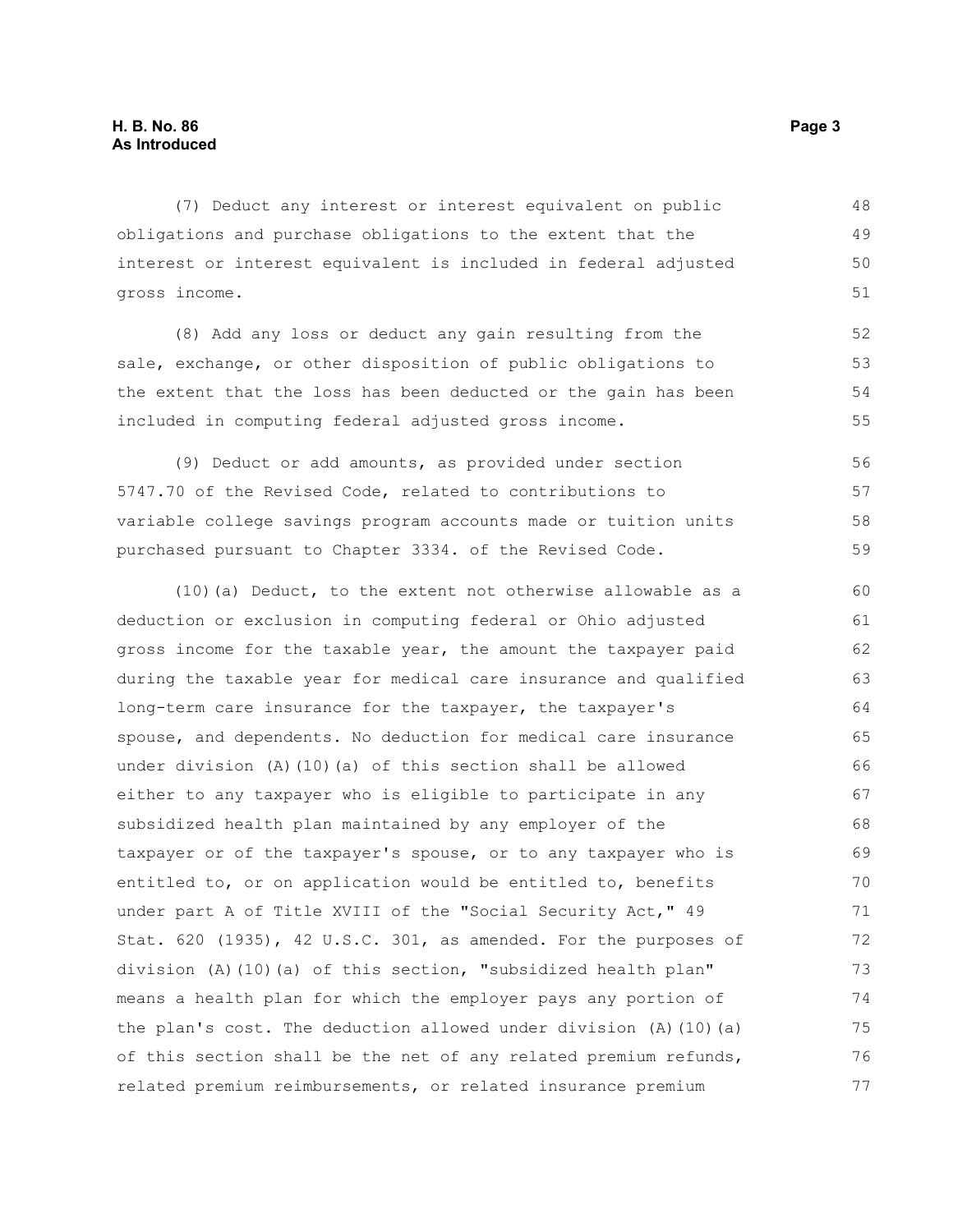(7) Deduct any interest or interest equivalent on public obligations and purchase obligations to the extent that the interest or interest equivalent is included in federal adjusted gross income. 48 49 50 51

(8) Add any loss or deduct any gain resulting from the sale, exchange, or other disposition of public obligations to the extent that the loss has been deducted or the gain has been included in computing federal adjusted gross income.

(9) Deduct or add amounts, as provided under section 5747.70 of the Revised Code, related to contributions to variable college savings program accounts made or tuition units purchased pursuant to Chapter 3334. of the Revised Code. 56 57 58 59

(10)(a) Deduct, to the extent not otherwise allowable as a deduction or exclusion in computing federal or Ohio adjusted gross income for the taxable year, the amount the taxpayer paid during the taxable year for medical care insurance and qualified long-term care insurance for the taxpayer, the taxpayer's spouse, and dependents. No deduction for medical care insurance under division (A)(10)(a) of this section shall be allowed either to any taxpayer who is eligible to participate in any subsidized health plan maintained by any employer of the taxpayer or of the taxpayer's spouse, or to any taxpayer who is entitled to, or on application would be entitled to, benefits under part A of Title XVIII of the "Social Security Act," 49 Stat. 620 (1935), 42 U.S.C. 301, as amended. For the purposes of division (A)(10)(a) of this section, "subsidized health plan" means a health plan for which the employer pays any portion of the plan's cost. The deduction allowed under division (A)(10)(a) of this section shall be the net of any related premium refunds, related premium reimbursements, or related insurance premium 60 61 62 63 64 65 66 67 68 69 70 71 72 73 74 75 76 77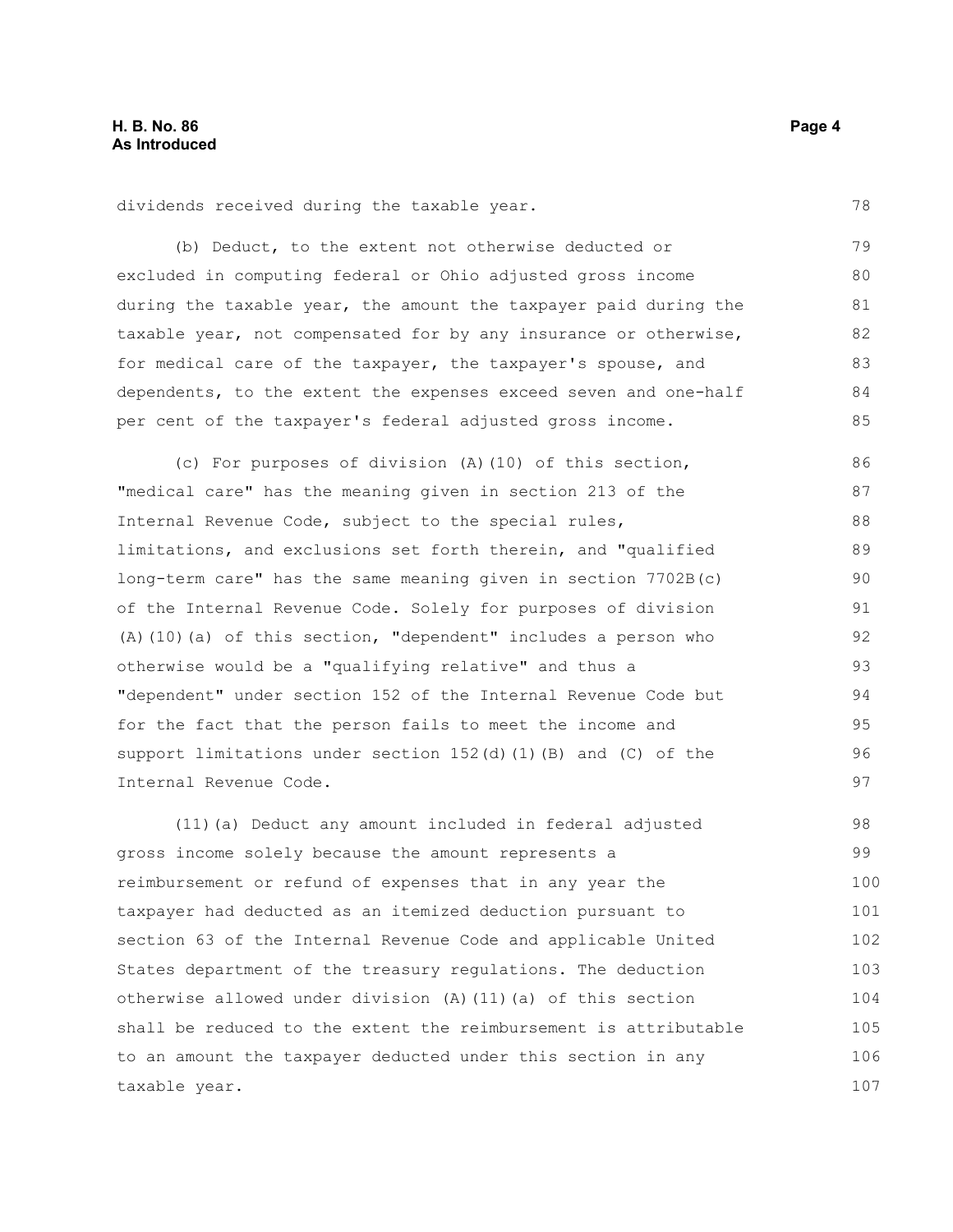dividends received during the taxable year.

(b) Deduct, to the extent not otherwise deducted or excluded in computing federal or Ohio adjusted gross income during the taxable year, the amount the taxpayer paid during the taxable year, not compensated for by any insurance or otherwise, for medical care of the taxpayer, the taxpayer's spouse, and dependents, to the extent the expenses exceed seven and one-half per cent of the taxpayer's federal adjusted gross income. 79 80 81 82 83 84 85

(c) For purposes of division (A)(10) of this section, "medical care" has the meaning given in section 213 of the Internal Revenue Code, subject to the special rules, limitations, and exclusions set forth therein, and "qualified long-term care" has the same meaning given in section 7702B(c) of the Internal Revenue Code. Solely for purposes of division (A)(10)(a) of this section, "dependent" includes a person who otherwise would be a "qualifying relative" and thus a "dependent" under section 152 of the Internal Revenue Code but for the fact that the person fails to meet the income and support limitations under section  $152(d)$  (1)(B) and (C) of the Internal Revenue Code. 86 87 88 89 90 91 92 93 94 95 96 97

(11)(a) Deduct any amount included in federal adjusted gross income solely because the amount represents a reimbursement or refund of expenses that in any year the taxpayer had deducted as an itemized deduction pursuant to section 63 of the Internal Revenue Code and applicable United States department of the treasury regulations. The deduction otherwise allowed under division (A)(11)(a) of this section shall be reduced to the extent the reimbursement is attributable to an amount the taxpayer deducted under this section in any taxable year. 98 99 100 101 102 103 104 105 106 107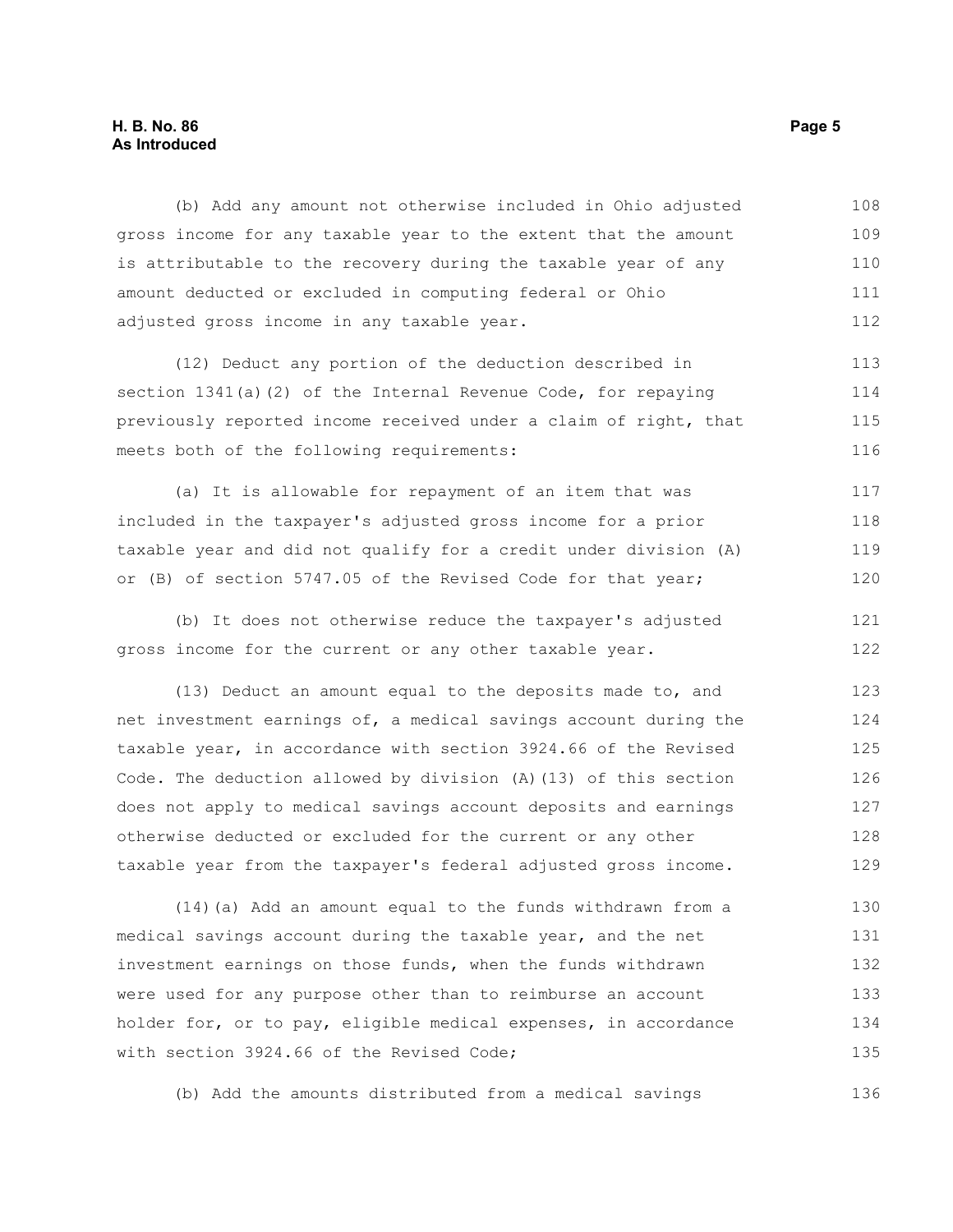#### **H. B. No. 86 Page 5 As Introduced**

(b) Add any amount not otherwise included in Ohio adjusted gross income for any taxable year to the extent that the amount is attributable to the recovery during the taxable year of any amount deducted or excluded in computing federal or Ohio adjusted gross income in any taxable year. 108 109 110 111 112

(12) Deduct any portion of the deduction described in section 1341(a)(2) of the Internal Revenue Code, for repaying previously reported income received under a claim of right, that meets both of the following requirements: 113 114 115 116

(a) It is allowable for repayment of an item that was included in the taxpayer's adjusted gross income for a prior taxable year and did not qualify for a credit under division (A) or (B) of section 5747.05 of the Revised Code for that year; 117 118 119 120

(b) It does not otherwise reduce the taxpayer's adjusted gross income for the current or any other taxable year. 121 122

(13) Deduct an amount equal to the deposits made to, and net investment earnings of, a medical savings account during the taxable year, in accordance with section 3924.66 of the Revised Code. The deduction allowed by division (A)(13) of this section does not apply to medical savings account deposits and earnings otherwise deducted or excluded for the current or any other taxable year from the taxpayer's federal adjusted gross income. 123 124 125 126 127 128 129

(14)(a) Add an amount equal to the funds withdrawn from a medical savings account during the taxable year, and the net investment earnings on those funds, when the funds withdrawn were used for any purpose other than to reimburse an account holder for, or to pay, eligible medical expenses, in accordance with section 3924.66 of the Revised Code; 130 131 132 133 134 135

(b) Add the amounts distributed from a medical savings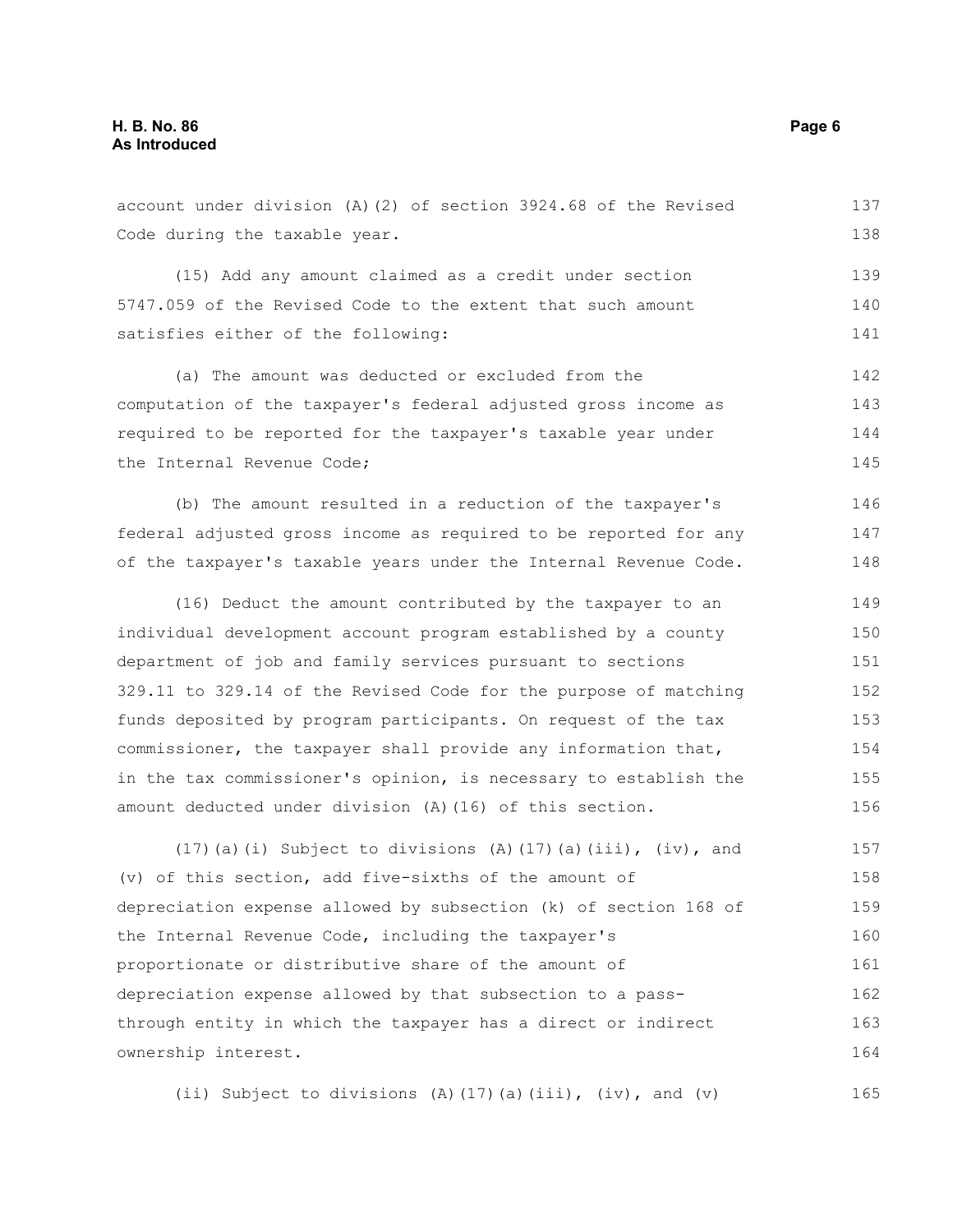Code during the taxable year. (15) Add any amount claimed as a credit under section 5747.059 of the Revised Code to the extent that such amount satisfies either of the following: (a) The amount was deducted or excluded from the computation of the taxpayer's federal adjusted gross income as required to be reported for the taxpayer's taxable year under the Internal Revenue Code; (b) The amount resulted in a reduction of the taxpayer's federal adjusted gross income as required to be reported for any of the taxpayer's taxable years under the Internal Revenue Code. (16) Deduct the amount contributed by the taxpayer to an individual development account program established by a county department of job and family services pursuant to sections 329.11 to 329.14 of the Revised Code for the purpose of matching funds deposited by program participants. On request of the tax commissioner, the taxpayer shall provide any information that, in the tax commissioner's opinion, is necessary to establish the amount deducted under division (A)(16) of this section. (17)(a)(i) Subject to divisions (A)(17)(a)(iii), (iv), and (v) of this section, add five-sixths of the amount of depreciation expense allowed by subsection (k) of section 168 of the Internal Revenue Code, including the taxpayer's proportionate or distributive share of the amount of depreciation expense allowed by that subsection to a pass-138 139 140 141 142 143 144 145 146 147 148 149 150 151 152 153 154 155 156 157 158 159 160 161 162

account under division (A)(2) of section 3924.68 of the Revised

ownership interest. (ii) Subject to divisions (A)(17)(a)(iii), (iv), and (v) 164 165

through entity in which the taxpayer has a direct or indirect

137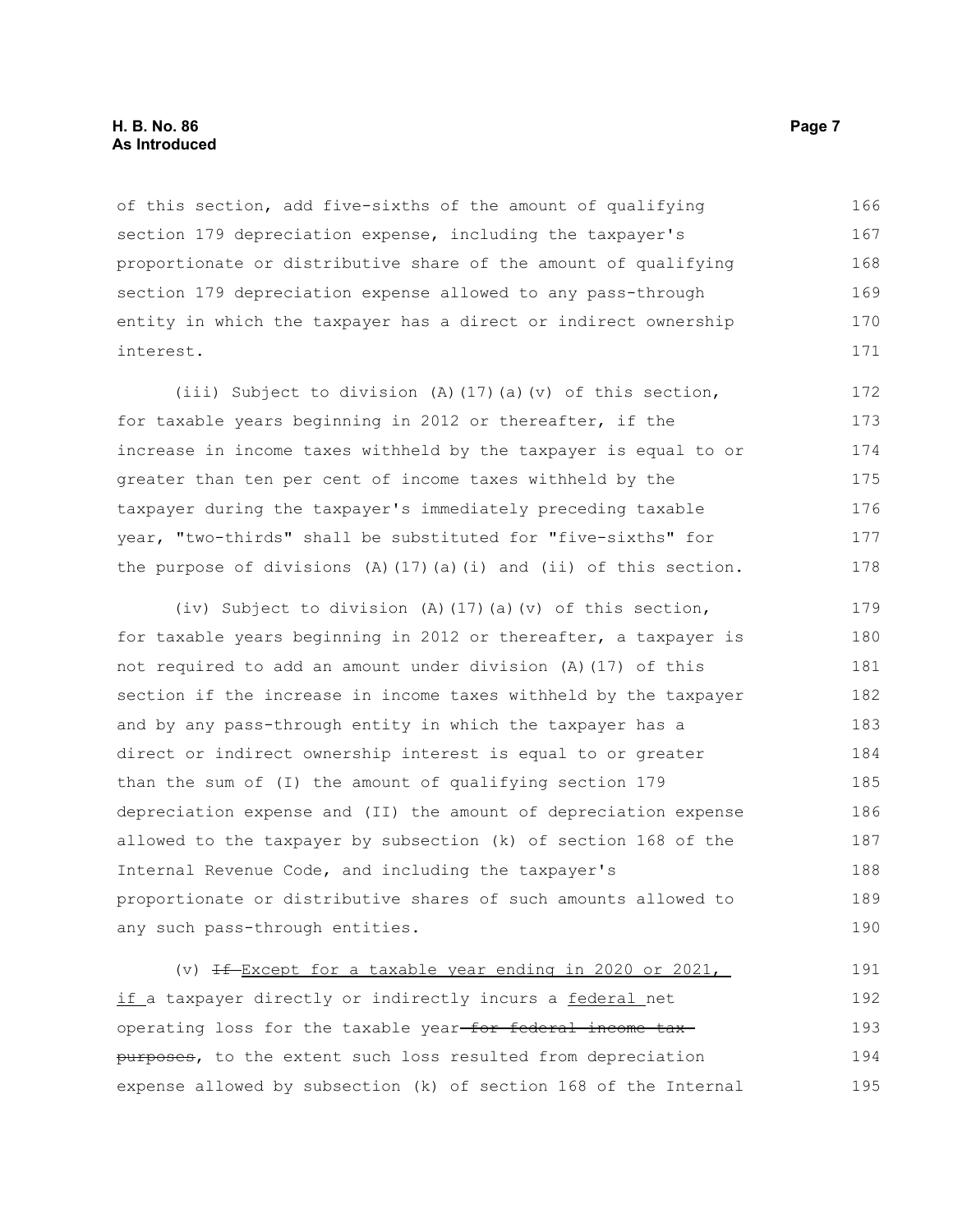#### **H. B. No. 86 Page 7 As Introduced**

of this section, add five-sixths of the amount of qualifying section 179 depreciation expense, including the taxpayer's proportionate or distributive share of the amount of qualifying section 179 depreciation expense allowed to any pass-through entity in which the taxpayer has a direct or indirect ownership interest. 166 167 168 169 170 171

(iii) Subject to division (A)(17)(a)(v) of this section, for taxable years beginning in 2012 or thereafter, if the increase in income taxes withheld by the taxpayer is equal to or greater than ten per cent of income taxes withheld by the taxpayer during the taxpayer's immediately preceding taxable year, "two-thirds" shall be substituted for "five-sixths" for the purpose of divisions  $(A)$  (17)(a)(i) and (ii) of this section. 172 173 174 175 176 177 178

(iv) Subject to division (A)(17)(a)(v) of this section, for taxable years beginning in 2012 or thereafter, a taxpayer is not required to add an amount under division (A)(17) of this section if the increase in income taxes withheld by the taxpayer and by any pass-through entity in which the taxpayer has a direct or indirect ownership interest is equal to or greater than the sum of (I) the amount of qualifying section 179 depreciation expense and (II) the amount of depreciation expense allowed to the taxpayer by subsection (k) of section 168 of the Internal Revenue Code, and including the taxpayer's proportionate or distributive shares of such amounts allowed to any such pass-through entities. 179 180 181 182 183 184 185 186 187 188 189 190

(v)  $If$ -Except for a taxable year ending in 2020 or 2021, if a taxpayer directly or indirectly incurs a federal net operating loss for the taxable year-for federal income taxpurposes, to the extent such loss resulted from depreciation expense allowed by subsection (k) of section 168 of the Internal 191 192 193 194 195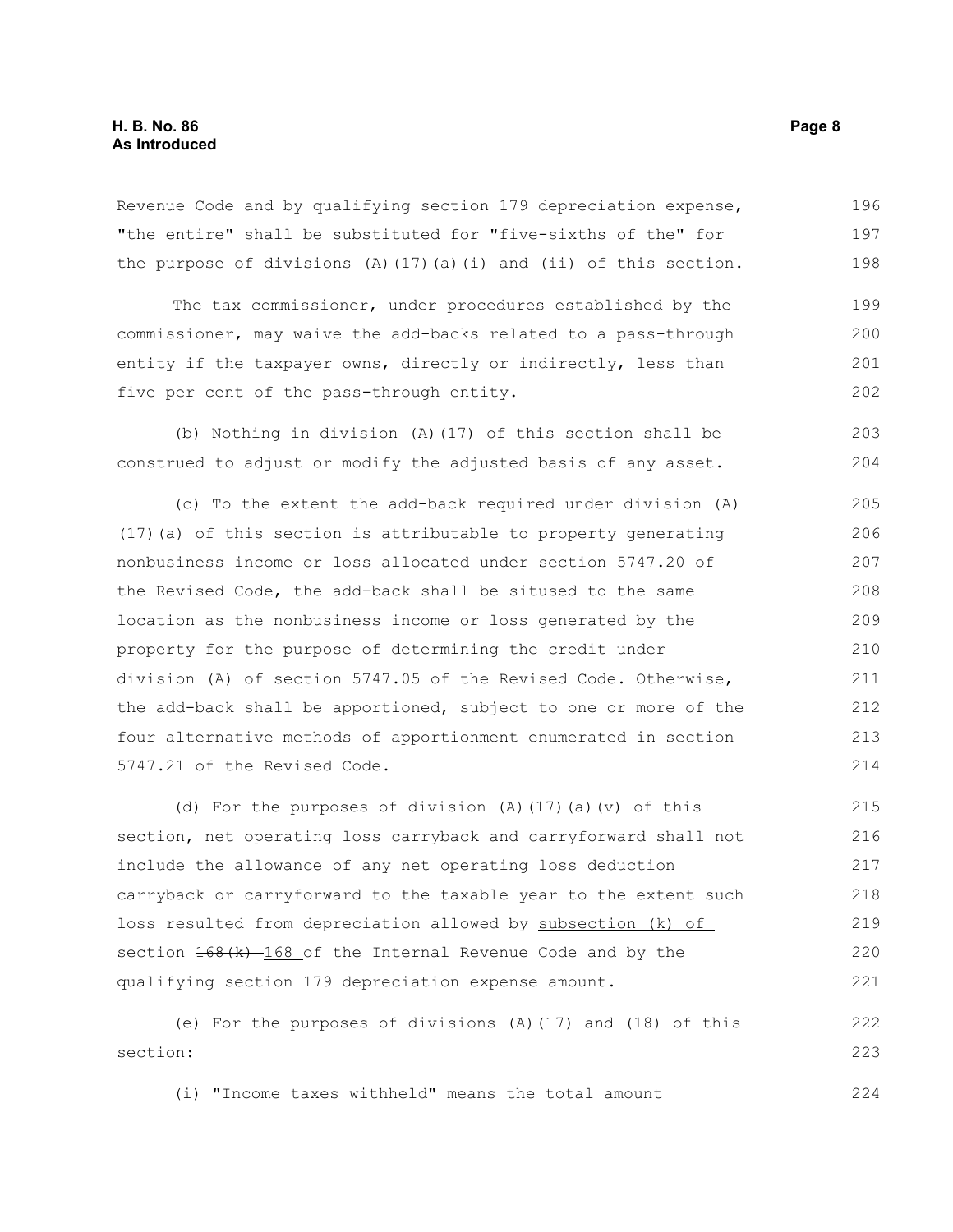Revenue Code and by qualifying section 179 depreciation expense, "the entire" shall be substituted for "five-sixths of the" for the purpose of divisions  $(A)$  (17)(a)(i) and (ii) of this section. 196 197 198

The tax commissioner, under procedures established by the commissioner, may waive the add-backs related to a pass-through entity if the taxpayer owns, directly or indirectly, less than five per cent of the pass-through entity. 199 200 201 202

(b) Nothing in division (A)(17) of this section shall be construed to adjust or modify the adjusted basis of any asset. 203 204

(c) To the extent the add-back required under division (A) (17)(a) of this section is attributable to property generating nonbusiness income or loss allocated under section 5747.20 of the Revised Code, the add-back shall be sitused to the same location as the nonbusiness income or loss generated by the property for the purpose of determining the credit under division (A) of section 5747.05 of the Revised Code. Otherwise, the add-back shall be apportioned, subject to one or more of the four alternative methods of apportionment enumerated in section 5747.21 of the Revised Code. 205 206 207 208 209 210 211 212 213 214

(d) For the purposes of division (A)(17)(a)(v) of this section, net operating loss carryback and carryforward shall not include the allowance of any net operating loss deduction carryback or carryforward to the taxable year to the extent such loss resulted from depreciation allowed by subsection (k) of section  $\frac{168(k)}{168}$  of the Internal Revenue Code and by the qualifying section 179 depreciation expense amount. 215 216 217 218 219 220 221

(e) For the purposes of divisions (A)(17) and (18) of this section: 222 223

(i) "Income taxes withheld" means the total amount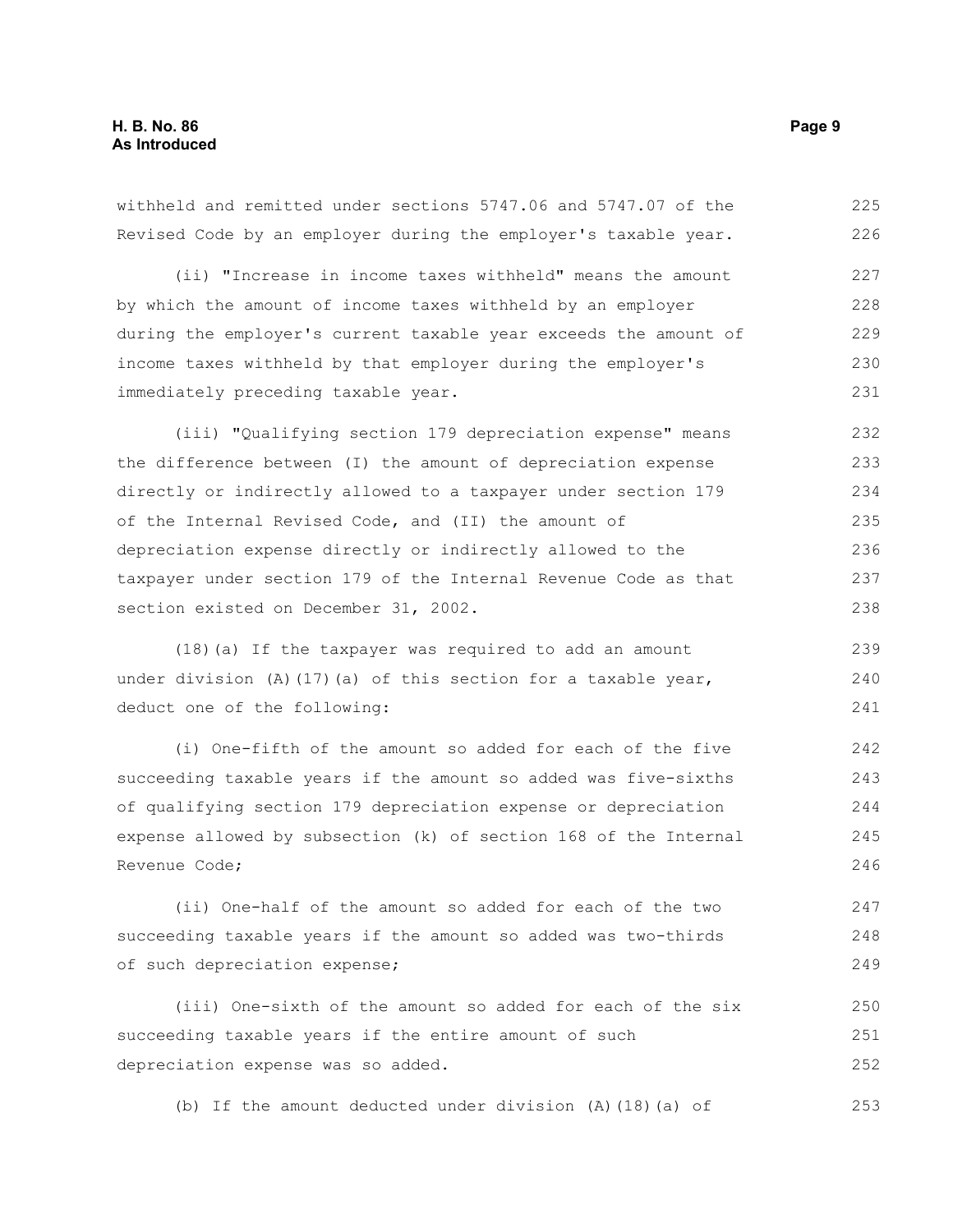withheld and remitted under sections 5747.06 and 5747.07 of the Revised Code by an employer during the employer's taxable year. (ii) "Increase in income taxes withheld" means the amount by which the amount of income taxes withheld by an employer during the employer's current taxable year exceeds the amount of income taxes withheld by that employer during the employer's immediately preceding taxable year. (iii) "Qualifying section 179 depreciation expense" means the difference between (I) the amount of depreciation expense directly or indirectly allowed to a taxpayer under section 179 of the Internal Revised Code, and (II) the amount of depreciation expense directly or indirectly allowed to the taxpayer under section 179 of the Internal Revenue Code as that section existed on December 31, 2002. (18)(a) If the taxpayer was required to add an amount under division (A)(17)(a) of this section for a taxable year, deduct one of the following: 225 226 227 228 229 230 231 232 233 234 235 236 237 238 239 240 241

(i) One-fifth of the amount so added for each of the five succeeding taxable years if the amount so added was five-sixths of qualifying section 179 depreciation expense or depreciation expense allowed by subsection (k) of section 168 of the Internal Revenue Code; 242 243 244 245 246

(ii) One-half of the amount so added for each of the two succeeding taxable years if the amount so added was two-thirds of such depreciation expense; 247 248 249

(iii) One-sixth of the amount so added for each of the six succeeding taxable years if the entire amount of such depreciation expense was so added. 250 251 252

(b) If the amount deducted under division (A)(18)(a) of 253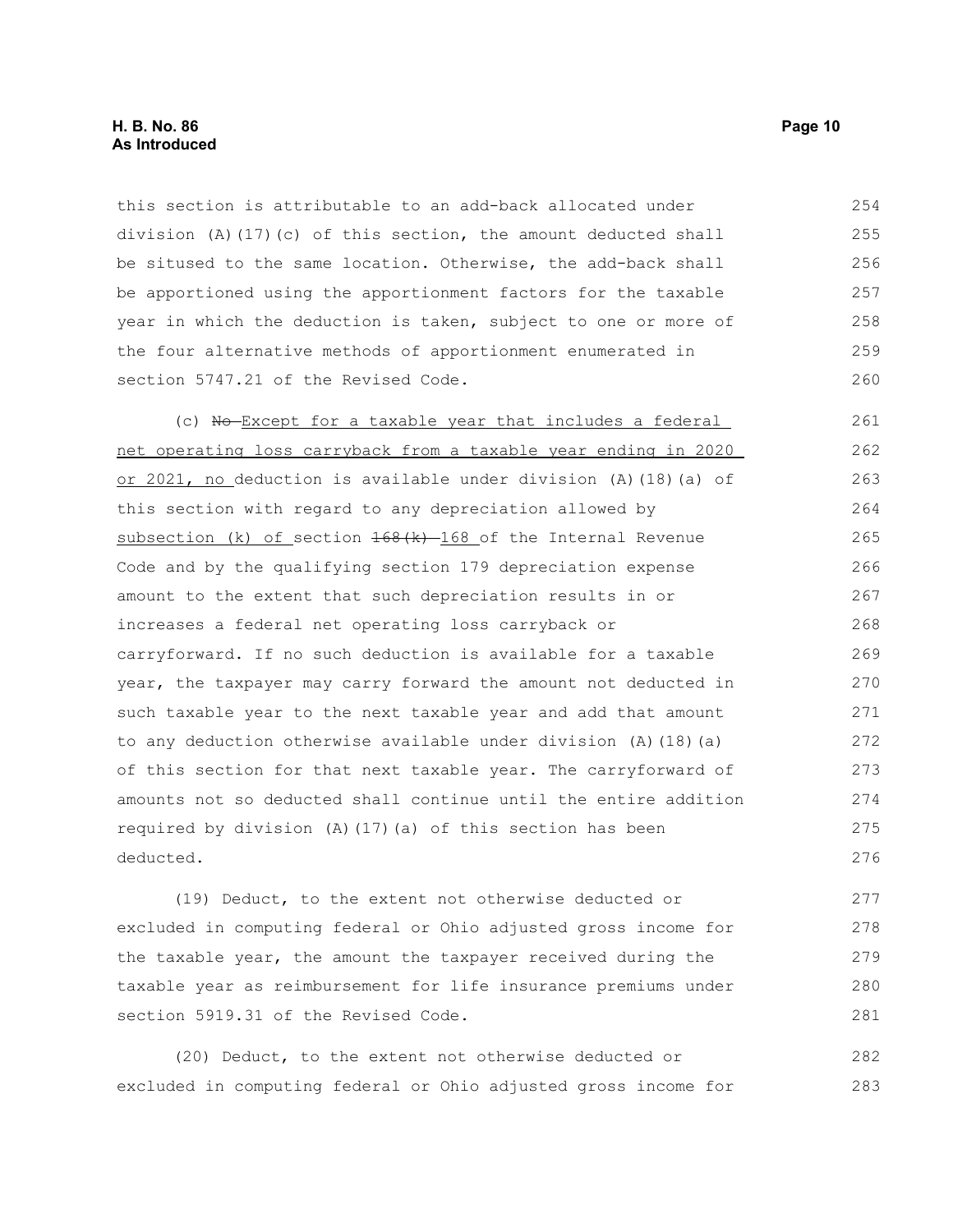this section is attributable to an add-back allocated under division (A)(17)(c) of this section, the amount deducted shall be sitused to the same location. Otherwise, the add-back shall be apportioned using the apportionment factors for the taxable year in which the deduction is taken, subject to one or more of the four alternative methods of apportionment enumerated in section 5747.21 of the Revised Code. 254 255 256 257 258 259 260

(c) No-Except for a taxable year that includes a federal net operating loss carryback from a taxable year ending in 2020 or 2021, no deduction is available under division (A)(18)(a) of this section with regard to any depreciation allowed by subsection (k) of section  $168(k)$  -  $168$  of the Internal Revenue Code and by the qualifying section 179 depreciation expense amount to the extent that such depreciation results in or increases a federal net operating loss carryback or carryforward. If no such deduction is available for a taxable year, the taxpayer may carry forward the amount not deducted in such taxable year to the next taxable year and add that amount to any deduction otherwise available under division (A)(18)(a) of this section for that next taxable year. The carryforward of amounts not so deducted shall continue until the entire addition required by division (A)(17)(a) of this section has been deducted. 261 262 263 264 265 266 267 268 269 270 271 272 273 274 275 276

(19) Deduct, to the extent not otherwise deducted or excluded in computing federal or Ohio adjusted gross income for the taxable year, the amount the taxpayer received during the taxable year as reimbursement for life insurance premiums under section 5919.31 of the Revised Code. 277 278 279 280 281

(20) Deduct, to the extent not otherwise deducted or excluded in computing federal or Ohio adjusted gross income for 282 283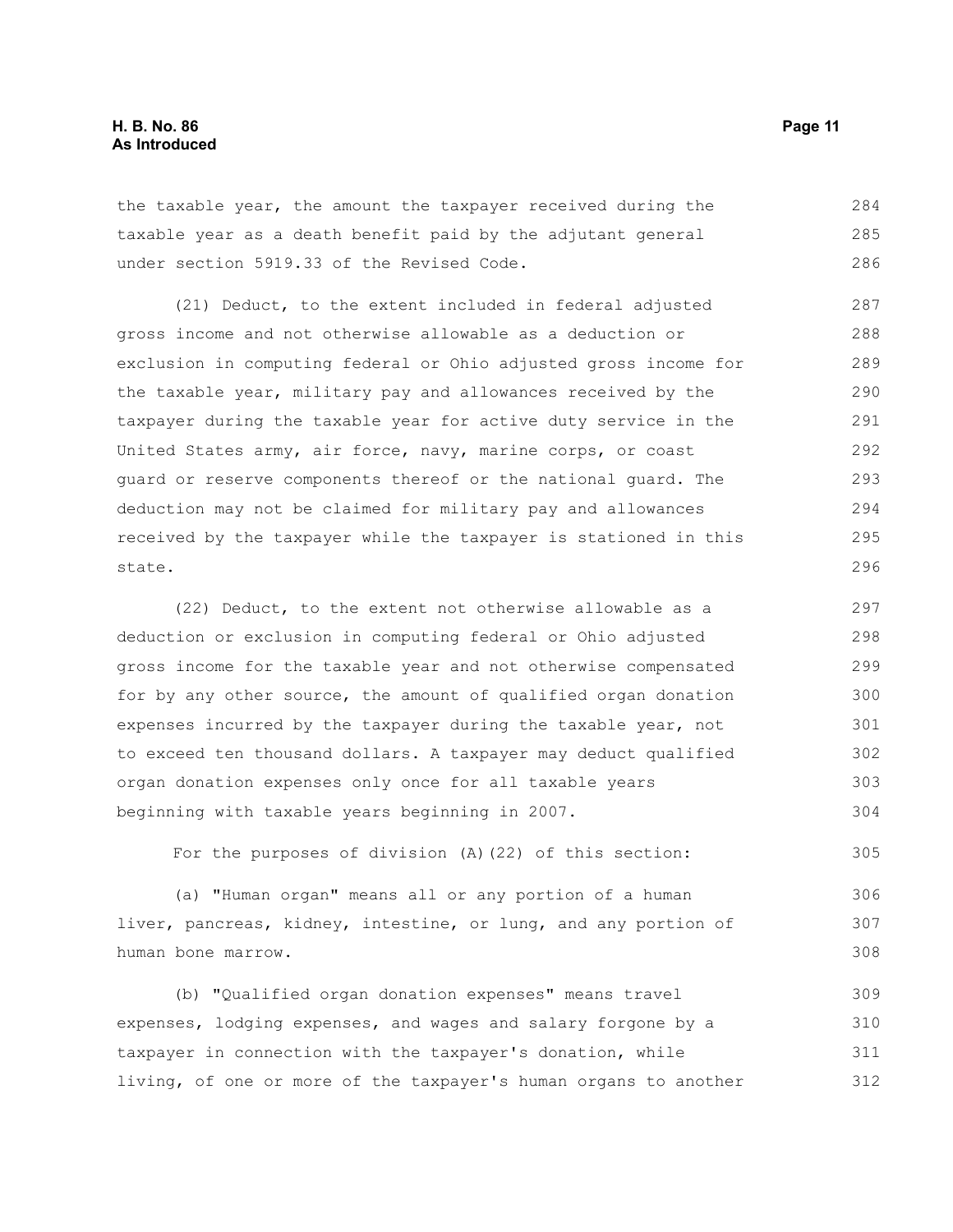the taxable year, the amount the taxpayer received during the taxable year as a death benefit paid by the adjutant general under section 5919.33 of the Revised Code. 284 285 286

(21) Deduct, to the extent included in federal adjusted gross income and not otherwise allowable as a deduction or exclusion in computing federal or Ohio adjusted gross income for the taxable year, military pay and allowances received by the taxpayer during the taxable year for active duty service in the United States army, air force, navy, marine corps, or coast guard or reserve components thereof or the national guard. The deduction may not be claimed for military pay and allowances received by the taxpayer while the taxpayer is stationed in this state. 287 288 289 290 291 292 293 294 295 296

(22) Deduct, to the extent not otherwise allowable as a deduction or exclusion in computing federal or Ohio adjusted gross income for the taxable year and not otherwise compensated for by any other source, the amount of qualified organ donation expenses incurred by the taxpayer during the taxable year, not to exceed ten thousand dollars. A taxpayer may deduct qualified organ donation expenses only once for all taxable years beginning with taxable years beginning in 2007. 297 298 299 300 301 302 303 304

For the purposes of division (A)(22) of this section: 305

(a) "Human organ" means all or any portion of a human liver, pancreas, kidney, intestine, or lung, and any portion of human bone marrow. 306 307 308

(b) "Qualified organ donation expenses" means travel expenses, lodging expenses, and wages and salary forgone by a taxpayer in connection with the taxpayer's donation, while living, of one or more of the taxpayer's human organs to another 309 310 311 312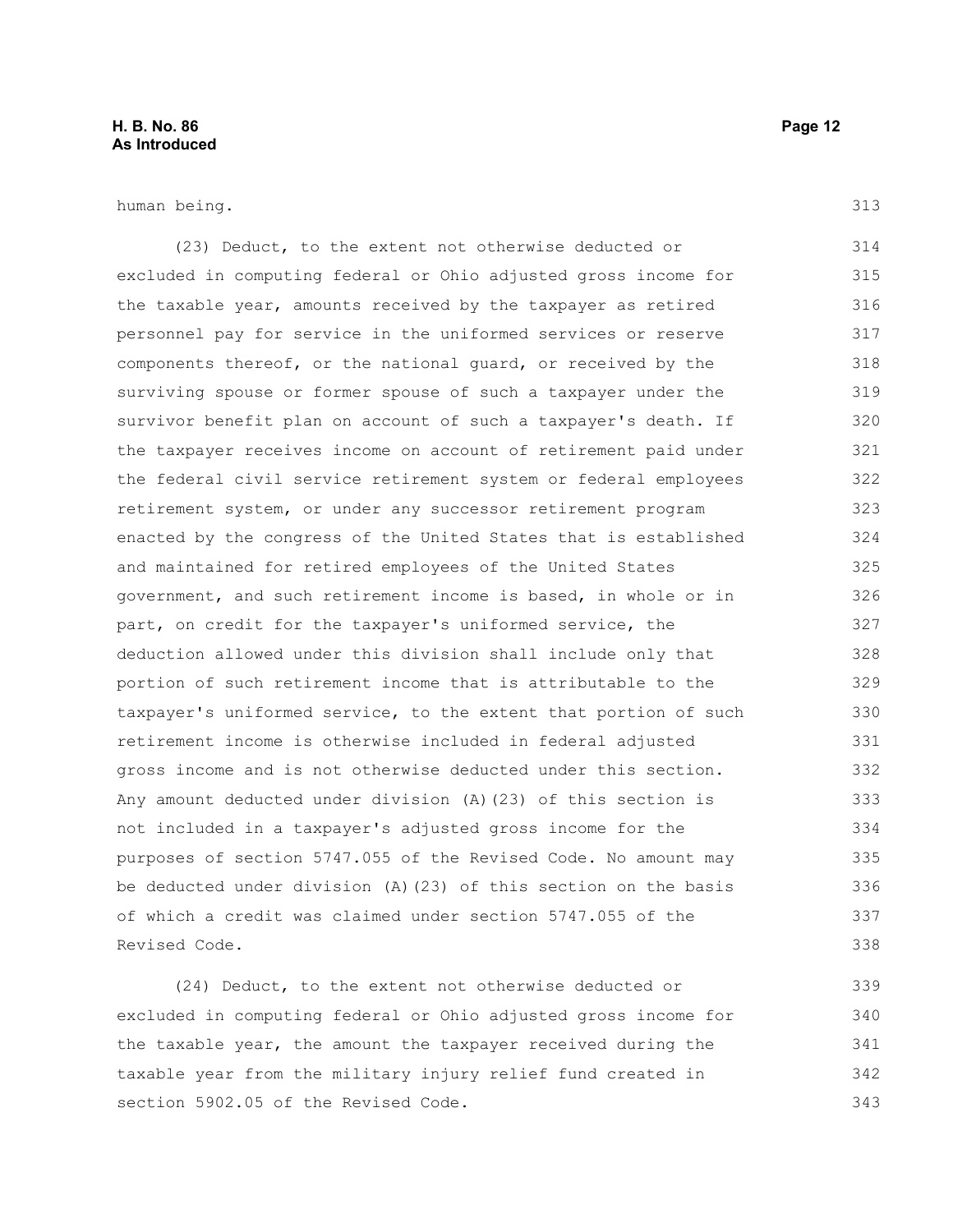human being.

(23) Deduct, to the extent not otherwise deducted or excluded in computing federal or Ohio adjusted gross income for the taxable year, amounts received by the taxpayer as retired personnel pay for service in the uniformed services or reserve components thereof, or the national guard, or received by the surviving spouse or former spouse of such a taxpayer under the survivor benefit plan on account of such a taxpayer's death. If the taxpayer receives income on account of retirement paid under the federal civil service retirement system or federal employees retirement system, or under any successor retirement program enacted by the congress of the United States that is established and maintained for retired employees of the United States government, and such retirement income is based, in whole or in part, on credit for the taxpayer's uniformed service, the deduction allowed under this division shall include only that portion of such retirement income that is attributable to the taxpayer's uniformed service, to the extent that portion of such retirement income is otherwise included in federal adjusted gross income and is not otherwise deducted under this section. Any amount deducted under division (A)(23) of this section is not included in a taxpayer's adjusted gross income for the purposes of section 5747.055 of the Revised Code. No amount may be deducted under division (A)(23) of this section on the basis of which a credit was claimed under section 5747.055 of the Revised Code. 314 315 316 317 318 319 320 321 322 323 324 325 326 327 328 329 330 331 332 333 334 335 336 337 338

(24) Deduct, to the extent not otherwise deducted or excluded in computing federal or Ohio adjusted gross income for the taxable year, the amount the taxpayer received during the taxable year from the military injury relief fund created in section 5902.05 of the Revised Code. 339 340 341 342 343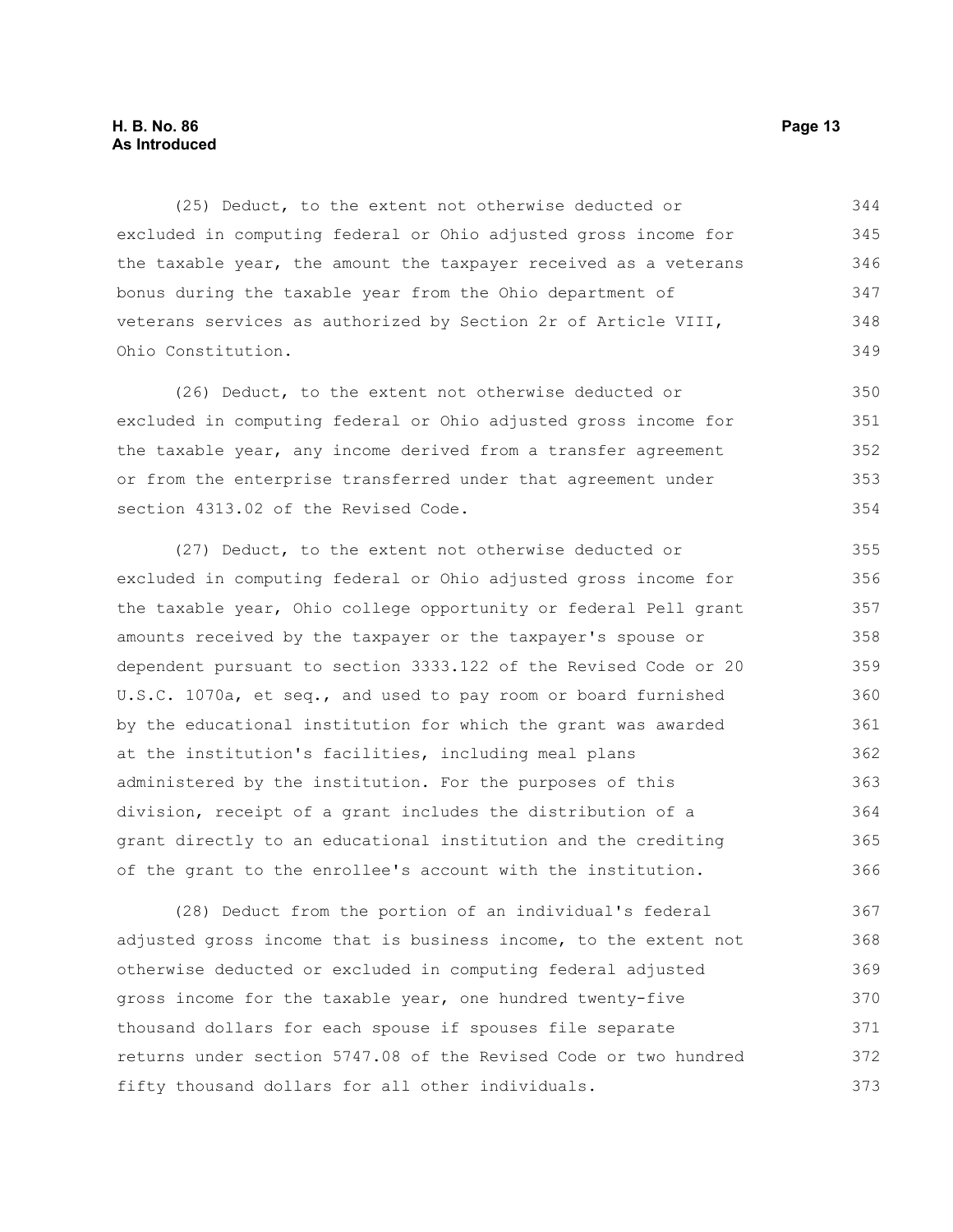(25) Deduct, to the extent not otherwise deducted or excluded in computing federal or Ohio adjusted gross income for the taxable year, the amount the taxpayer received as a veterans bonus during the taxable year from the Ohio department of veterans services as authorized by Section 2r of Article VIII, Ohio Constitution. 344 345 346 347 348 349

(26) Deduct, to the extent not otherwise deducted or excluded in computing federal or Ohio adjusted gross income for the taxable year, any income derived from a transfer agreement or from the enterprise transferred under that agreement under section 4313.02 of the Revised Code. 350 351 352 353 354

(27) Deduct, to the extent not otherwise deducted or excluded in computing federal or Ohio adjusted gross income for the taxable year, Ohio college opportunity or federal Pell grant amounts received by the taxpayer or the taxpayer's spouse or dependent pursuant to section 3333.122 of the Revised Code or 20 U.S.C. 1070a, et seq., and used to pay room or board furnished by the educational institution for which the grant was awarded at the institution's facilities, including meal plans administered by the institution. For the purposes of this division, receipt of a grant includes the distribution of a grant directly to an educational institution and the crediting of the grant to the enrollee's account with the institution. 355 356 357 358 359 360 361 362 363 364 365 366

(28) Deduct from the portion of an individual's federal adjusted gross income that is business income, to the extent not otherwise deducted or excluded in computing federal adjusted gross income for the taxable year, one hundred twenty-five thousand dollars for each spouse if spouses file separate returns under section 5747.08 of the Revised Code or two hundred fifty thousand dollars for all other individuals. 367 368 369 370 371 372 373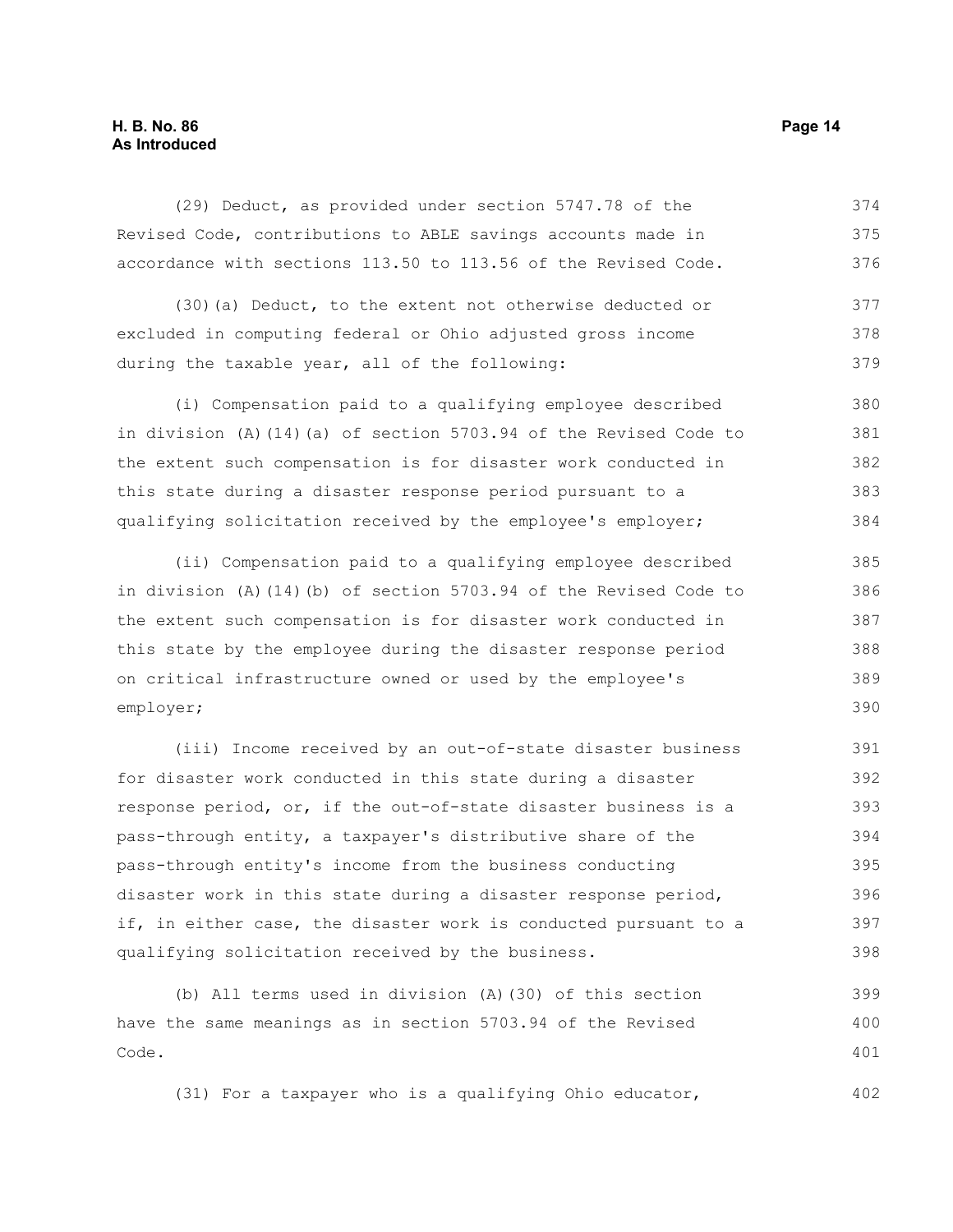#### **H. B. No. 86 Page 14 As Introduced**

(29) Deduct, as provided under section 5747.78 of the Revised Code, contributions to ABLE savings accounts made in accordance with sections 113.50 to 113.56 of the Revised Code. 374 375 376

(30)(a) Deduct, to the extent not otherwise deducted or excluded in computing federal or Ohio adjusted gross income during the taxable year, all of the following: 377 378 379

(i) Compensation paid to a qualifying employee described in division (A)(14)(a) of section 5703.94 of the Revised Code to the extent such compensation is for disaster work conducted in this state during a disaster response period pursuant to a qualifying solicitation received by the employee's employer; 380 381 382 383 384

(ii) Compensation paid to a qualifying employee described in division (A)(14)(b) of section 5703.94 of the Revised Code to the extent such compensation is for disaster work conducted in this state by the employee during the disaster response period on critical infrastructure owned or used by the employee's employer; 385 386 387 388 389 390

(iii) Income received by an out-of-state disaster business for disaster work conducted in this state during a disaster response period, or, if the out-of-state disaster business is a pass-through entity, a taxpayer's distributive share of the pass-through entity's income from the business conducting disaster work in this state during a disaster response period, if, in either case, the disaster work is conducted pursuant to a qualifying solicitation received by the business. 391 392 393 394 395 396 397 398

(b) All terms used in division (A)(30) of this section have the same meanings as in section 5703.94 of the Revised Code. 399 400 401

(31) For a taxpayer who is a qualifying Ohio educator,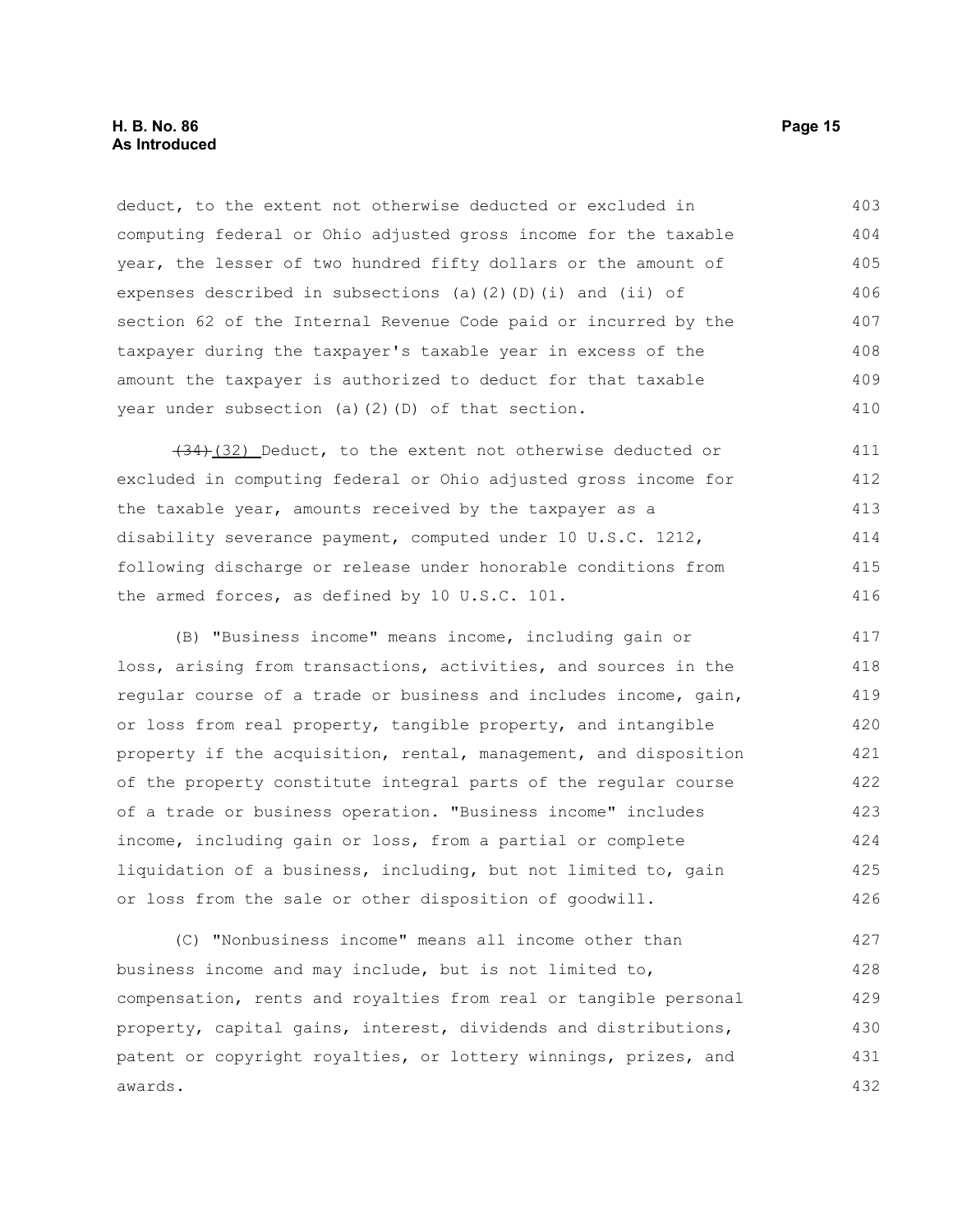deduct, to the extent not otherwise deducted or excluded in computing federal or Ohio adjusted gross income for the taxable year, the lesser of two hundred fifty dollars or the amount of expenses described in subsections (a)(2)(D)(i) and (ii) of section 62 of the Internal Revenue Code paid or incurred by the taxpayer during the taxpayer's taxable year in excess of the amount the taxpayer is authorized to deduct for that taxable year under subsection (a)(2)(D) of that section. 403 404 405 406 407 408 409 410

 $(34)$ (32) Deduct, to the extent not otherwise deducted or excluded in computing federal or Ohio adjusted gross income for the taxable year, amounts received by the taxpayer as a disability severance payment, computed under 10 U.S.C. 1212, following discharge or release under honorable conditions from the armed forces, as defined by 10 U.S.C. 101. 411 412 413 414 415 416

(B) "Business income" means income, including gain or loss, arising from transactions, activities, and sources in the regular course of a trade or business and includes income, gain, or loss from real property, tangible property, and intangible property if the acquisition, rental, management, and disposition of the property constitute integral parts of the regular course of a trade or business operation. "Business income" includes income, including gain or loss, from a partial or complete liquidation of a business, including, but not limited to, gain or loss from the sale or other disposition of goodwill. 417 418 419 420 421 422 423 424 425 426

(C) "Nonbusiness income" means all income other than business income and may include, but is not limited to, compensation, rents and royalties from real or tangible personal property, capital gains, interest, dividends and distributions, patent or copyright royalties, or lottery winnings, prizes, and awards. 427 428 429 430 431 432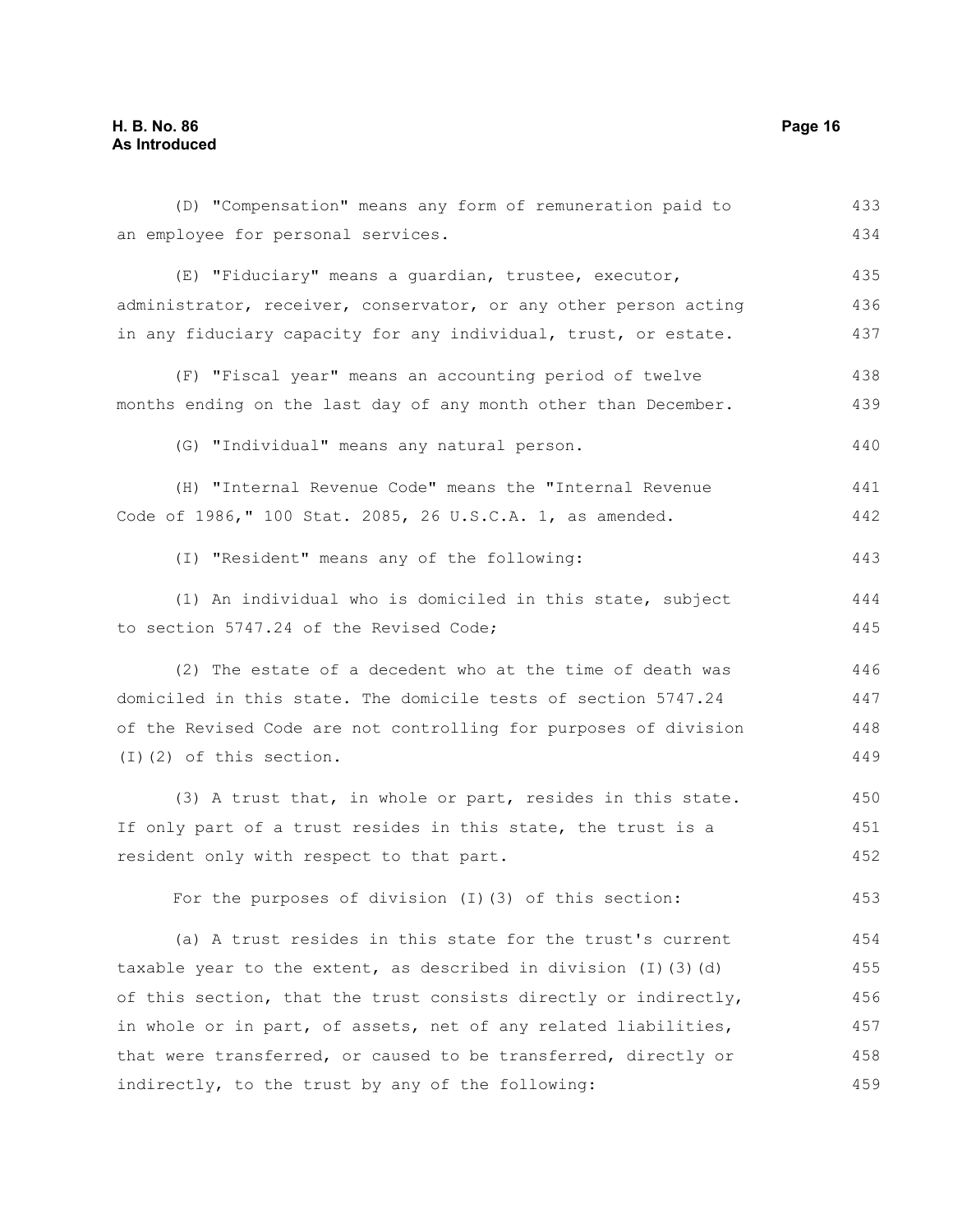| (D) "Compensation" means any form of remuneration paid to              | 433 |
|------------------------------------------------------------------------|-----|
| an employee for personal services.                                     | 434 |
| (E) "Fiduciary" means a guardian, trustee, executor,                   | 435 |
| administrator, receiver, conservator, or any other person acting       | 436 |
| in any fiduciary capacity for any individual, trust, or estate.        | 437 |
| (F) "Fiscal year" means an accounting period of twelve                 | 438 |
| months ending on the last day of any month other than December.        | 439 |
| (G) "Individual" means any natural person.                             | 440 |
| (H) "Internal Revenue Code" means the "Internal Revenue                | 441 |
| Code of 1986," 100 Stat. 2085, 26 U.S.C.A. 1, as amended.              | 442 |
| (I) "Resident" means any of the following:                             | 443 |
| (1) An individual who is domiciled in this state, subject              | 444 |
| to section 5747.24 of the Revised Code;                                | 445 |
| (2) The estate of a decedent who at the time of death was              | 446 |
| domiciled in this state. The domicile tests of section 5747.24         | 447 |
| of the Revised Code are not controlling for purposes of division       | 448 |
| $(I)$ $(2)$ of this section.                                           | 449 |
| (3) A trust that, in whole or part, resides in this state.             | 450 |
| If only part of a trust resides in this state, the trust is a          | 451 |
| resident only with respect to that part.                               | 452 |
| For the purposes of division (I) (3) of this section:                  | 453 |
| (a) A trust resides in this state for the trust's current              | 454 |
| taxable year to the extent, as described in division $(I)$ $(3)$ $(d)$ | 455 |
| of this section, that the trust consists directly or indirectly,       | 456 |
| in whole or in part, of assets, net of any related liabilities,        | 457 |
| that were transferred, or caused to be transferred, directly or        | 458 |
| indirectly, to the trust by any of the following:                      | 459 |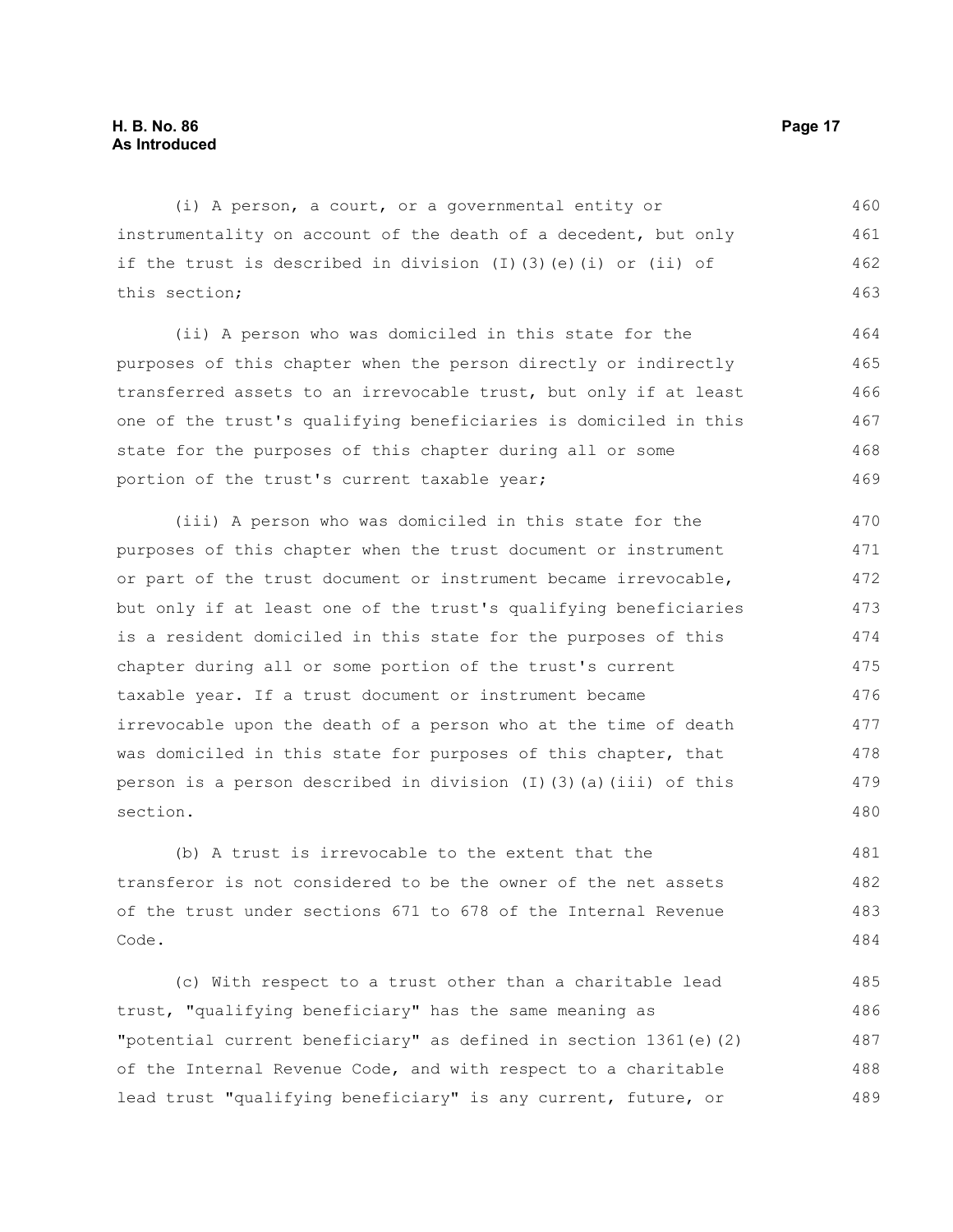(i) A person, a court, or a governmental entity or instrumentality on account of the death of a decedent, but only if the trust is described in division (I)(3)(e)(i) or (ii) of this section; 460 461 462 463

(ii) A person who was domiciled in this state for the purposes of this chapter when the person directly or indirectly transferred assets to an irrevocable trust, but only if at least one of the trust's qualifying beneficiaries is domiciled in this state for the purposes of this chapter during all or some portion of the trust's current taxable year; 464 465 466 467 468 469

(iii) A person who was domiciled in this state for the purposes of this chapter when the trust document or instrument or part of the trust document or instrument became irrevocable, but only if at least one of the trust's qualifying beneficiaries is a resident domiciled in this state for the purposes of this chapter during all or some portion of the trust's current taxable year. If a trust document or instrument became irrevocable upon the death of a person who at the time of death was domiciled in this state for purposes of this chapter, that person is a person described in division  $(I)$  (3)(a)(iii) of this section. 470 471 472 473 474 475 476 477 478 479 480

(b) A trust is irrevocable to the extent that the transferor is not considered to be the owner of the net assets of the trust under sections 671 to 678 of the Internal Revenue Code. 481 482 483 484

(c) With respect to a trust other than a charitable lead trust, "qualifying beneficiary" has the same meaning as "potential current beneficiary" as defined in section 1361(e)(2) of the Internal Revenue Code, and with respect to a charitable lead trust "qualifying beneficiary" is any current, future, or 485 486 487 488 489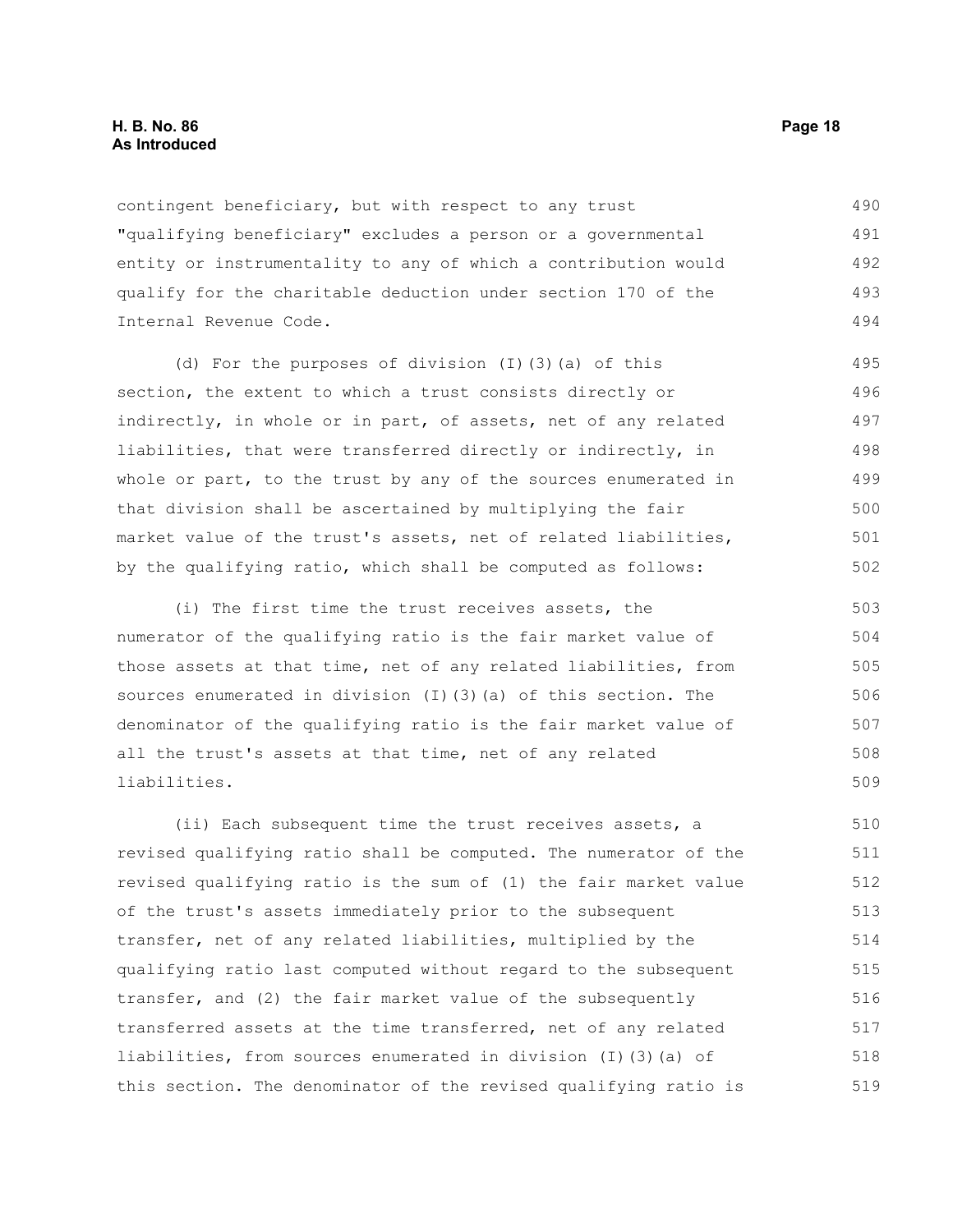contingent beneficiary, but with respect to any trust "qualifying beneficiary" excludes a person or a governmental entity or instrumentality to any of which a contribution would qualify for the charitable deduction under section 170 of the Internal Revenue Code. 490 491 492 493 494

(d) For the purposes of division (I)(3)(a) of this section, the extent to which a trust consists directly or indirectly, in whole or in part, of assets, net of any related liabilities, that were transferred directly or indirectly, in whole or part, to the trust by any of the sources enumerated in that division shall be ascertained by multiplying the fair market value of the trust's assets, net of related liabilities, by the qualifying ratio, which shall be computed as follows: 495 496 497 498 499 500 501 502

(i) The first time the trust receives assets, the numerator of the qualifying ratio is the fair market value of those assets at that time, net of any related liabilities, from sources enumerated in division (I)(3)(a) of this section. The denominator of the qualifying ratio is the fair market value of all the trust's assets at that time, net of any related liabilities.

(ii) Each subsequent time the trust receives assets, a revised qualifying ratio shall be computed. The numerator of the revised qualifying ratio is the sum of (1) the fair market value of the trust's assets immediately prior to the subsequent transfer, net of any related liabilities, multiplied by the qualifying ratio last computed without regard to the subsequent transfer, and (2) the fair market value of the subsequently transferred assets at the time transferred, net of any related liabilities, from sources enumerated in division (I)(3)(a) of this section. The denominator of the revised qualifying ratio is 510 511 512 513 514 515 516 517 518 519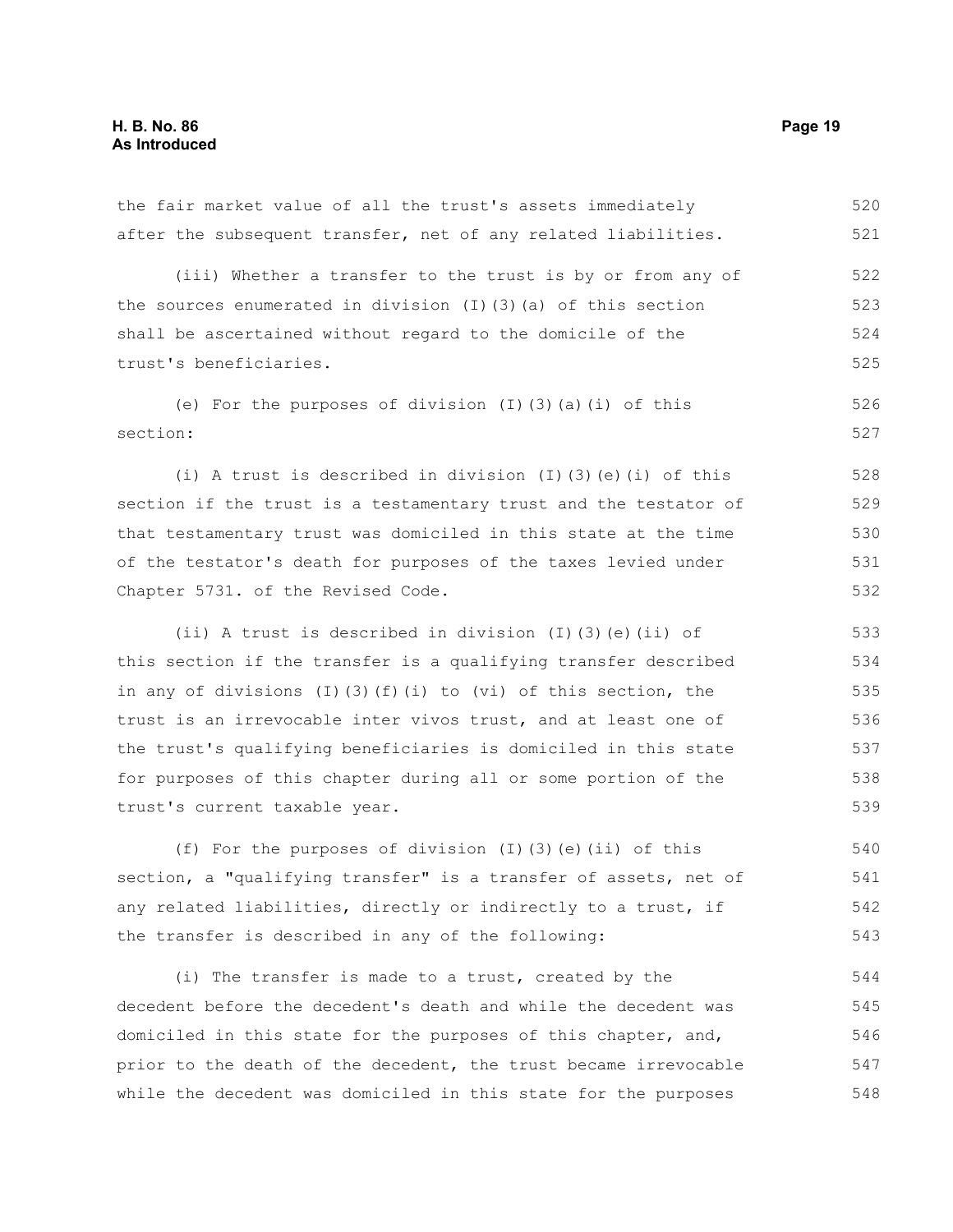after the subsequent transfer, net of any related liabilities. (iii) Whether a transfer to the trust is by or from any of the sources enumerated in division (I)(3)(a) of this section shall be ascertained without regard to the domicile of the trust's beneficiaries. (e) For the purposes of division (I)(3)(a)(i) of this section: (i) A trust is described in division (I)(3)(e)(i) of this section if the trust is a testamentary trust and the testator of that testamentary trust was domiciled in this state at the time of the testator's death for purposes of the taxes levied under Chapter 5731. of the Revised Code. (ii) A trust is described in division (I)(3)(e)(ii) of this section if the transfer is a qualifying transfer described in any of divisions  $(I)$   $(3)$   $(f)$   $(i)$  to  $(vi)$  of this section, the trust is an irrevocable inter vivos trust, and at least one of the trust's qualifying beneficiaries is domiciled in this state for purposes of this chapter during all or some portion of the trust's current taxable year. (f) For the purposes of division (I)(3)(e)(ii) of this section, a "qualifying transfer" is a transfer of assets, net of any related liabilities, directly or indirectly to a trust, if 521 522 523 524 525 526 527 528 529 530 531 532 533 534 535 536 537 538 539 540 541 542

the fair market value of all the trust's assets immediately

(i) The transfer is made to a trust, created by the decedent before the decedent's death and while the decedent was domiciled in this state for the purposes of this chapter, and, prior to the death of the decedent, the trust became irrevocable while the decedent was domiciled in this state for the purposes 544 545 546 547 548

the transfer is described in any of the following:

520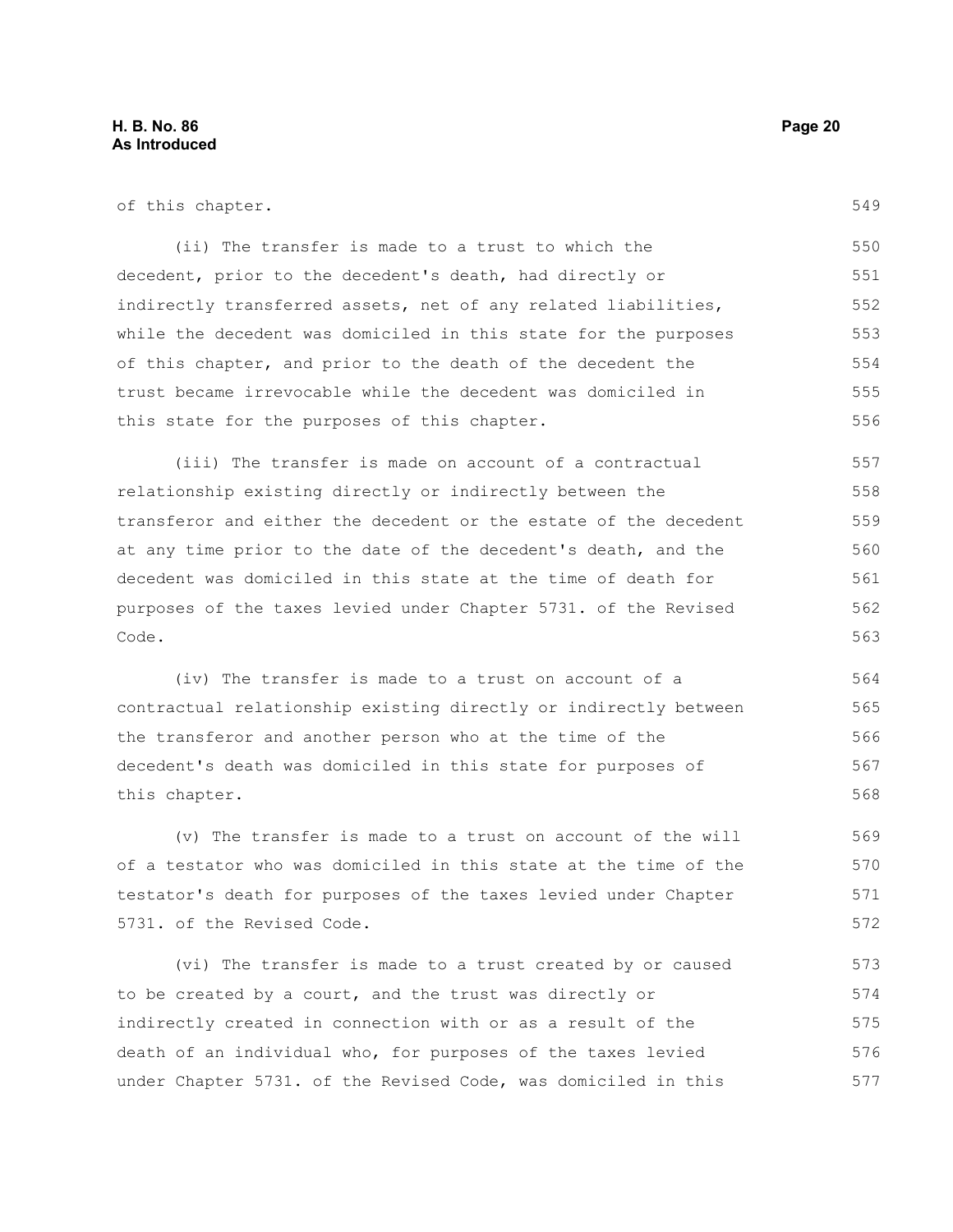|  |  | of this chapter. |
|--|--|------------------|
|--|--|------------------|

549

(ii) The transfer is made to a trust to which the decedent, prior to the decedent's death, had directly or indirectly transferred assets, net of any related liabilities, while the decedent was domiciled in this state for the purposes of this chapter, and prior to the death of the decedent the trust became irrevocable while the decedent was domiciled in this state for the purposes of this chapter. 550 551 552 553 554 555 556

(iii) The transfer is made on account of a contractual relationship existing directly or indirectly between the transferor and either the decedent or the estate of the decedent at any time prior to the date of the decedent's death, and the decedent was domiciled in this state at the time of death for purposes of the taxes levied under Chapter 5731. of the Revised Code. 557 558 559 560 561 562 563

(iv) The transfer is made to a trust on account of a contractual relationship existing directly or indirectly between the transferor and another person who at the time of the decedent's death was domiciled in this state for purposes of this chapter. 564 565 566 567 568

(v) The transfer is made to a trust on account of the will of a testator who was domiciled in this state at the time of the testator's death for purposes of the taxes levied under Chapter 5731. of the Revised Code.

(vi) The transfer is made to a trust created by or caused to be created by a court, and the trust was directly or indirectly created in connection with or as a result of the death of an individual who, for purposes of the taxes levied under Chapter 5731. of the Revised Code, was domiciled in this 573 574 575 576 577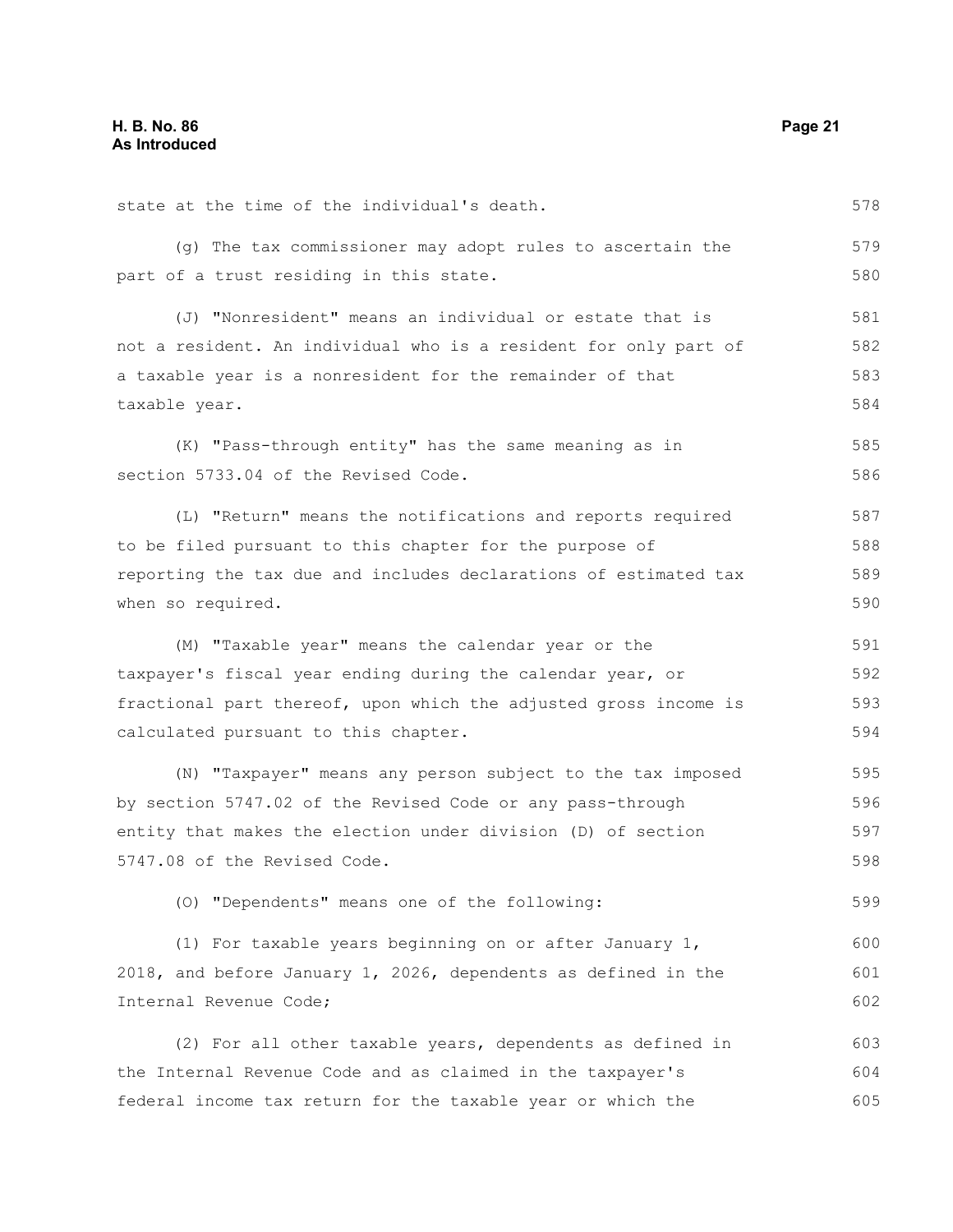state at the time of the individual's death. (g) The tax commissioner may adopt rules to ascertain the part of a trust residing in this state. (J) "Nonresident" means an individual or estate that is not a resident. An individual who is a resident for only part of a taxable year is a nonresident for the remainder of that taxable year. (K) "Pass-through entity" has the same meaning as in section 5733.04 of the Revised Code. (L) "Return" means the notifications and reports required to be filed pursuant to this chapter for the purpose of reporting the tax due and includes declarations of estimated tax when so required. (M) "Taxable year" means the calendar year or the taxpayer's fiscal year ending during the calendar year, or fractional part thereof, upon which the adjusted gross income is calculated pursuant to this chapter. (N) "Taxpayer" means any person subject to the tax imposed by section 5747.02 of the Revised Code or any pass-through entity that makes the election under division (D) of section 5747.08 of the Revised Code. (O) "Dependents" means one of the following: (1) For taxable years beginning on or after January 1, 2018, and before January 1, 2026, dependents as defined in the Internal Revenue Code; (2) For all other taxable years, dependents as defined in the Internal Revenue Code and as claimed in the taxpayer's federal income tax return for the taxable year or which the 578 579 580 581 582 583 584 585 586 587 588 589 590 591 592 593 594 595 596 597 598 599 600 601 602 603 604 605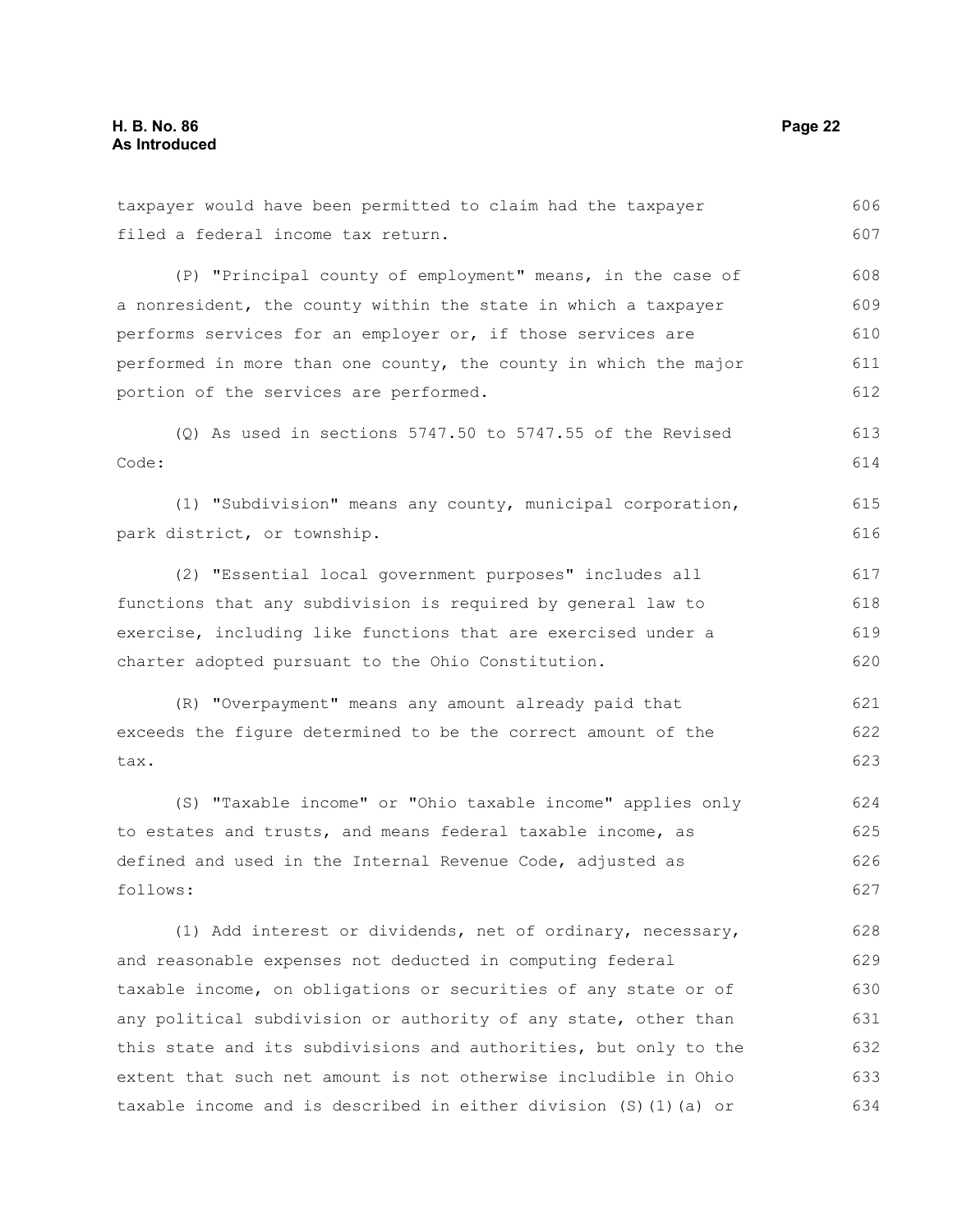filed a federal income tax return. (P) "Principal county of employment" means, in the case of a nonresident, the county within the state in which a taxpayer performs services for an employer or, if those services are performed in more than one county, the county in which the major portion of the services are performed. (Q) As used in sections 5747.50 to 5747.55 of the Revised Code: (1) "Subdivision" means any county, municipal corporation, park district, or township. (2) "Essential local government purposes" includes all functions that any subdivision is required by general law to exercise, including like functions that are exercised under a charter adopted pursuant to the Ohio Constitution. (R) "Overpayment" means any amount already paid that exceeds the figure determined to be the correct amount of the tax. (S) "Taxable income" or "Ohio taxable income" applies only to estates and trusts, and means federal taxable income, as defined and used in the Internal Revenue Code, adjusted as follows: (1) Add interest or dividends, net of ordinary, necessary, and reasonable expenses not deducted in computing federal taxable income, on obligations or securities of any state or of any political subdivision or authority of any state, other than this state and its subdivisions and authorities, but only to the extent that such net amount is not otherwise includible in Ohio taxable income and is described in either division (S)(1)(a) or 607 608 609 610 611 612 613 614 615 616 617 618 619 620 621 622 623 624 625 626 627 628 629 630 631 632 633 634

taxpayer would have been permitted to claim had the taxpayer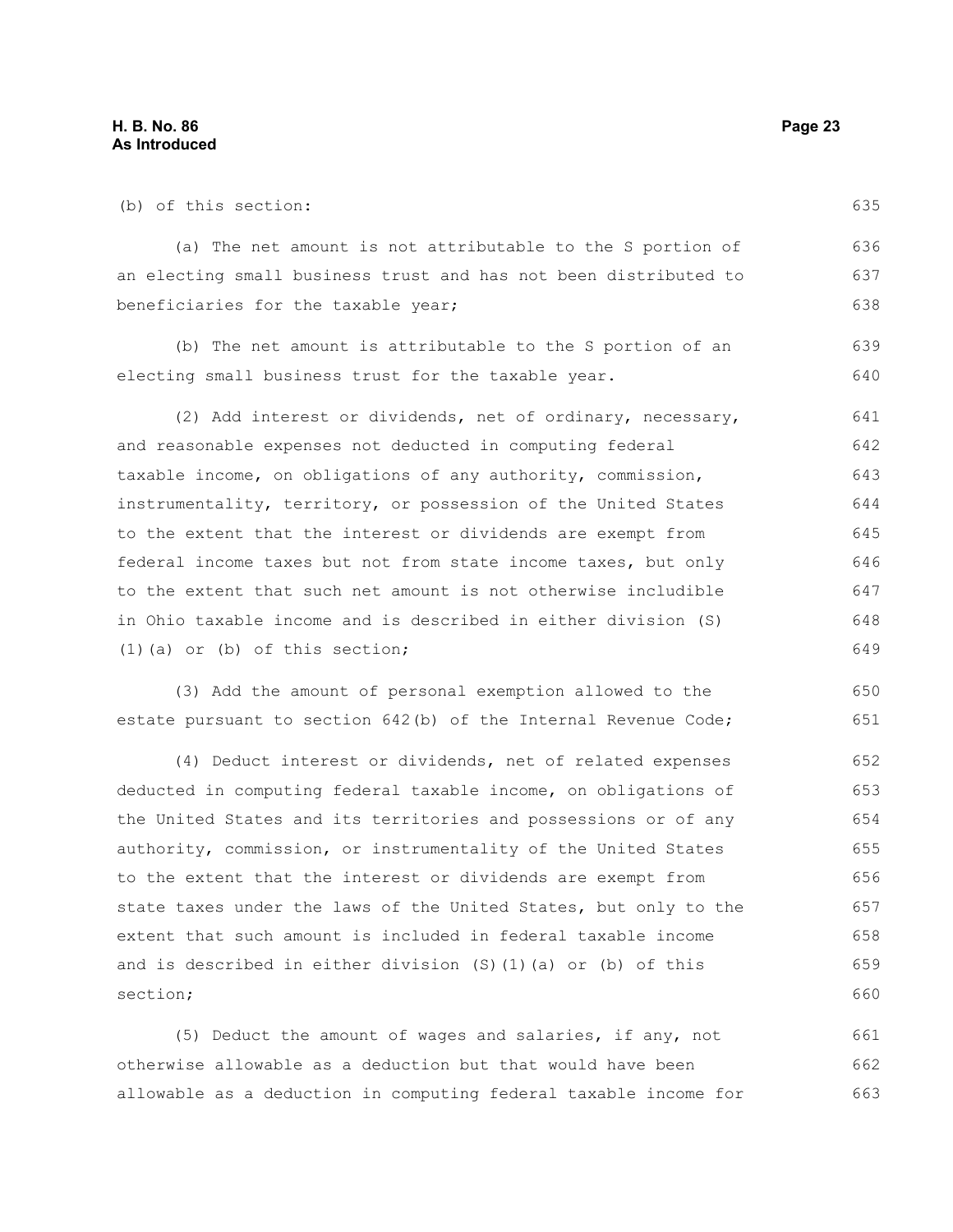| (b) of this section:                                             | 635 |
|------------------------------------------------------------------|-----|
| (a) The net amount is not attributable to the S portion of       | 636 |
| an electing small business trust and has not been distributed to | 637 |
| beneficiaries for the taxable year;                              | 638 |
| (b) The net amount is attributable to the S portion of an        | 639 |
| electing small business trust for the taxable year.              | 640 |
| (2) Add interest or dividends, net of ordinary, necessary,       | 641 |
| and reasonable expenses not deducted in computing federal        | 642 |
| taxable income, on obligations of any authority, commission,     | 643 |
| instrumentality, territory, or possession of the United States   | 644 |
| to the extent that the interest or dividends are exempt from     | 645 |
| federal income taxes but not from state income taxes, but only   | 646 |
| to the extent that such net amount is not otherwise includible   | 647 |
| in Ohio taxable income and is described in either division (S)   | 648 |
| $(1)$ (a) or (b) of this section;                                | 649 |
| (3) Add the amount of personal exemption allowed to the          | 650 |
| estate pursuant to section 642(b) of the Internal Revenue Code;  | 651 |
| (4) Deduct interest or dividends, net of related expenses        | 652 |
| deducted in computing federal taxable income, on obligations of  | 653 |
| the United States and its territories and possessions or of any  | 654 |

authority, commission, or instrumentality of the United States to the extent that the interest or dividends are exempt from state taxes under the laws of the United States, but only to the extent that such amount is included in federal taxable income and is described in either division (S)(1)(a) or (b) of this section; 655 656 657 658 659 660

(5) Deduct the amount of wages and salaries, if any, not otherwise allowable as a deduction but that would have been allowable as a deduction in computing federal taxable income for 661 662 663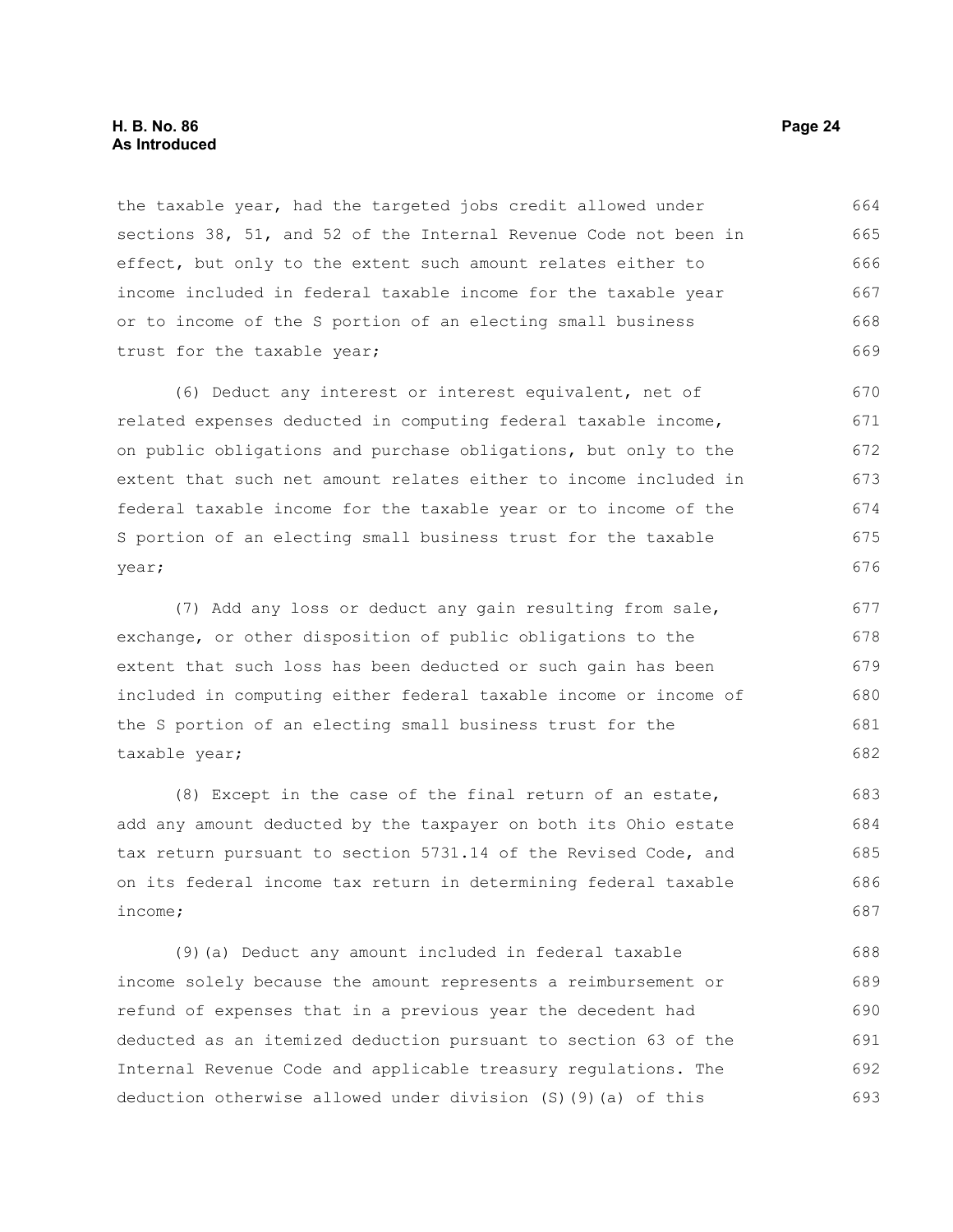the taxable year, had the targeted jobs credit allowed under sections 38, 51, and 52 of the Internal Revenue Code not been in effect, but only to the extent such amount relates either to income included in federal taxable income for the taxable year or to income of the S portion of an electing small business trust for the taxable year; 664 665 666 667 668 669

(6) Deduct any interest or interest equivalent, net of related expenses deducted in computing federal taxable income, on public obligations and purchase obligations, but only to the extent that such net amount relates either to income included in federal taxable income for the taxable year or to income of the S portion of an electing small business trust for the taxable year;

(7) Add any loss or deduct any gain resulting from sale, exchange, or other disposition of public obligations to the extent that such loss has been deducted or such gain has been included in computing either federal taxable income or income of the S portion of an electing small business trust for the taxable year;

(8) Except in the case of the final return of an estate, add any amount deducted by the taxpayer on both its Ohio estate tax return pursuant to section 5731.14 of the Revised Code, and on its federal income tax return in determining federal taxable income;

(9)(a) Deduct any amount included in federal taxable income solely because the amount represents a reimbursement or refund of expenses that in a previous year the decedent had deducted as an itemized deduction pursuant to section 63 of the Internal Revenue Code and applicable treasury regulations. The deduction otherwise allowed under division (S)(9)(a) of this 688 689 690 691 692 693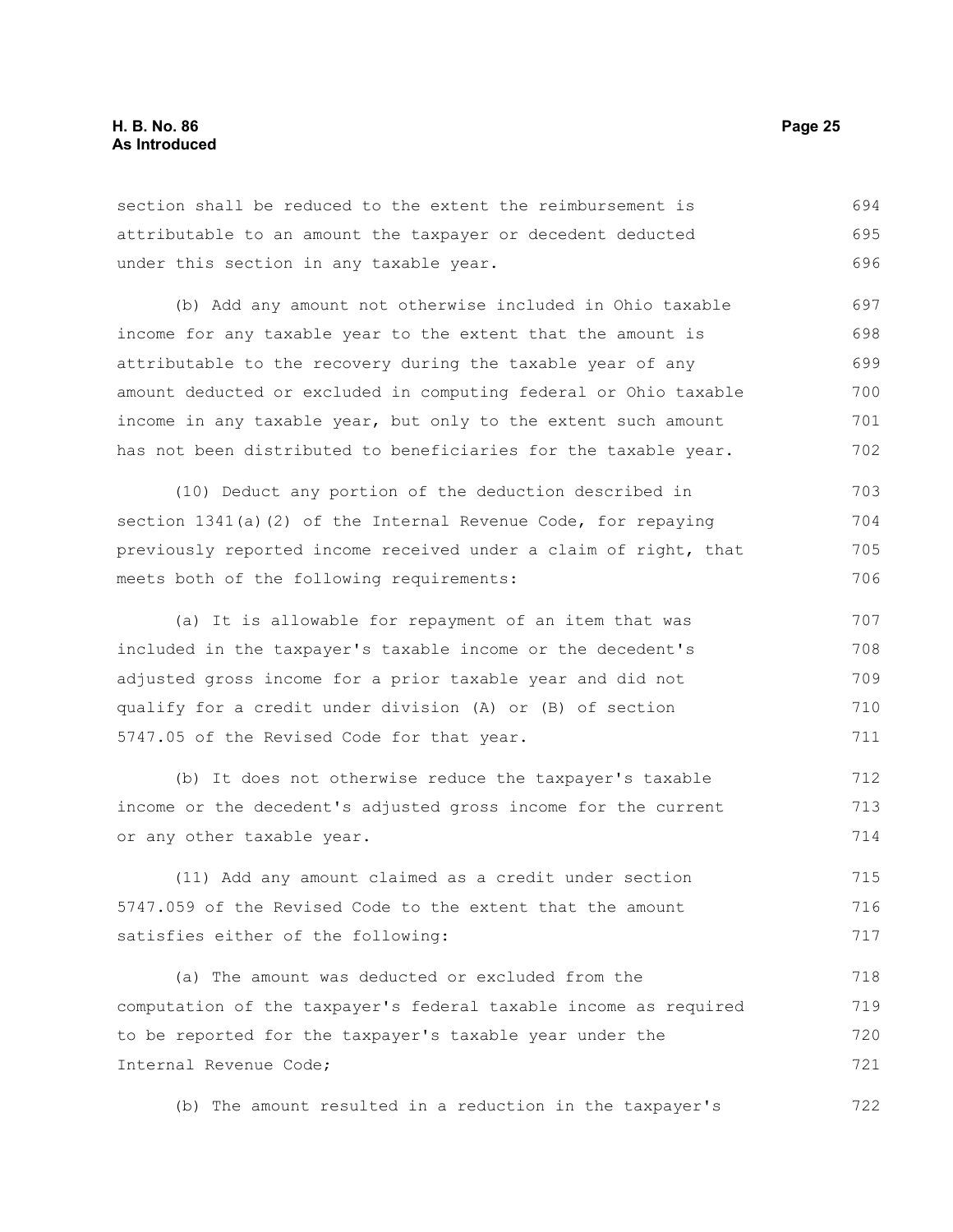section shall be reduced to the extent the reimbursement is attributable to an amount the taxpayer or decedent deducted under this section in any taxable year. 694 695 696

(b) Add any amount not otherwise included in Ohio taxable income for any taxable year to the extent that the amount is attributable to the recovery during the taxable year of any amount deducted or excluded in computing federal or Ohio taxable income in any taxable year, but only to the extent such amount has not been distributed to beneficiaries for the taxable year. 697 698 699 700 701 702

(10) Deduct any portion of the deduction described in section 1341(a)(2) of the Internal Revenue Code, for repaying previously reported income received under a claim of right, that meets both of the following requirements: 703 704 705 706

(a) It is allowable for repayment of an item that was included in the taxpayer's taxable income or the decedent's adjusted gross income for a prior taxable year and did not qualify for a credit under division (A) or (B) of section 5747.05 of the Revised Code for that year. 707 708 709 710 711

(b) It does not otherwise reduce the taxpayer's taxable income or the decedent's adjusted gross income for the current or any other taxable year. 712 713 714

(11) Add any amount claimed as a credit under section 5747.059 of the Revised Code to the extent that the amount satisfies either of the following: 715 716 717

(a) The amount was deducted or excluded from the computation of the taxpayer's federal taxable income as required to be reported for the taxpayer's taxable year under the Internal Revenue Code; 718 719 720 721

(b) The amount resulted in a reduction in the taxpayer's 722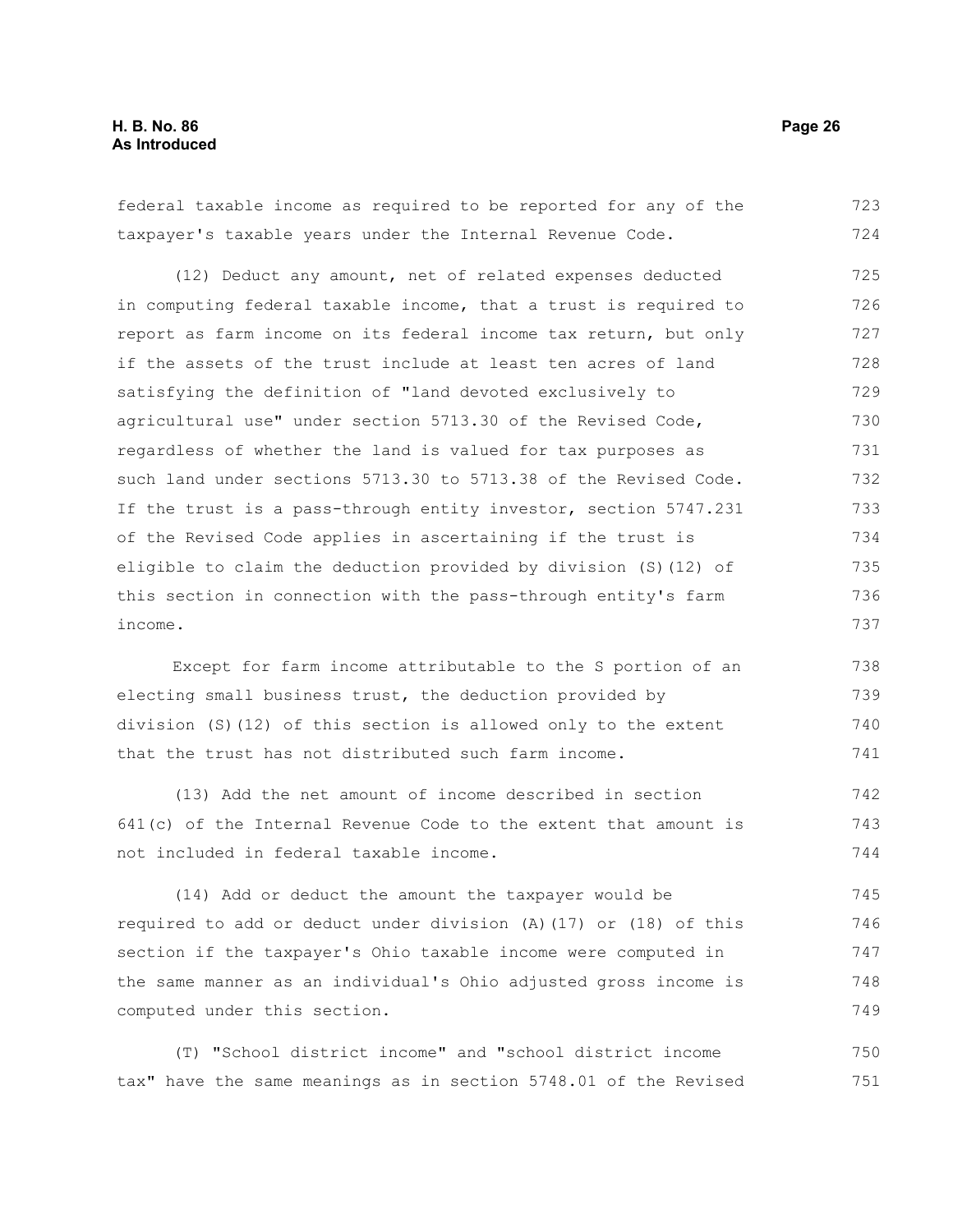federal taxable income as required to be reported for any of the taxpayer's taxable years under the Internal Revenue Code. 723 724

(12) Deduct any amount, net of related expenses deducted in computing federal taxable income, that a trust is required to report as farm income on its federal income tax return, but only if the assets of the trust include at least ten acres of land satisfying the definition of "land devoted exclusively to agricultural use" under section 5713.30 of the Revised Code, regardless of whether the land is valued for tax purposes as such land under sections 5713.30 to 5713.38 of the Revised Code. If the trust is a pass-through entity investor, section 5747.231 of the Revised Code applies in ascertaining if the trust is eligible to claim the deduction provided by division (S)(12) of this section in connection with the pass-through entity's farm income. 725 726 727 728 729 730 731 732 733 734 735 736 737

Except for farm income attributable to the S portion of an electing small business trust, the deduction provided by division (S)(12) of this section is allowed only to the extent that the trust has not distributed such farm income. 738 739 740 741

(13) Add the net amount of income described in section 641(c) of the Internal Revenue Code to the extent that amount is not included in federal taxable income. 742 743 744

(14) Add or deduct the amount the taxpayer would be required to add or deduct under division (A)(17) or (18) of this section if the taxpayer's Ohio taxable income were computed in the same manner as an individual's Ohio adjusted gross income is computed under this section. 745 746 747 748 749

(T) "School district income" and "school district income tax" have the same meanings as in section 5748.01 of the Revised 750 751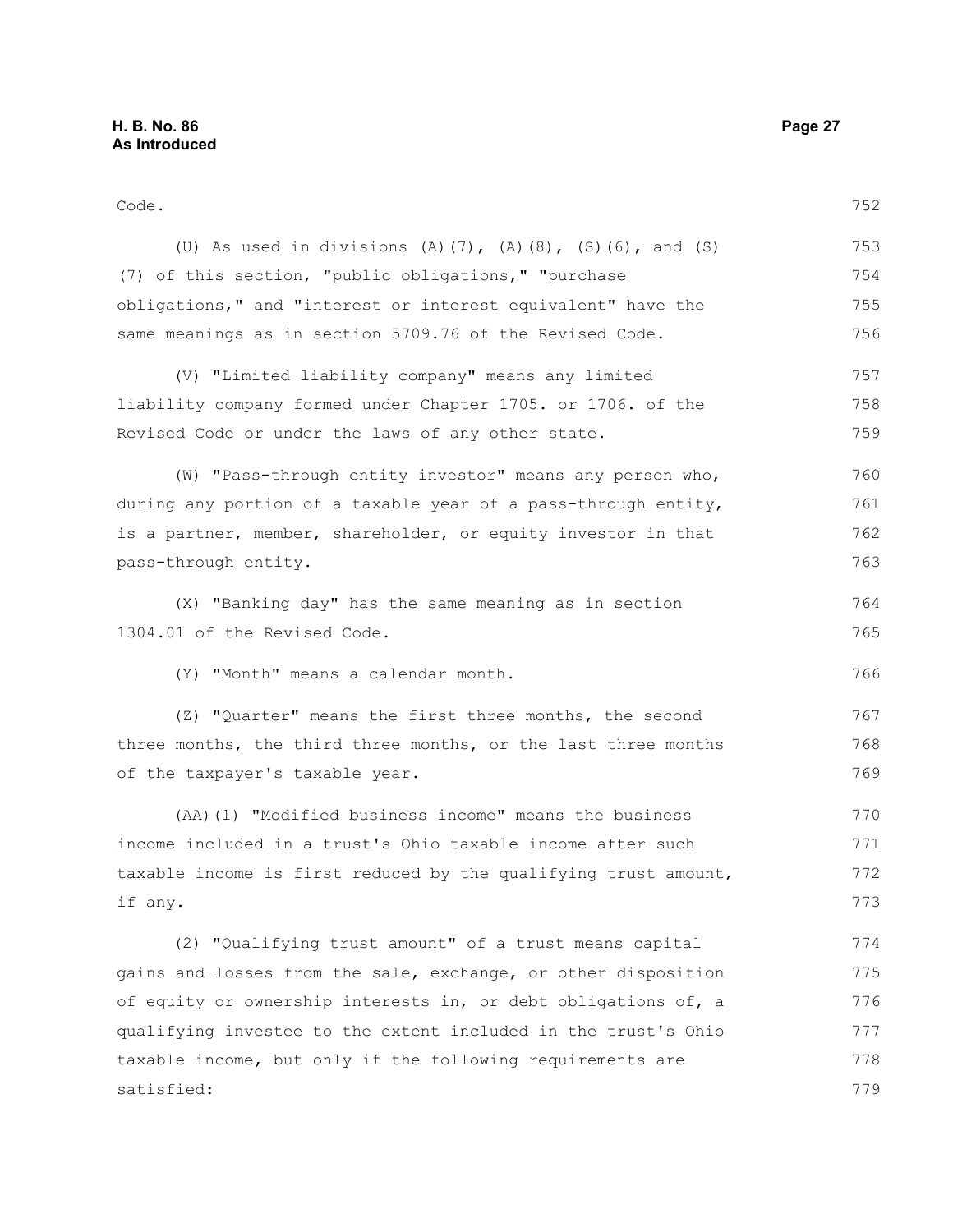Code.

(U) As used in divisions (A)(7), (A)(8), (S)(6), and (S) (7) of this section, "public obligations," "purchase obligations," and "interest or interest equivalent" have the same meanings as in section 5709.76 of the Revised Code. (V) "Limited liability company" means any limited liability company formed under Chapter 1705. or 1706. of the Revised Code or under the laws of any other state. (W) "Pass-through entity investor" means any person who, during any portion of a taxable year of a pass-through entity, is a partner, member, shareholder, or equity investor in that pass-through entity. (X) "Banking day" has the same meaning as in section 1304.01 of the Revised Code. 752 753 754 755 756 757 758 759 760 761 762 763 764 765

(Y) "Month" means a calendar month.

(Z) "Quarter" means the first three months, the second three months, the third three months, or the last three months of the taxpayer's taxable year.

(AA)(1) "Modified business income" means the business income included in a trust's Ohio taxable income after such taxable income is first reduced by the qualifying trust amount, if any. 770 771 772 773

(2) "Qualifying trust amount" of a trust means capital gains and losses from the sale, exchange, or other disposition of equity or ownership interests in, or debt obligations of, a qualifying investee to the extent included in the trust's Ohio taxable income, but only if the following requirements are satisfied: 774 775 776 777 778 779

766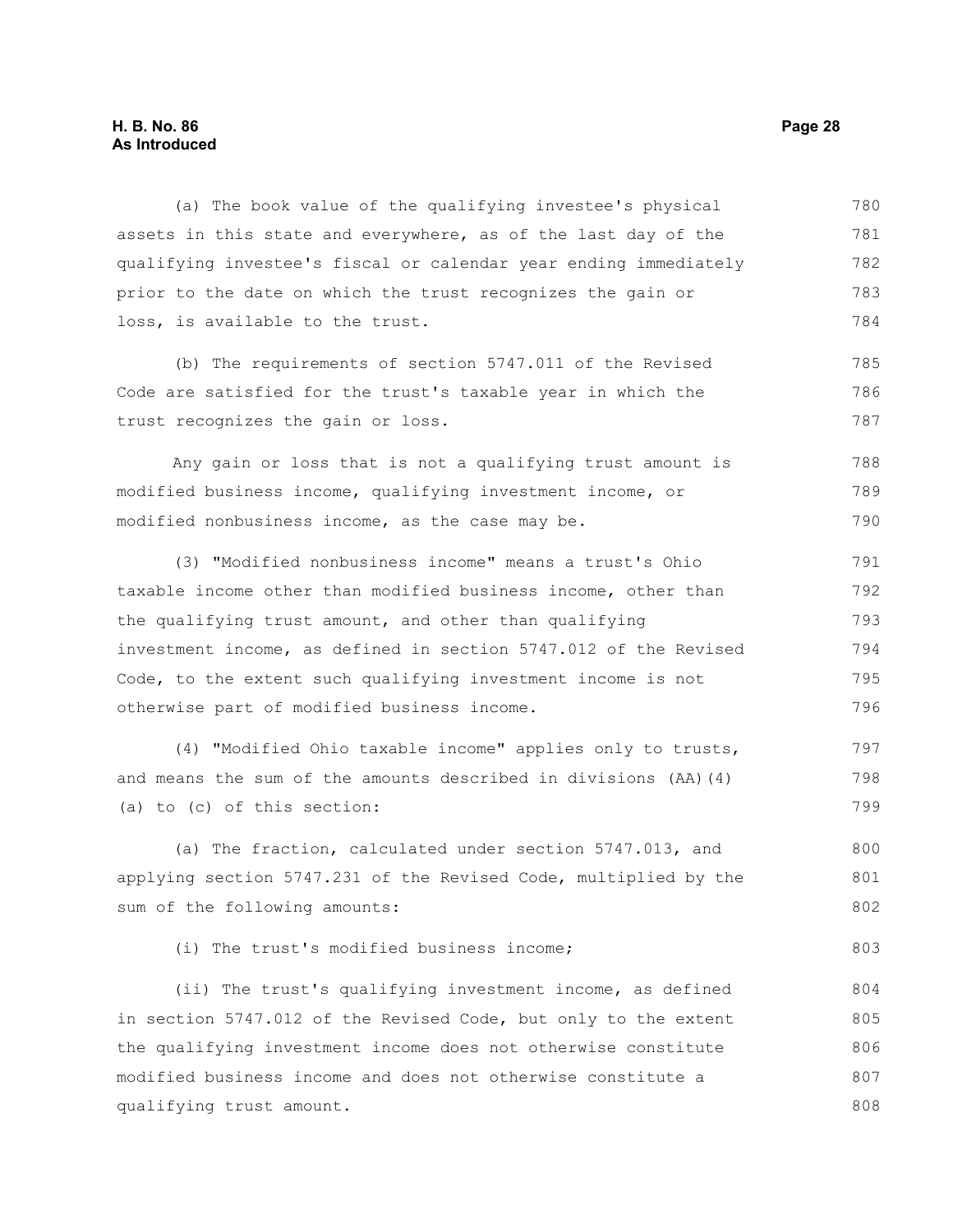#### **H. B. No. 86 Page 28 As Introduced**

(a) The book value of the qualifying investee's physical assets in this state and everywhere, as of the last day of the qualifying investee's fiscal or calendar year ending immediately prior to the date on which the trust recognizes the gain or loss, is available to the trust. 780 781 782 783 784

(b) The requirements of section 5747.011 of the Revised Code are satisfied for the trust's taxable year in which the trust recognizes the gain or loss. 785 786 787

Any gain or loss that is not a qualifying trust amount is modified business income, qualifying investment income, or modified nonbusiness income, as the case may be. 788 789 790

(3) "Modified nonbusiness income" means a trust's Ohio taxable income other than modified business income, other than the qualifying trust amount, and other than qualifying investment income, as defined in section 5747.012 of the Revised Code, to the extent such qualifying investment income is not otherwise part of modified business income. 791 792 793 794 795 796

(4) "Modified Ohio taxable income" applies only to trusts, and means the sum of the amounts described in divisions (AA)(4) (a) to (c) of this section: 797 798 799

(a) The fraction, calculated under section 5747.013, and applying section 5747.231 of the Revised Code, multiplied by the sum of the following amounts: 800 801 802

(i) The trust's modified business income;

(ii) The trust's qualifying investment income, as defined in section 5747.012 of the Revised Code, but only to the extent the qualifying investment income does not otherwise constitute modified business income and does not otherwise constitute a qualifying trust amount. 804 805 806 807 808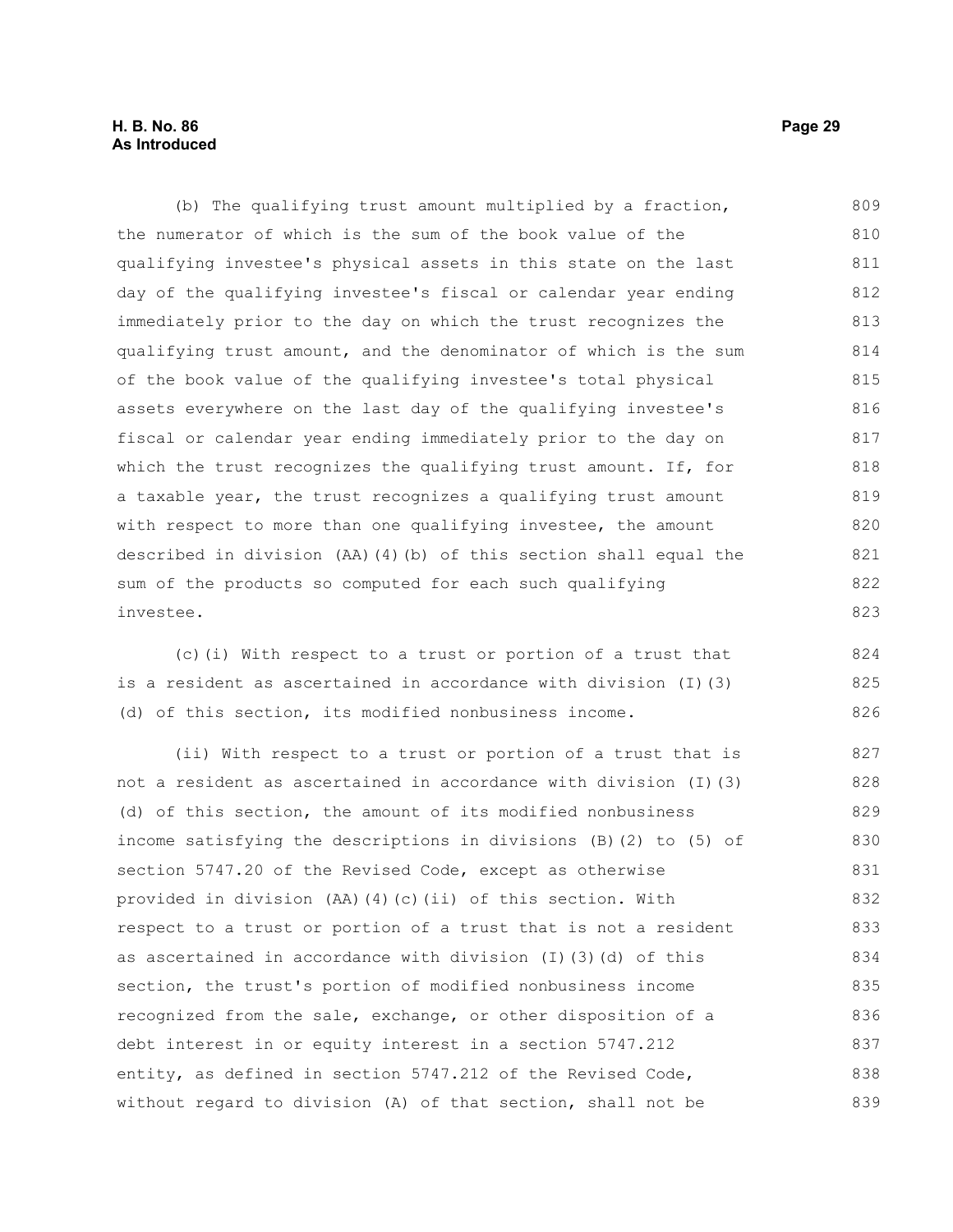#### **H. B. No. 86 Page 29 As Introduced**

(b) The qualifying trust amount multiplied by a fraction, the numerator of which is the sum of the book value of the qualifying investee's physical assets in this state on the last day of the qualifying investee's fiscal or calendar year ending immediately prior to the day on which the trust recognizes the qualifying trust amount, and the denominator of which is the sum of the book value of the qualifying investee's total physical assets everywhere on the last day of the qualifying investee's fiscal or calendar year ending immediately prior to the day on which the trust recognizes the qualifying trust amount. If, for a taxable year, the trust recognizes a qualifying trust amount with respect to more than one qualifying investee, the amount described in division (AA)(4)(b) of this section shall equal the sum of the products so computed for each such qualifying investee. 809 810 811 812 813 814 815 816 817 818 819 820 821 822 823

(c)(i) With respect to a trust or portion of a trust that is a resident as ascertained in accordance with division (I)(3) (d) of this section, its modified nonbusiness income.

(ii) With respect to a trust or portion of a trust that is not a resident as ascertained in accordance with division (I)(3) (d) of this section, the amount of its modified nonbusiness income satisfying the descriptions in divisions (B)(2) to (5) of section 5747.20 of the Revised Code, except as otherwise provided in division (AA)(4)(c)(ii) of this section. With respect to a trust or portion of a trust that is not a resident as ascertained in accordance with division (I)(3)(d) of this section, the trust's portion of modified nonbusiness income recognized from the sale, exchange, or other disposition of a debt interest in or equity interest in a section 5747.212 entity, as defined in section 5747.212 of the Revised Code, without regard to division (A) of that section, shall not be 827 828 829 830 831 832 833 834 835 836 837 838 839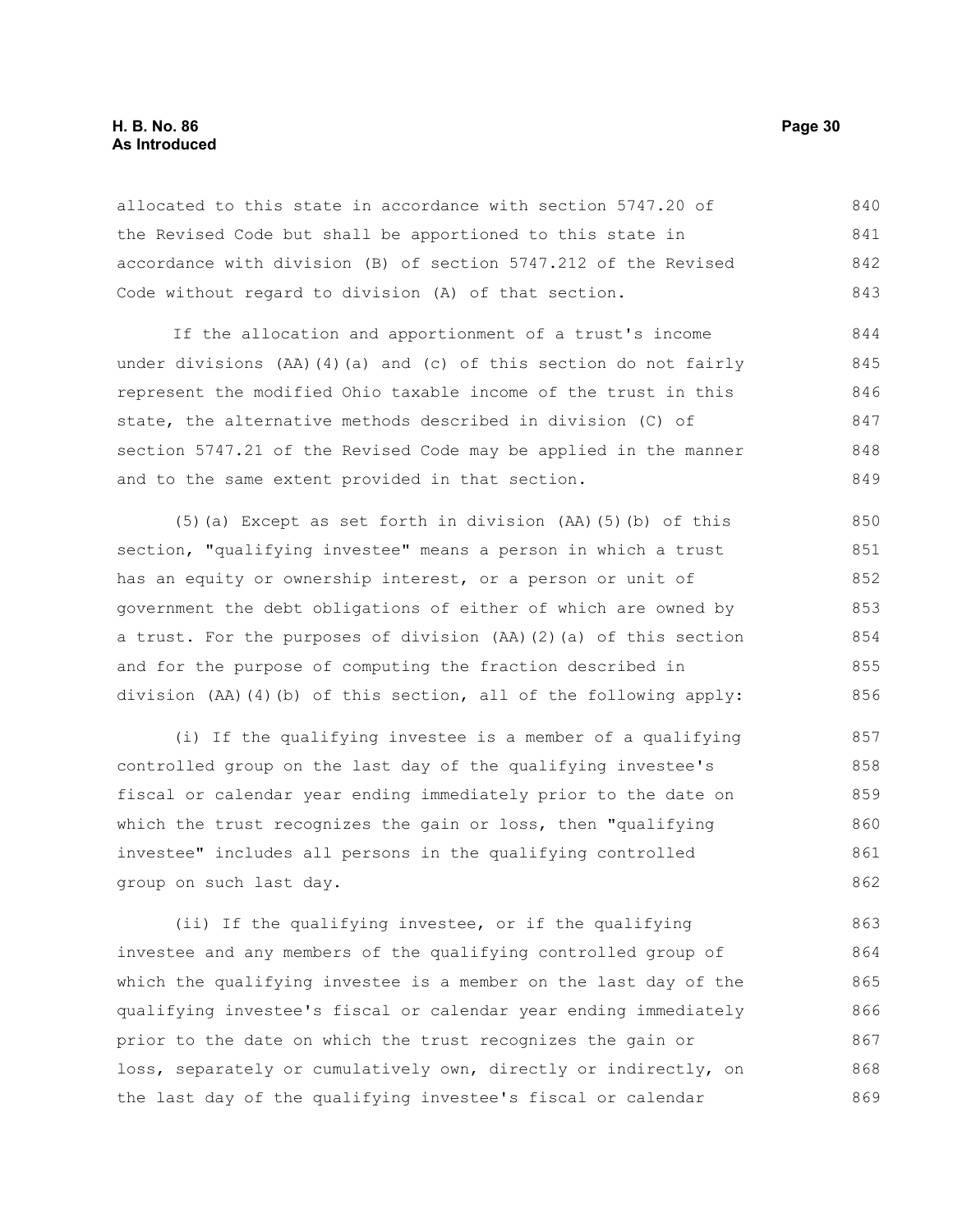#### **H. B. No. 86 Page 30 As Introduced**

allocated to this state in accordance with section 5747.20 of the Revised Code but shall be apportioned to this state in accordance with division (B) of section 5747.212 of the Revised Code without regard to division (A) of that section. 840 841 842 843

If the allocation and apportionment of a trust's income under divisions (AA)(4)(a) and (c) of this section do not fairly represent the modified Ohio taxable income of the trust in this state, the alternative methods described in division (C) of section 5747.21 of the Revised Code may be applied in the manner and to the same extent provided in that section. 844 845 846 847 848 849

(5)(a) Except as set forth in division (AA)(5)(b) of this section, "qualifying investee" means a person in which a trust has an equity or ownership interest, or a person or unit of government the debt obligations of either of which are owned by a trust. For the purposes of division (AA)(2)(a) of this section and for the purpose of computing the fraction described in division (AA)(4)(b) of this section, all of the following apply: 850 851 852 853 854 855 856

(i) If the qualifying investee is a member of a qualifying controlled group on the last day of the qualifying investee's fiscal or calendar year ending immediately prior to the date on which the trust recognizes the gain or loss, then "qualifying investee" includes all persons in the qualifying controlled group on such last day. 857 858 859 860 861 862

(ii) If the qualifying investee, or if the qualifying investee and any members of the qualifying controlled group of which the qualifying investee is a member on the last day of the qualifying investee's fiscal or calendar year ending immediately prior to the date on which the trust recognizes the gain or loss, separately or cumulatively own, directly or indirectly, on the last day of the qualifying investee's fiscal or calendar 863 864 865 866 867 868 869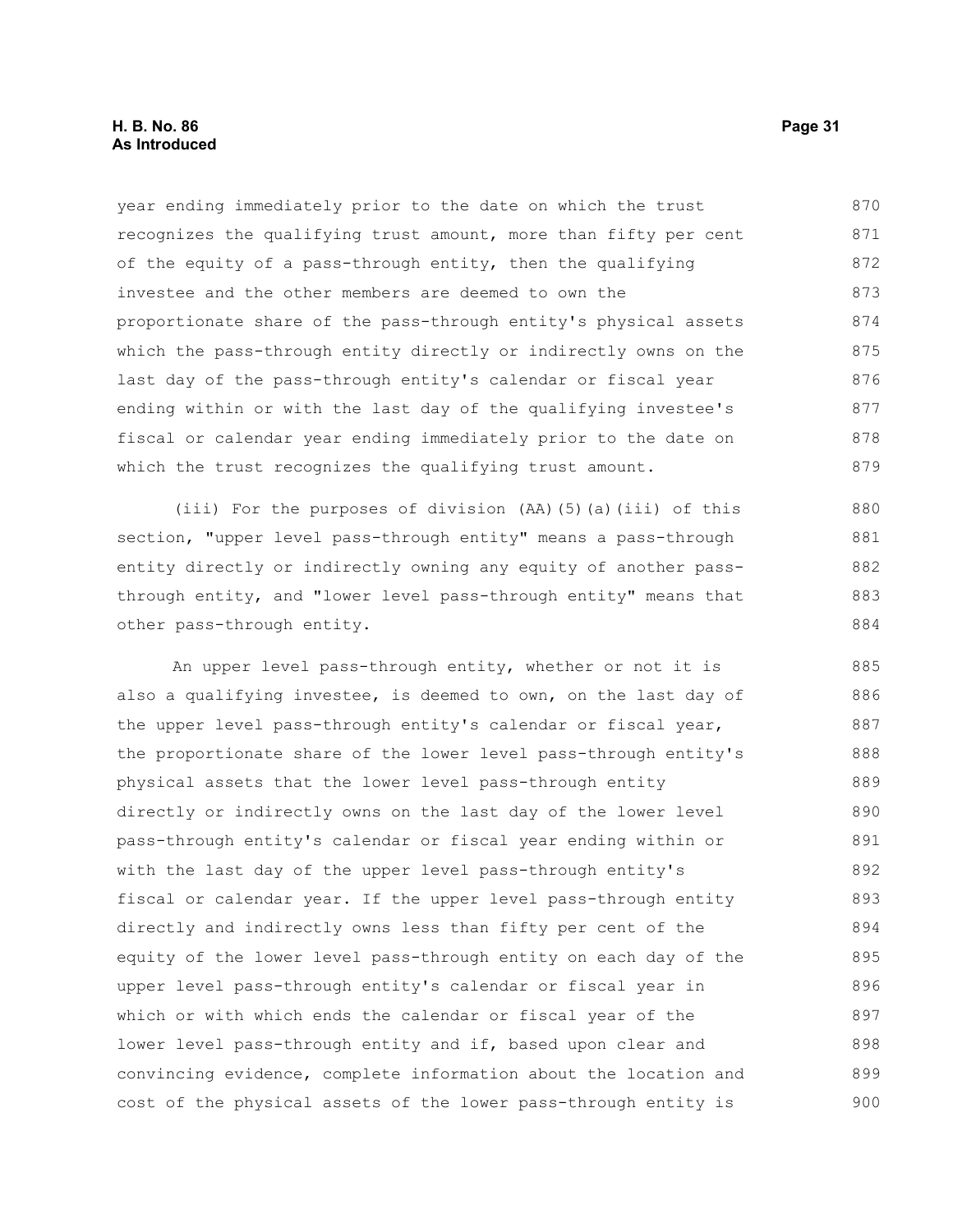year ending immediately prior to the date on which the trust recognizes the qualifying trust amount, more than fifty per cent of the equity of a pass-through entity, then the qualifying investee and the other members are deemed to own the proportionate share of the pass-through entity's physical assets which the pass-through entity directly or indirectly owns on the last day of the pass-through entity's calendar or fiscal year ending within or with the last day of the qualifying investee's fiscal or calendar year ending immediately prior to the date on which the trust recognizes the qualifying trust amount. 870 871 872 873 874 875 876 877 878 879

(iii) For the purposes of division (AA)(5)(a)(iii) of this section, "upper level pass-through entity" means a pass-through entity directly or indirectly owning any equity of another passthrough entity, and "lower level pass-through entity" means that other pass-through entity. 880 881 882 883 884

An upper level pass-through entity, whether or not it is also a qualifying investee, is deemed to own, on the last day of the upper level pass-through entity's calendar or fiscal year, the proportionate share of the lower level pass-through entity's physical assets that the lower level pass-through entity directly or indirectly owns on the last day of the lower level pass-through entity's calendar or fiscal year ending within or with the last day of the upper level pass-through entity's fiscal or calendar year. If the upper level pass-through entity directly and indirectly owns less than fifty per cent of the equity of the lower level pass-through entity on each day of the upper level pass-through entity's calendar or fiscal year in which or with which ends the calendar or fiscal year of the lower level pass-through entity and if, based upon clear and convincing evidence, complete information about the location and cost of the physical assets of the lower pass-through entity is 885 886 887 888 889 890 891 892 893 894 895 896 897 898 899 900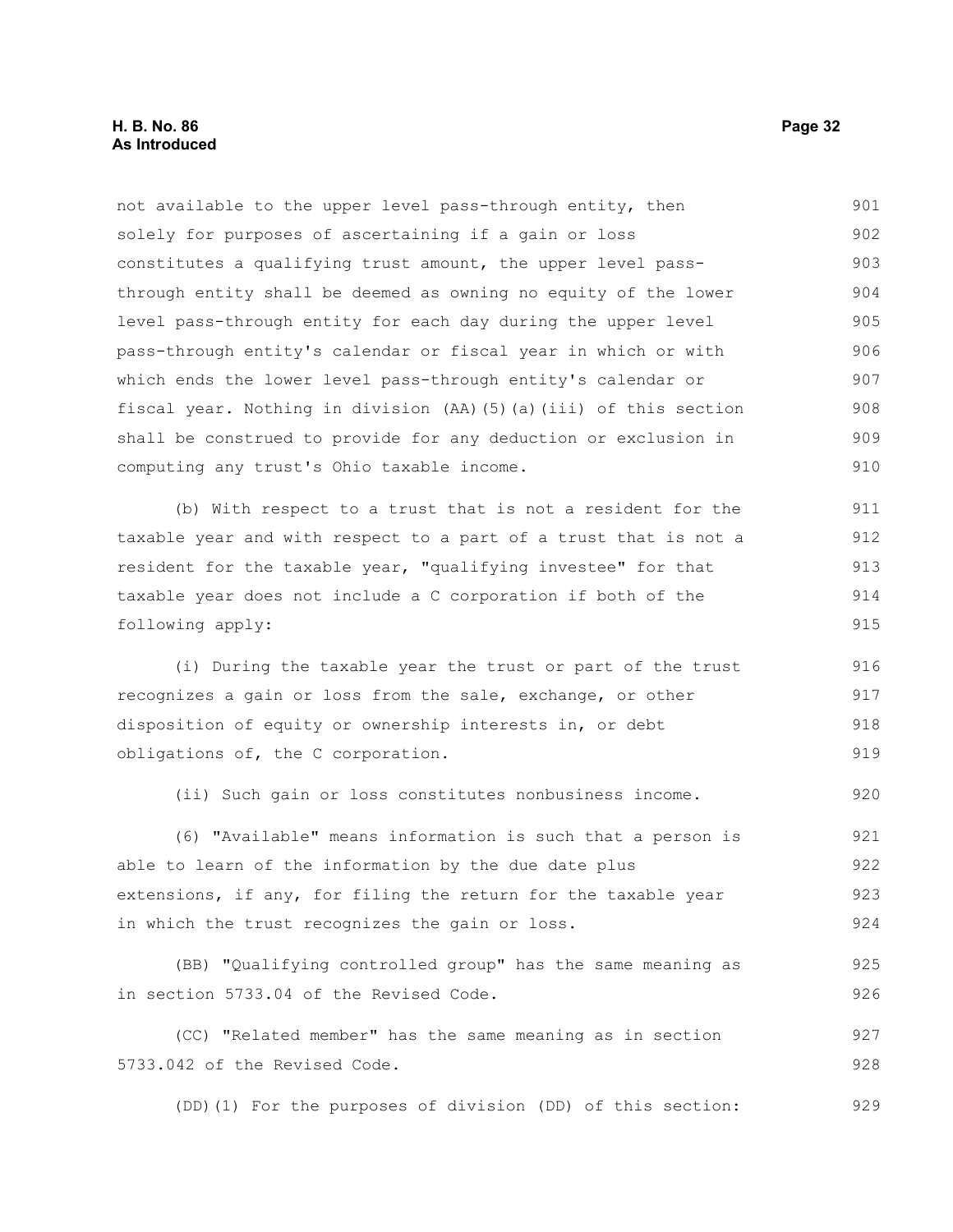not available to the upper level pass-through entity, then solely for purposes of ascertaining if a gain or loss constitutes a qualifying trust amount, the upper level passthrough entity shall be deemed as owning no equity of the lower level pass-through entity for each day during the upper level pass-through entity's calendar or fiscal year in which or with which ends the lower level pass-through entity's calendar or fiscal year. Nothing in division (AA)(5)(a)(iii) of this section shall be construed to provide for any deduction or exclusion in computing any trust's Ohio taxable income. (b) With respect to a trust that is not a resident for the taxable year and with respect to a part of a trust that is not a resident for the taxable year, "qualifying investee" for that taxable year does not include a C corporation if both of the following apply: (i) During the taxable year the trust or part of the trust recognizes a gain or loss from the sale, exchange, or other disposition of equity or ownership interests in, or debt obligations of, the C corporation. (ii) Such gain or loss constitutes nonbusiness income. (6) "Available" means information is such that a person is able to learn of the information by the due date plus extensions, if any, for filing the return for the taxable year in which the trust recognizes the gain or loss. (BB) "Qualifying controlled group" has the same meaning as in section 5733.04 of the Revised Code. (CC) "Related member" has the same meaning as in section 5733.042 of the Revised Code. (DD)(1) For the purposes of division (DD) of this section: 901 902 903 904 905 906 907 908 909 910 911 912 913 914 915 916 917 918 919 920 921 922 923 924 925 926 927 928 929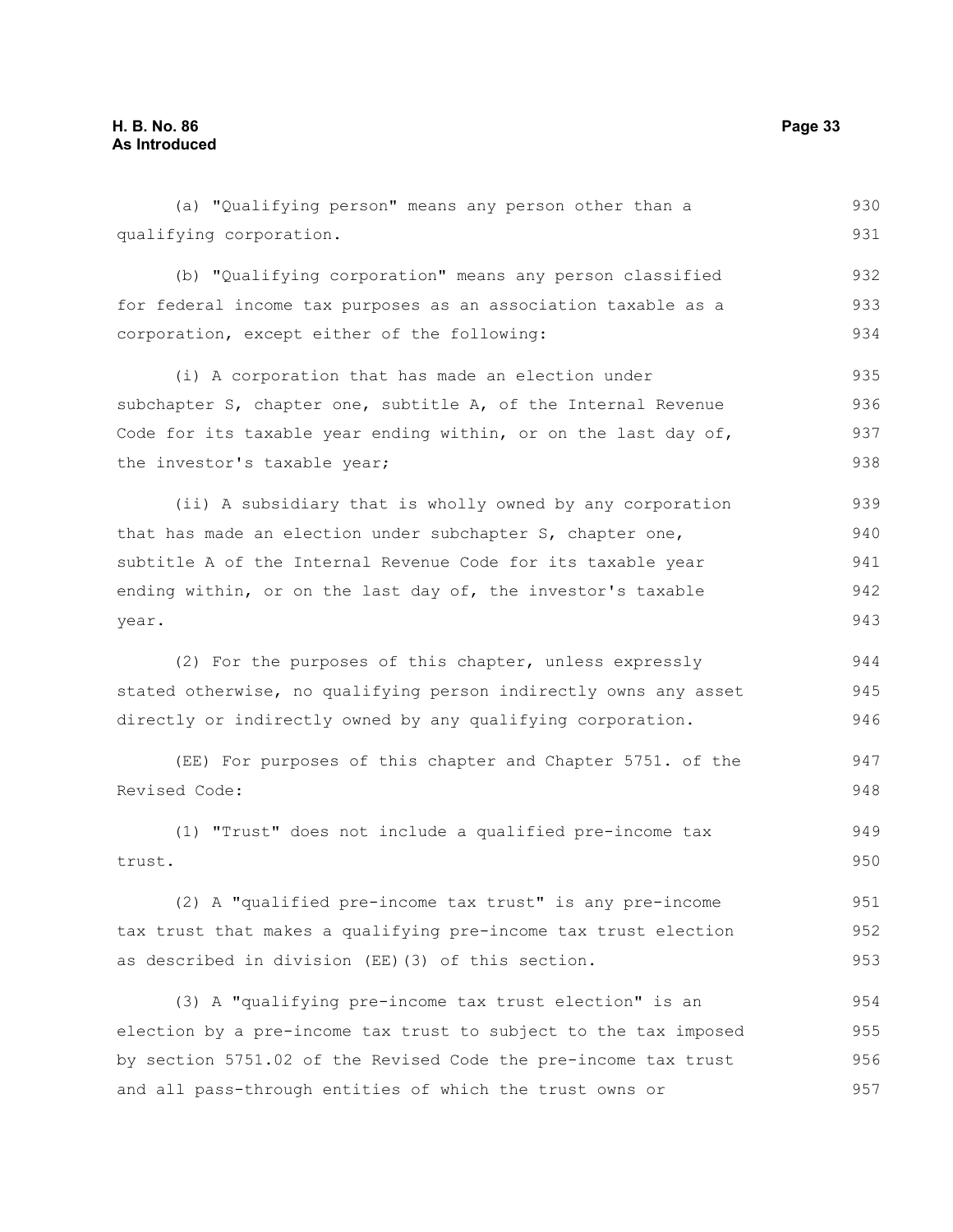year.

(a) "Qualifying person" means any person other than a qualifying corporation. (b) "Qualifying corporation" means any person classified for federal income tax purposes as an association taxable as a corporation, except either of the following: (i) A corporation that has made an election under subchapter S, chapter one, subtitle A, of the Internal Revenue Code for its taxable year ending within, or on the last day of, the investor's taxable year; (ii) A subsidiary that is wholly owned by any corporation that has made an election under subchapter S, chapter one, subtitle A of the Internal Revenue Code for its taxable year ending within, or on the last day of, the investor's taxable (2) For the purposes of this chapter, unless expressly stated otherwise, no qualifying person indirectly owns any asset directly or indirectly owned by any qualifying corporation. (EE) For purposes of this chapter and Chapter 5751. of the Revised Code: 930 931 932 933 934 935 936 937 938 939 940 941 942 943 944 945 946 947 948

(1) "Trust" does not include a qualified pre-income tax trust. 949 950

(2) A "qualified pre-income tax trust" is any pre-income tax trust that makes a qualifying pre-income tax trust election as described in division (EE)(3) of this section. 951 952 953

(3) A "qualifying pre-income tax trust election" is an election by a pre-income tax trust to subject to the tax imposed by section 5751.02 of the Revised Code the pre-income tax trust and all pass-through entities of which the trust owns or 954 955 956 957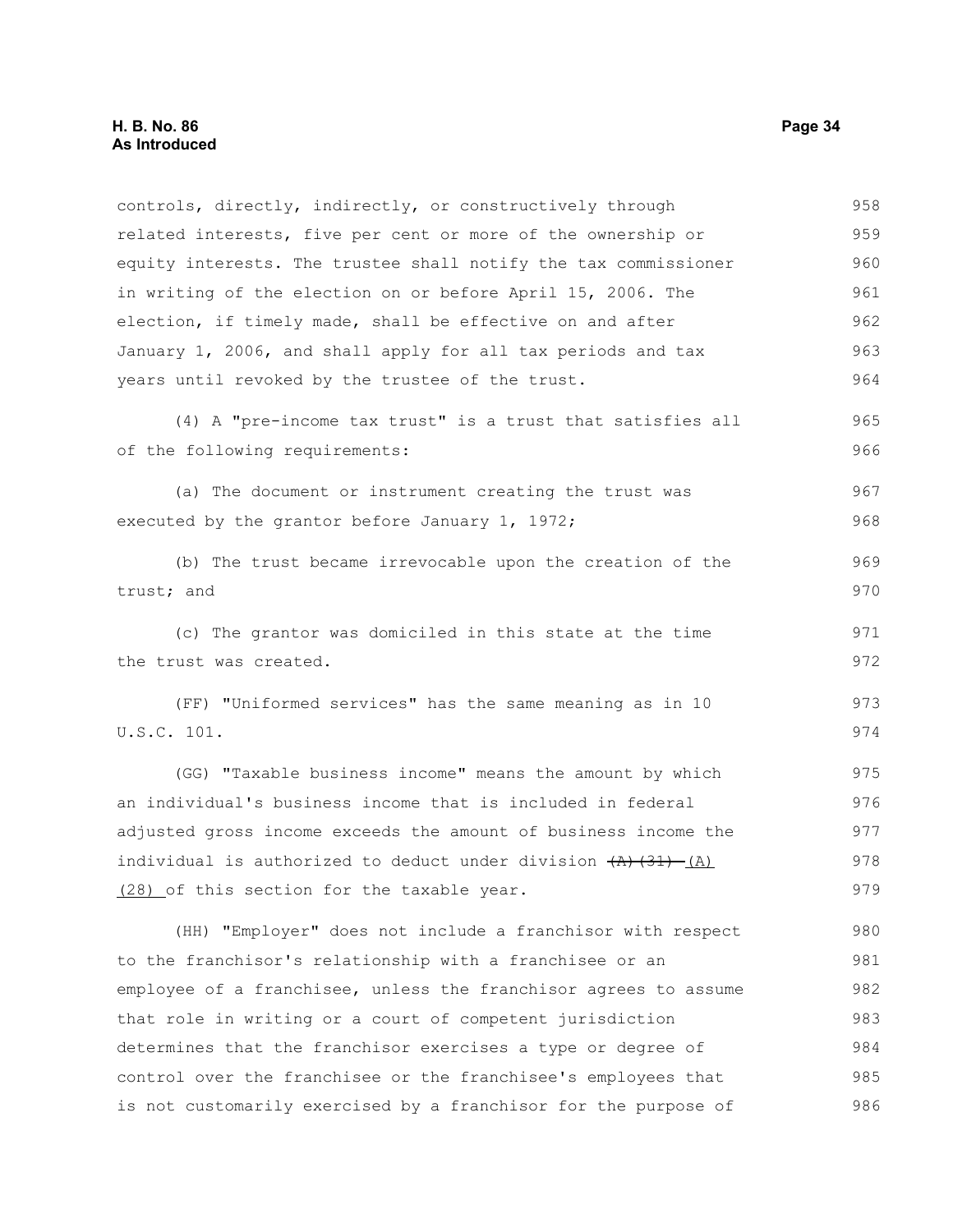related interests, five per cent or more of the ownership or equity interests. The trustee shall notify the tax commissioner in writing of the election on or before April 15, 2006. The election, if timely made, shall be effective on and after January 1, 2006, and shall apply for all tax periods and tax years until revoked by the trustee of the trust. (4) A "pre-income tax trust" is a trust that satisfies all of the following requirements: (a) The document or instrument creating the trust was executed by the grantor before January 1, 1972; (b) The trust became irrevocable upon the creation of the trust; and (c) The grantor was domiciled in this state at the time the trust was created. (FF) "Uniformed services" has the same meaning as in 10 U.S.C. 101. (GG) "Taxable business income" means the amount by which an individual's business income that is included in federal adjusted gross income exceeds the amount of business income the individual is authorized to deduct under division  $(A)$   $(31)$   $(A)$ (28) of this section for the taxable year. (HH) "Employer" does not include a franchisor with respect to the franchisor's relationship with a franchisee or an employee of a franchisee, unless the franchisor agrees to assume that role in writing or a court of competent jurisdiction determines that the franchisor exercises a type or degree of 959 960 961 962 963 964 965 966 967 968 969 970 971 972 973 974 975 976 977 978 979 980 981 982 983 984

control over the franchisee or the franchisee's employees that is not customarily exercised by a franchisor for the purpose of

controls, directly, indirectly, or constructively through

958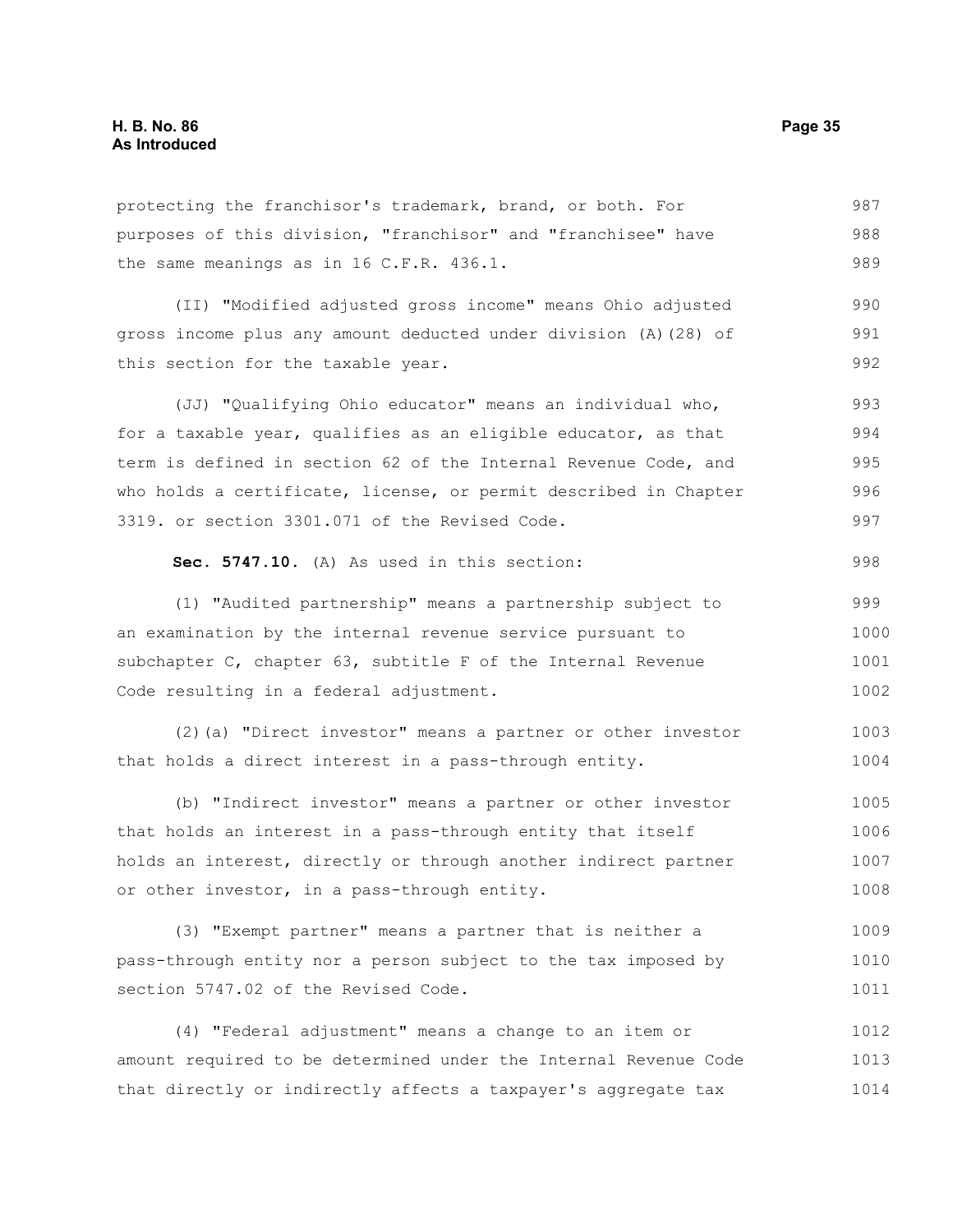protecting the franchisor's trademark, brand, or both. For purposes of this division, "franchisor" and "franchisee" have the same meanings as in 16 C.F.R. 436.1. 987 988 989

(II) "Modified adjusted gross income" means Ohio adjusted gross income plus any amount deducted under division (A)(28) of this section for the taxable year. 990 991 992

(JJ) "Qualifying Ohio educator" means an individual who, for a taxable year, qualifies as an eligible educator, as that term is defined in section 62 of the Internal Revenue Code, and who holds a certificate, license, or permit described in Chapter 3319. or section 3301.071 of the Revised Code. 993 994 995 996 997

```
Sec. 5747.10. (A) As used in this section:
```
(1) "Audited partnership" means a partnership subject to an examination by the internal revenue service pursuant to subchapter C, chapter 63, subtitle F of the Internal Revenue Code resulting in a federal adjustment. 999 1000 1001 1002

(2)(a) "Direct investor" means a partner or other investor that holds a direct interest in a pass-through entity. 1003 1004

(b) "Indirect investor" means a partner or other investor that holds an interest in a pass-through entity that itself holds an interest, directly or through another indirect partner or other investor, in a pass-through entity. 1005 1006 1007 1008

(3) "Exempt partner" means a partner that is neither a pass-through entity nor a person subject to the tax imposed by section 5747.02 of the Revised Code. 1009 1010 1011

(4) "Federal adjustment" means a change to an item or amount required to be determined under the Internal Revenue Code that directly or indirectly affects a taxpayer's aggregate tax 1012 1013 1014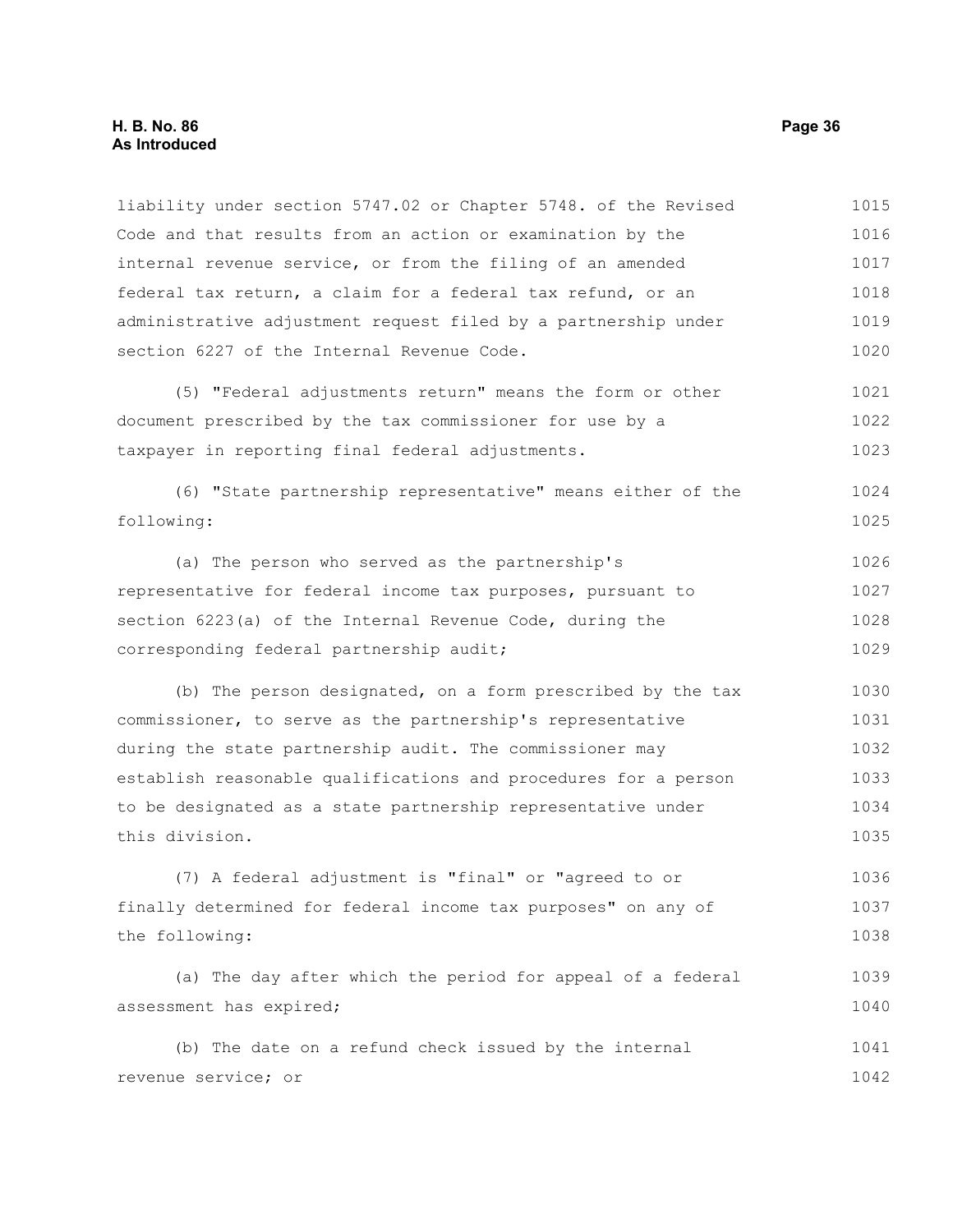#### **H. B. No. 86 Page 36 As Introduced**

liability under section 5747.02 or Chapter 5748. of the Revised Code and that results from an action or examination by the internal revenue service, or from the filing of an amended federal tax return, a claim for a federal tax refund, or an administrative adjustment request filed by a partnership under section 6227 of the Internal Revenue Code. (5) "Federal adjustments return" means the form or other document prescribed by the tax commissioner for use by a taxpayer in reporting final federal adjustments. (6) "State partnership representative" means either of the following: (a) The person who served as the partnership's representative for federal income tax purposes, pursuant to section 6223(a) of the Internal Revenue Code, during the corresponding federal partnership audit; (b) The person designated, on a form prescribed by the tax commissioner, to serve as the partnership's representative during the state partnership audit. The commissioner may establish reasonable qualifications and procedures for a person to be designated as a state partnership representative under this division. (7) A federal adjustment is "final" or "agreed to or finally determined for federal income tax purposes" on any of the following: (a) The day after which the period for appeal of a federal assessment has expired; (b) The date on a refund check issued by the internal revenue service; or 1015 1016 1017 1018 1019 1020 1021 1022 1023 1024 1025 1026 1027 1028 1029 1030 1031 1032 1033 1034 1035 1036 1037 1038 1039 1040 1041 1042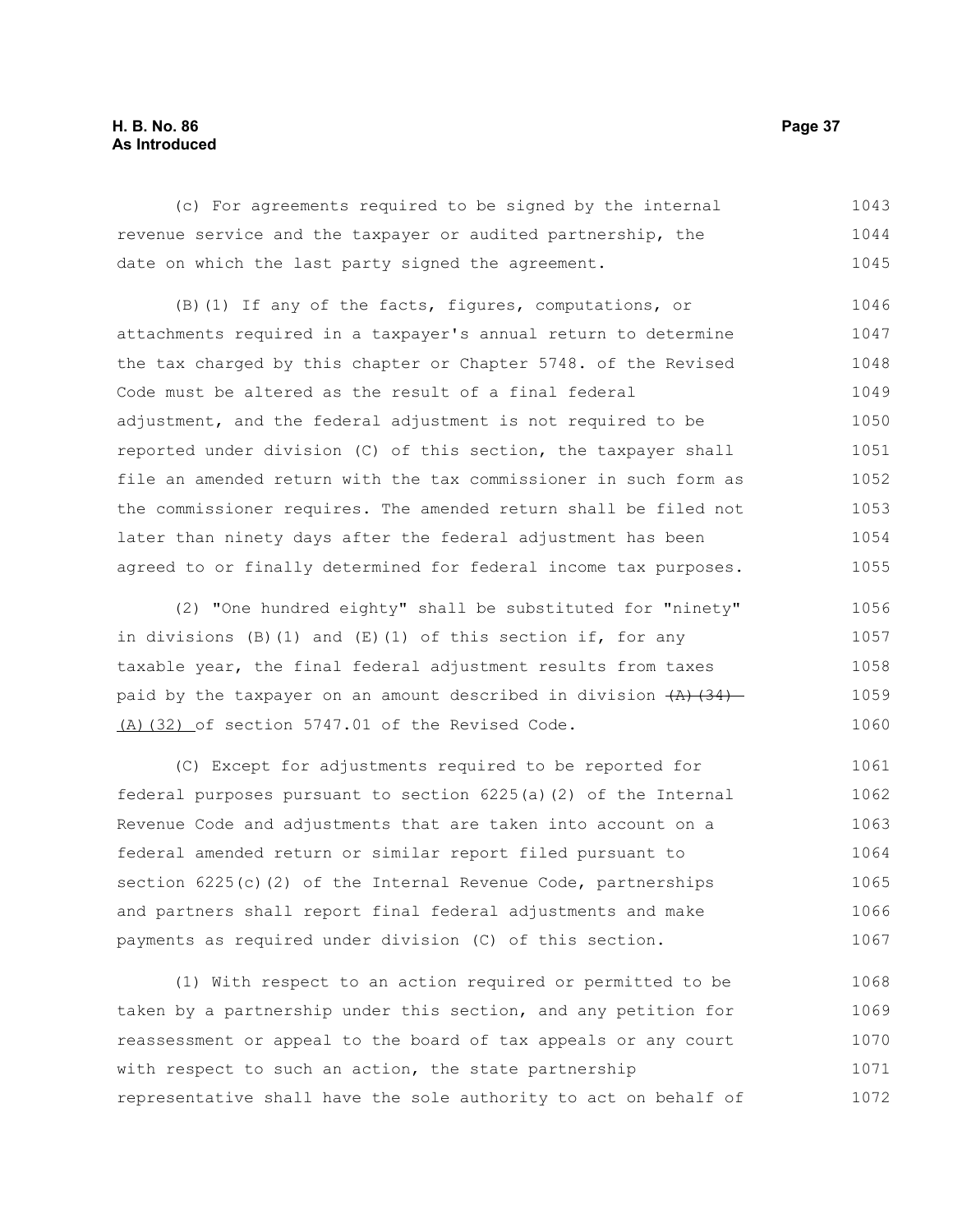#### **H. B. No. 86 Page 37 As Introduced**

(c) For agreements required to be signed by the internal revenue service and the taxpayer or audited partnership, the date on which the last party signed the agreement. 1043 1044 1045

(B)(1) If any of the facts, figures, computations, or attachments required in a taxpayer's annual return to determine the tax charged by this chapter or Chapter 5748. of the Revised Code must be altered as the result of a final federal adjustment, and the federal adjustment is not required to be reported under division (C) of this section, the taxpayer shall file an amended return with the tax commissioner in such form as the commissioner requires. The amended return shall be filed not later than ninety days after the federal adjustment has been agreed to or finally determined for federal income tax purposes. 1046 1047 1048 1049 1050 1051 1052 1053 1054 1055

(2) "One hundred eighty" shall be substituted for "ninety" in divisions  $(B)$  (1) and  $(E)$  (1) of this section if, for any taxable year, the final federal adjustment results from taxes paid by the taxpayer on an amount described in division  $(A)$   $(34)$ (A)(32) of section 5747.01 of the Revised Code. 1056 1057 1058 1059 1060

(C) Except for adjustments required to be reported for federal purposes pursuant to section 6225(a)(2) of the Internal Revenue Code and adjustments that are taken into account on a federal amended return or similar report filed pursuant to section 6225(c)(2) of the Internal Revenue Code, partnerships and partners shall report final federal adjustments and make payments as required under division (C) of this section. 1061 1062 1063 1064 1065 1066 1067

(1) With respect to an action required or permitted to be taken by a partnership under this section, and any petition for reassessment or appeal to the board of tax appeals or any court with respect to such an action, the state partnership representative shall have the sole authority to act on behalf of 1068 1069 1070 1071 1072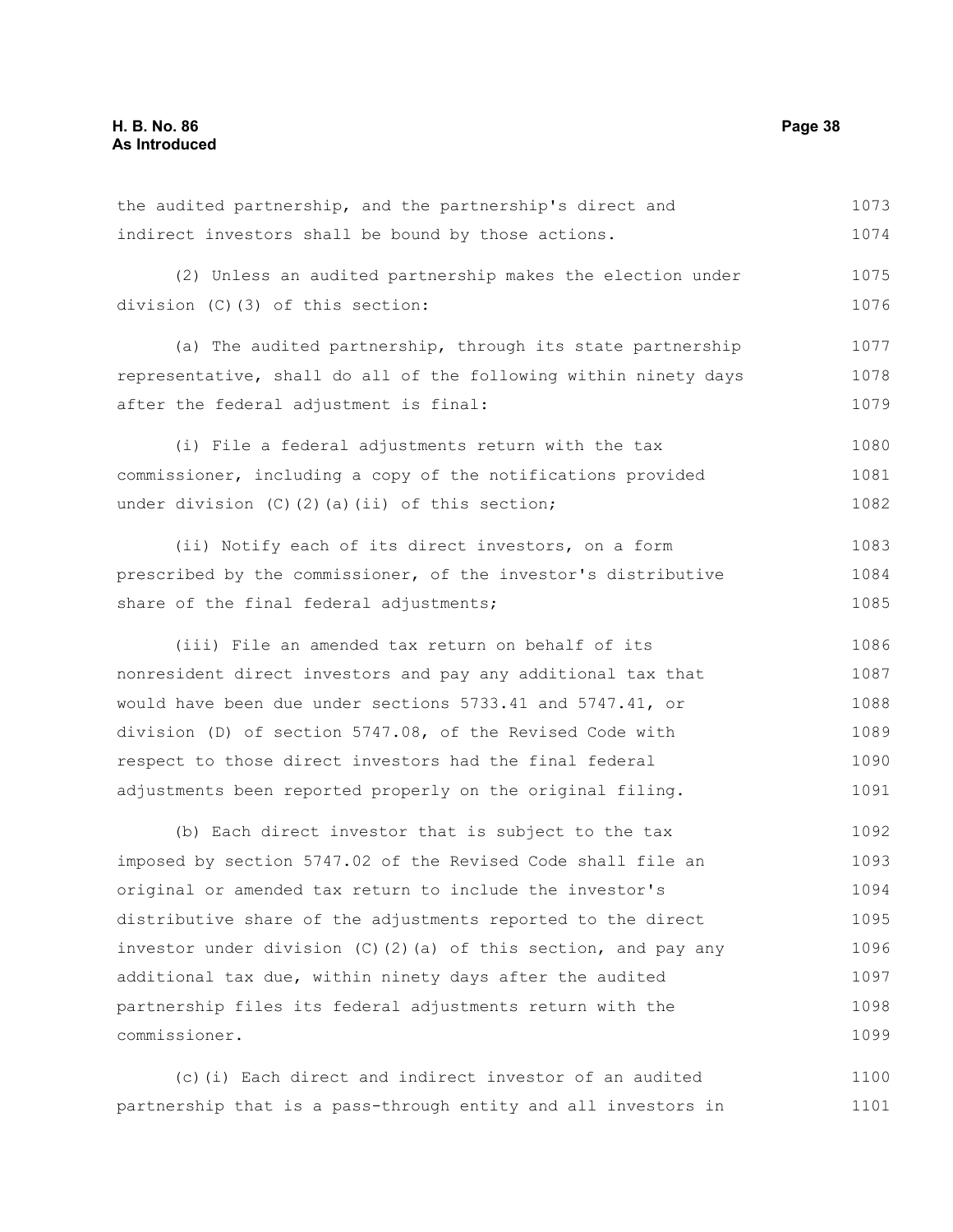the audited partnership, and the partnership's direct and indirect investors shall be bound by those actions. 1073 1074

(2) Unless an audited partnership makes the election under division (C)(3) of this section: 1075 1076

(a) The audited partnership, through its state partnership representative, shall do all of the following within ninety days after the federal adjustment is final: 1077 1078 1079

(i) File a federal adjustments return with the tax commissioner, including a copy of the notifications provided under division  $(C)$   $(2)$   $(a)$   $(ii)$  of this section; 1080 1081 1082

(ii) Notify each of its direct investors, on a form prescribed by the commissioner, of the investor's distributive share of the final federal adjustments; 1083 1084 1085

(iii) File an amended tax return on behalf of its nonresident direct investors and pay any additional tax that would have been due under sections 5733.41 and 5747.41, or division (D) of section 5747.08, of the Revised Code with respect to those direct investors had the final federal adjustments been reported properly on the original filing. 1086 1087 1088 1089 1090 1091

(b) Each direct investor that is subject to the tax imposed by section 5747.02 of the Revised Code shall file an original or amended tax return to include the investor's distributive share of the adjustments reported to the direct investor under division (C)(2)(a) of this section, and pay any additional tax due, within ninety days after the audited partnership files its federal adjustments return with the commissioner. 1092 1093 1094 1095 1096 1097 1098 1099

(c)(i) Each direct and indirect investor of an audited partnership that is a pass-through entity and all investors in 1100 1101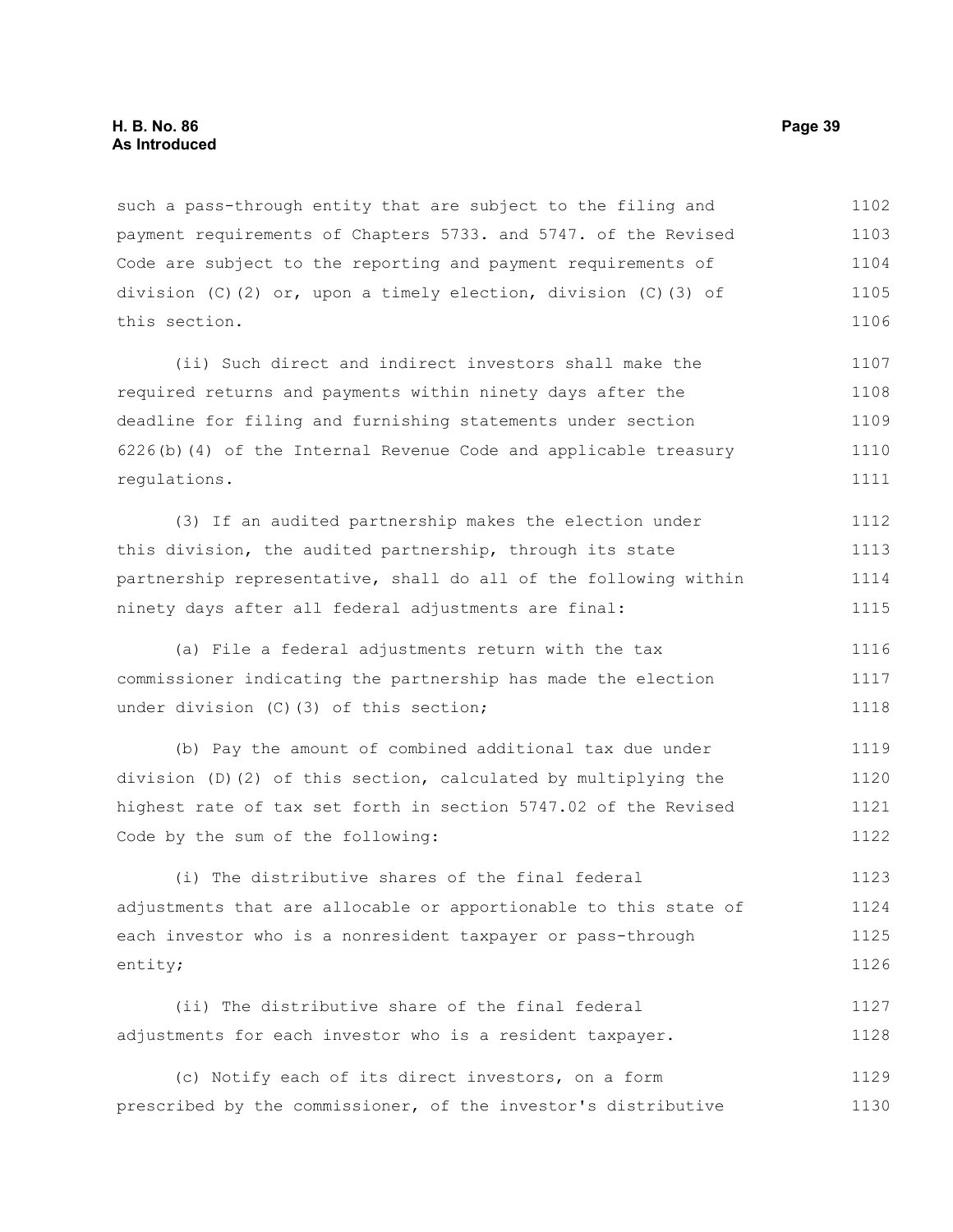such a pass-through entity that are subject to the filing and payment requirements of Chapters 5733. and 5747. of the Revised Code are subject to the reporting and payment requirements of division (C)(2) or, upon a timely election, division (C)(3) of this section. 1102 1103 1104 1105 1106

(ii) Such direct and indirect investors shall make the required returns and payments within ninety days after the deadline for filing and furnishing statements under section 6226(b)(4) of the Internal Revenue Code and applicable treasury regulations. 1107 1108 1109 1110 1111

(3) If an audited partnership makes the election under this division, the audited partnership, through its state partnership representative, shall do all of the following within ninety days after all federal adjustments are final: 1112 1113 1114 1115

(a) File a federal adjustments return with the tax commissioner indicating the partnership has made the election under division (C)(3) of this section; 1116 1117 1118

(b) Pay the amount of combined additional tax due under division (D)(2) of this section, calculated by multiplying the highest rate of tax set forth in section 5747.02 of the Revised Code by the sum of the following: 1119 1120 1121 1122

(i) The distributive shares of the final federal adjustments that are allocable or apportionable to this state of each investor who is a nonresident taxpayer or pass-through entity; 1123 1124 1125 1126

(ii) The distributive share of the final federal adjustments for each investor who is a resident taxpayer. 1127 1128

(c) Notify each of its direct investors, on a form prescribed by the commissioner, of the investor's distributive 1129 1130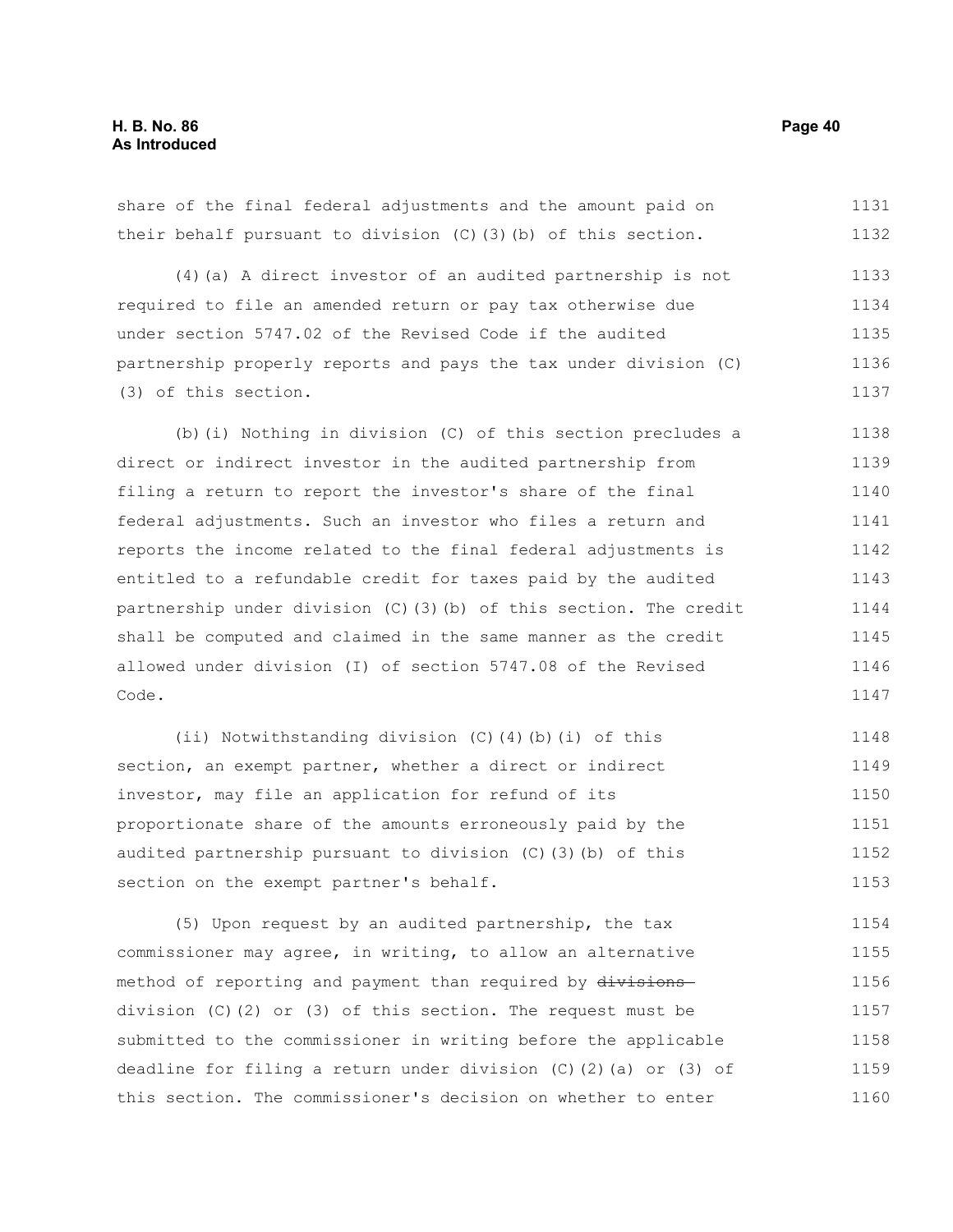share of the final federal adjustments and the amount paid on their behalf pursuant to division (C)(3)(b) of this section. (4)(a) A direct investor of an audited partnership is not required to file an amended return or pay tax otherwise due under section 5747.02 of the Revised Code if the audited partnership properly reports and pays the tax under division (C) (3) of this section. (b)(i) Nothing in division (C) of this section precludes a direct or indirect investor in the audited partnership from filing a return to report the investor's share of the final federal adjustments. Such an investor who files a return and reports the income related to the final federal adjustments is entitled to a refundable credit for taxes paid by the audited partnership under division (C)(3)(b) of this section. The credit shall be computed and claimed in the same manner as the credit allowed under division (I) of section 5747.08 of the Revised Code. (ii) Notwithstanding division (C)(4)(b)(i) of this section, an exempt partner, whether a direct or indirect investor, may file an application for refund of its 1131 1132 1133 1134 1135 1136 1137 1138 1139 1140 1141 1142 1143 1144 1145 1146 1147 1148 1149 1150

proportionate share of the amounts erroneously paid by the audited partnership pursuant to division (C)(3)(b) of this section on the exempt partner's behalf. 1151 1152 1153

(5) Upon request by an audited partnership, the tax commissioner may agree, in writing, to allow an alternative method of reporting and payment than required by divisions division (C)(2) or (3) of this section. The request must be submitted to the commissioner in writing before the applicable deadline for filing a return under division (C)(2)(a) or (3) of this section. The commissioner's decision on whether to enter 1154 1155 1156 1157 1158 1159 1160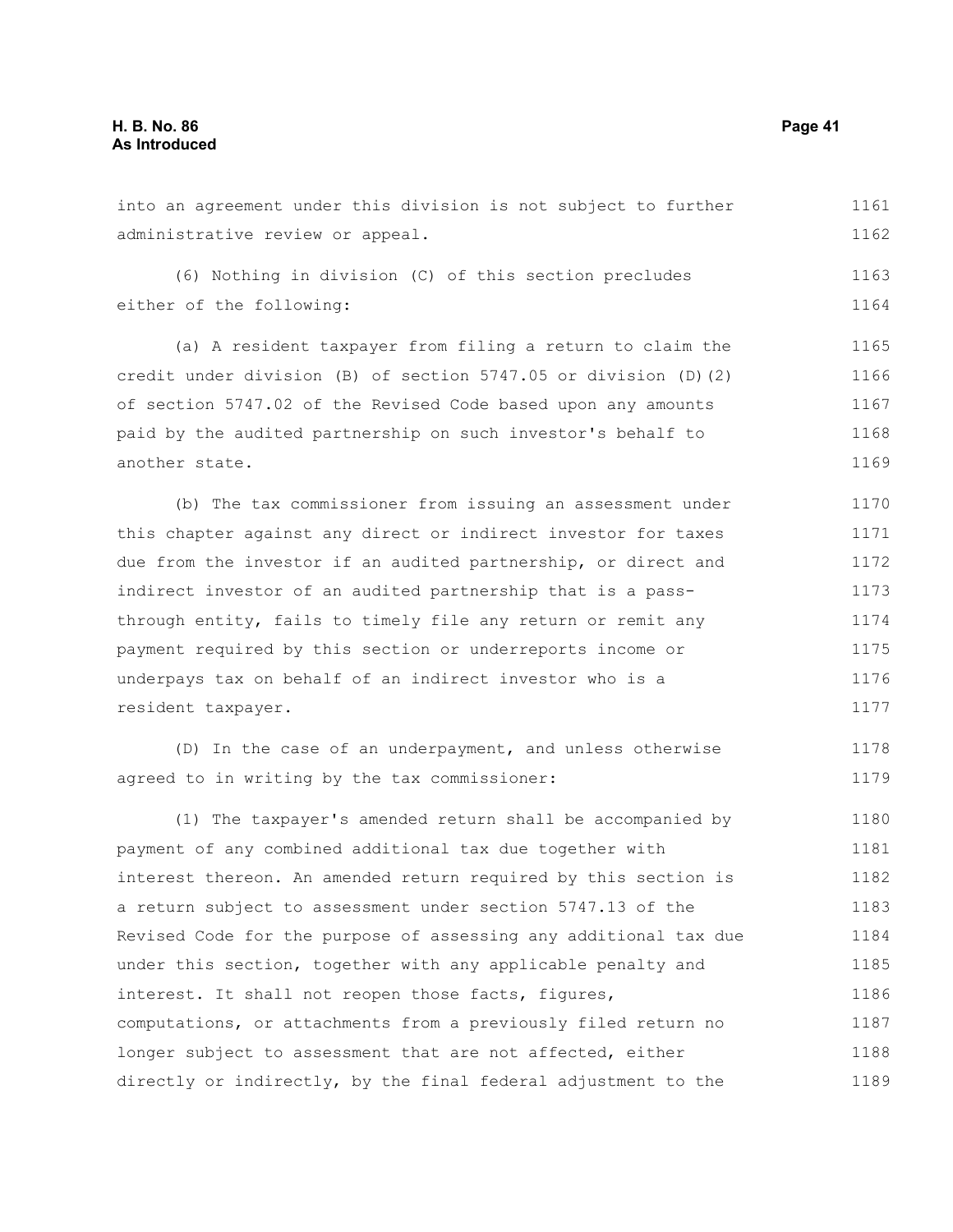into an agreement under this division is not subject to further administrative review or appeal. (6) Nothing in division (C) of this section precludes either of the following: (a) A resident taxpayer from filing a return to claim the credit under division (B) of section 5747.05 or division (D)(2) of section 5747.02 of the Revised Code based upon any amounts paid by the audited partnership on such investor's behalf to another state. (b) The tax commissioner from issuing an assessment under 1161 1162 1163 1164 1165 1166 1167 1168 1169 1170

this chapter against any direct or indirect investor for taxes due from the investor if an audited partnership, or direct and indirect investor of an audited partnership that is a passthrough entity, fails to timely file any return or remit any payment required by this section or underreports income or underpays tax on behalf of an indirect investor who is a resident taxpayer. 1171 1172 1173 1174 1175 1176 1177

(D) In the case of an underpayment, and unless otherwise agreed to in writing by the tax commissioner: 1178 1179

(1) The taxpayer's amended return shall be accompanied by payment of any combined additional tax due together with interest thereon. An amended return required by this section is a return subject to assessment under section 5747.13 of the Revised Code for the purpose of assessing any additional tax due under this section, together with any applicable penalty and interest. It shall not reopen those facts, figures, computations, or attachments from a previously filed return no longer subject to assessment that are not affected, either directly or indirectly, by the final federal adjustment to the 1180 1181 1182 1183 1184 1185 1186 1187 1188 1189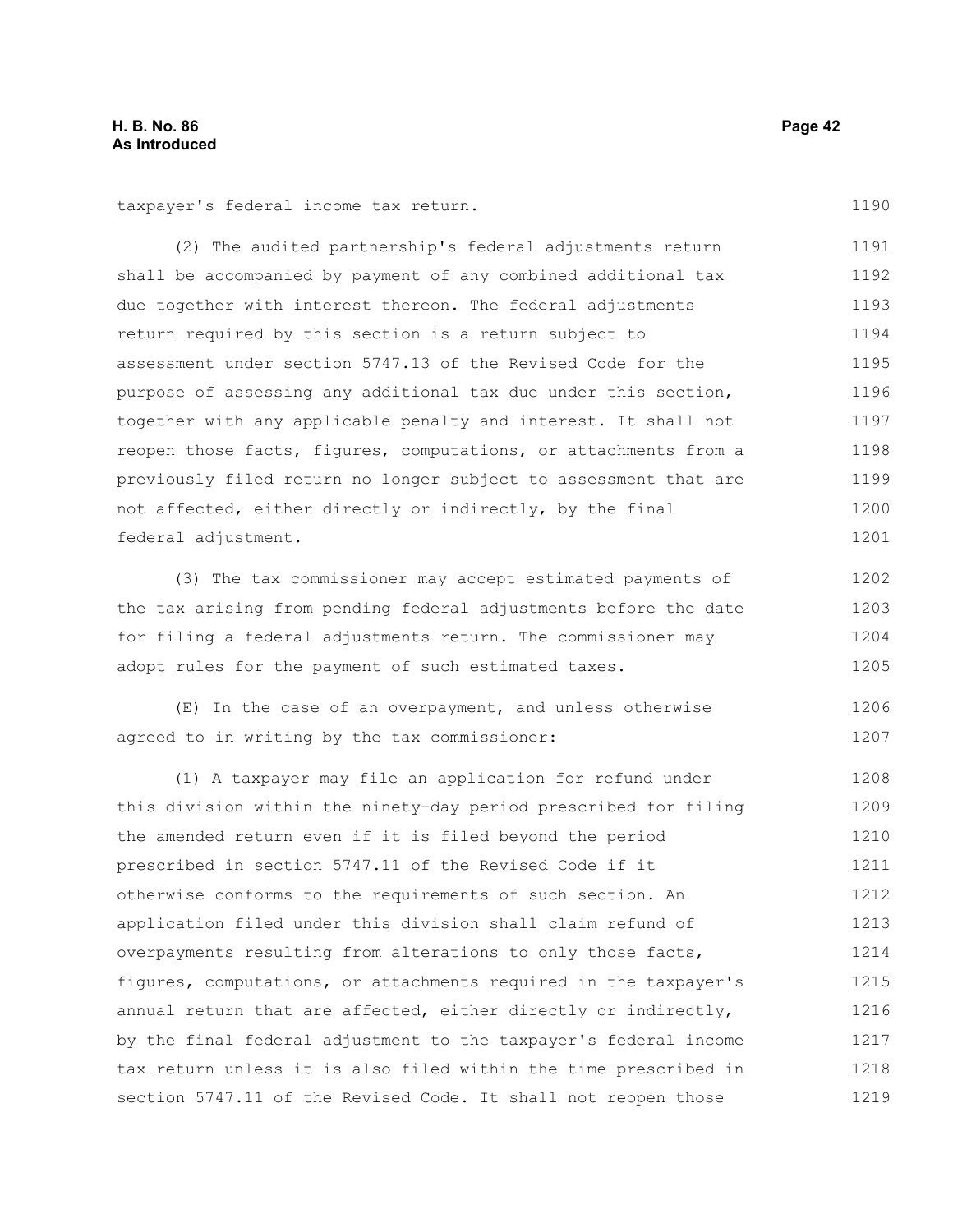taxpayer's federal income tax return.

(2) The audited partnership's federal adjustments return shall be accompanied by payment of any combined additional tax due together with interest thereon. The federal adjustments return required by this section is a return subject to assessment under section 5747.13 of the Revised Code for the purpose of assessing any additional tax due under this section, together with any applicable penalty and interest. It shall not reopen those facts, figures, computations, or attachments from a previously filed return no longer subject to assessment that are not affected, either directly or indirectly, by the final federal adjustment. 1191 1192 1193 1194 1195 1196 1197 1198 1199 1200 1201

(3) The tax commissioner may accept estimated payments of the tax arising from pending federal adjustments before the date for filing a federal adjustments return. The commissioner may adopt rules for the payment of such estimated taxes. 1202 1203 1204 1205

(E) In the case of an overpayment, and unless otherwise agreed to in writing by the tax commissioner: 1206 1207

(1) A taxpayer may file an application for refund under this division within the ninety-day period prescribed for filing the amended return even if it is filed beyond the period prescribed in section 5747.11 of the Revised Code if it otherwise conforms to the requirements of such section. An application filed under this division shall claim refund of overpayments resulting from alterations to only those facts, figures, computations, or attachments required in the taxpayer's annual return that are affected, either directly or indirectly, by the final federal adjustment to the taxpayer's federal income tax return unless it is also filed within the time prescribed in section 5747.11 of the Revised Code. It shall not reopen those 1208 1209 1210 1211 1212 1213 1214 1215 1216 1217 1218 1219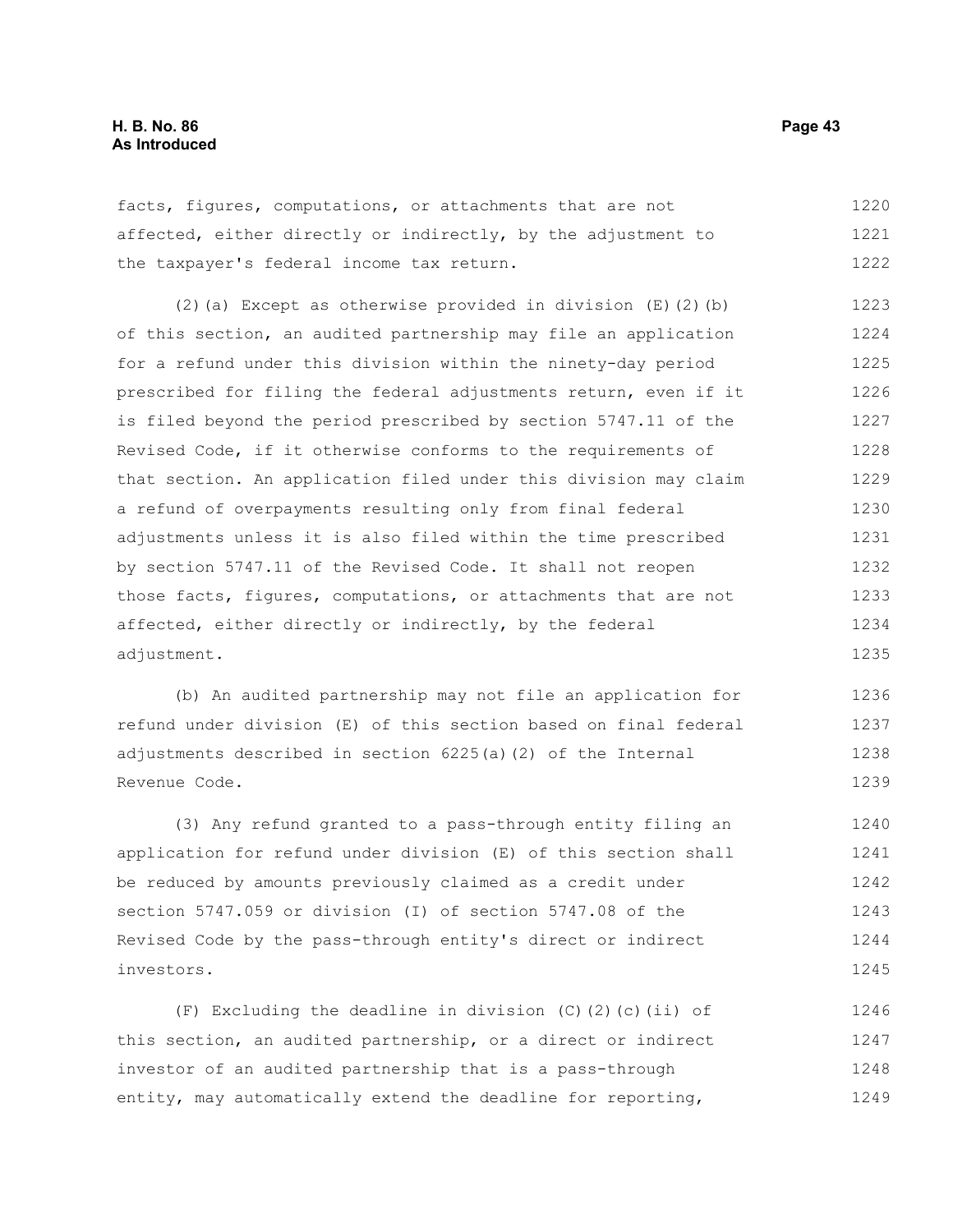facts, figures, computations, or attachments that are not affected, either directly or indirectly, by the adjustment to the taxpayer's federal income tax return. 1220 1221 1222

(2)(a) Except as otherwise provided in division (E)(2)(b) of this section, an audited partnership may file an application for a refund under this division within the ninety-day period prescribed for filing the federal adjustments return, even if it is filed beyond the period prescribed by section 5747.11 of the Revised Code, if it otherwise conforms to the requirements of that section. An application filed under this division may claim a refund of overpayments resulting only from final federal adjustments unless it is also filed within the time prescribed by section 5747.11 of the Revised Code. It shall not reopen those facts, figures, computations, or attachments that are not affected, either directly or indirectly, by the federal adjustment. 1223 1224 1225 1226 1227 1228 1229 1230 1231 1232 1233 1234 1235

(b) An audited partnership may not file an application for refund under division (E) of this section based on final federal adjustments described in section 6225(a)(2) of the Internal Revenue Code. 1236 1237 1238 1239

(3) Any refund granted to a pass-through entity filing an application for refund under division (E) of this section shall be reduced by amounts previously claimed as a credit under section 5747.059 or division (I) of section 5747.08 of the Revised Code by the pass-through entity's direct or indirect investors. 1240 1241 1242 1243 1244 1245

(F) Excluding the deadline in division  $(C)$   $(2)$   $(c)$  (ii) of this section, an audited partnership, or a direct or indirect investor of an audited partnership that is a pass-through entity, may automatically extend the deadline for reporting, 1246 1247 1248 1249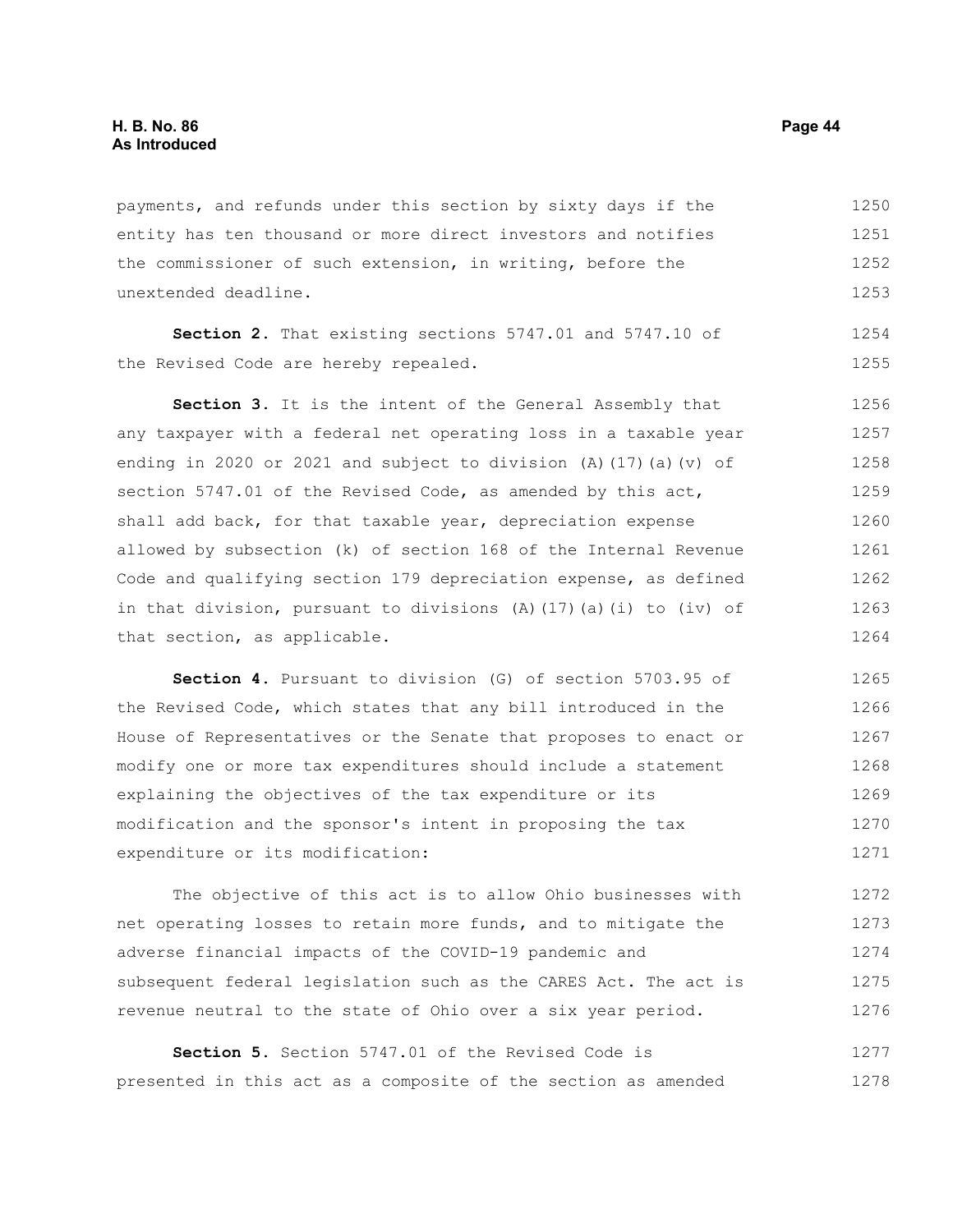payments, and refunds under this section by sixty days if the entity has ten thousand or more direct investors and notifies the commissioner of such extension, in writing, before the unextended deadline. 1250 1251 1252 1253

**Section 2.** That existing sections 5747.01 and 5747.10 of the Revised Code are hereby repealed.

**Section 3.** It is the intent of the General Assembly that any taxpayer with a federal net operating loss in a taxable year ending in 2020 or 2021 and subject to division (A)(17)(a)(v) of section 5747.01 of the Revised Code, as amended by this act, shall add back, for that taxable year, depreciation expense allowed by subsection (k) of section 168 of the Internal Revenue Code and qualifying section 179 depreciation expense, as defined in that division, pursuant to divisions (A)(17)(a)(i) to (iv) of that section, as applicable. 1256 1257 1258 1259 1260 1261 1262 1263 1264

**Section 4.** Pursuant to division (G) of section 5703.95 of the Revised Code, which states that any bill introduced in the House of Representatives or the Senate that proposes to enact or modify one or more tax expenditures should include a statement explaining the objectives of the tax expenditure or its modification and the sponsor's intent in proposing the tax expenditure or its modification: 1265 1266 1267 1268 1269 1270 1271

The objective of this act is to allow Ohio businesses with net operating losses to retain more funds, and to mitigate the adverse financial impacts of the COVID-19 pandemic and subsequent federal legislation such as the CARES Act. The act is revenue neutral to the state of Ohio over a six year period. 1272 1273 1274 1275 1276

**Section 5.** Section 5747.01 of the Revised Code is presented in this act as a composite of the section as amended 1277 1278